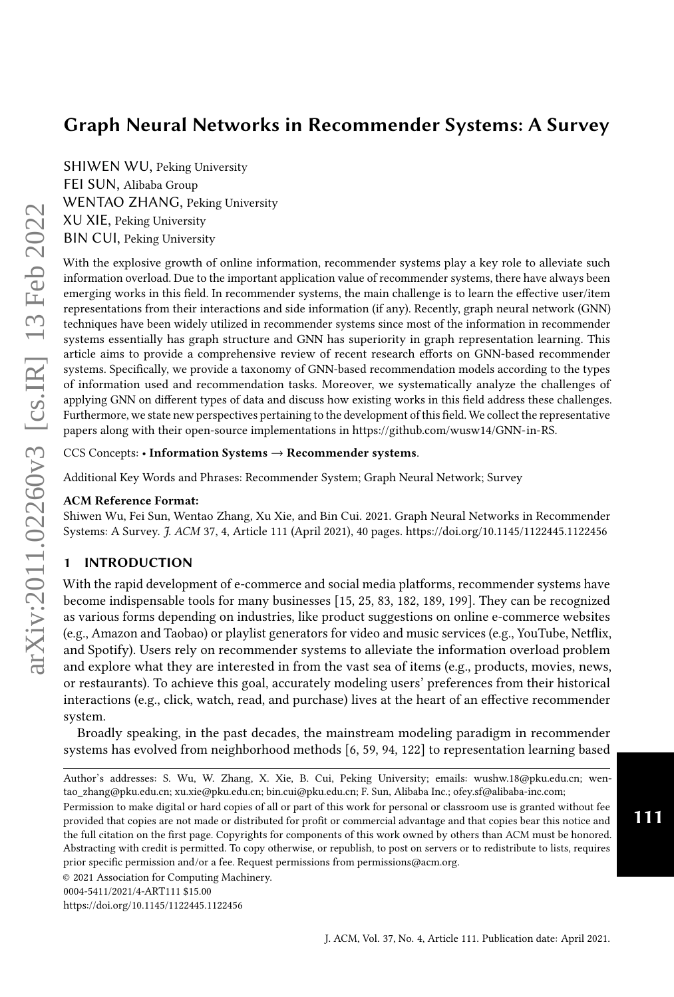SHIWEN WU, Peking University FEI SUN, Alibaba Group WENTAO ZHANG, Peking University XU XIE, Peking University BIN CUI, Peking University

With the explosive growth of online information, recommender systems play a key role to alleviate such information overload. Due to the important application value of recommender systems, there have always been emerging works in this field. In recommender systems, the main challenge is to learn the effective user/item representations from their interactions and side information (if any). Recently, graph neural network (GNN) techniques have been widely utilized in recommender systems since most of the information in recommender systems essentially has graph structure and GNN has superiority in graph representation learning. This article aims to provide a comprehensive review of recent research efforts on GNN-based recommender systems. Specifically, we provide a taxonomy of GNN-based recommendation models according to the types of information used and recommendation tasks. Moreover, we systematically analyze the challenges of applying GNN on different types of data and discuss how existing works in this field address these challenges. Furthermore, we state new perspectives pertaining to the development of this field. We collect the representative papers along with their open-source implementations in [https://github.com/wusw14/GNN-in-RS.](https://github.com/wusw14/GNN-in-RS)

CCS Concepts: • Information Systems → Recommender systems.

Additional Key Words and Phrases: Recommender System; Graph Neural Network; Survey

#### ACM Reference Format:

Shiwen Wu, Fei Sun, Wentao Zhang, Xu Xie, and Bin Cui. 2021. Graph Neural Networks in Recommender Systems: A Survey. J. ACM 37, 4, Article 111 (April 2021), [40](#page-39-0) pages.<https://doi.org/10.1145/1122445.1122456>

# 1 INTRODUCTION

With the rapid development of e-commerce and social media platforms, recommender systems have become indispensable tools for many businesses [\[15,](#page-30-0) [25,](#page-31-0) [83,](#page-33-0) [182,](#page-38-0) [189,](#page-38-1) [199\]](#page-38-2). They can be recognized as various forms depending on industries, like product suggestions on online e-commerce websites (e.g., Amazon and Taobao) or playlist generators for video and music services (e.g., YouTube, Netflix, and Spotify). Users rely on recommender systems to alleviate the information overload problem and explore what they are interested in from the vast sea of items (e.g., products, movies, news, or restaurants). To achieve this goal, accurately modeling users' preferences from their historical interactions (e.g., click, watch, read, and purchase) lives at the heart of an effective recommender system.

Broadly speaking, in the past decades, the mainstream modeling paradigm in recommender systems has evolved from neighborhood methods [\[6,](#page-30-1) [59,](#page-32-0) [94,](#page-34-0) [122\]](#page-35-0) to representation learning based

Permission to make digital or hard copies of all or part of this work for personal or classroom use is granted without fee provided that copies are not made or distributed for profit or commercial advantage and that copies bear this notice and the full citation on the first page. Copyrights for components of this work owned by others than ACM must be honored. Abstracting with credit is permitted. To copy otherwise, or republish, to post on servers or to redistribute to lists, requires prior specific permission and/or a fee. Request permissions from permissions@acm.org.

111

Author's addresses: S. Wu, W. Zhang, X. Xie, B. Cui, Peking University; emails: wushw.18@pku.edu.cn; wentao\_zhang@pku.edu.cn; xu.xie@pku.edu.cn; bin.cui@pku.edu.cn; F. Sun, Alibaba Inc.; ofey.sf@alibaba-inc.com;

<sup>©</sup> 2021 Association for Computing Machinery.

<sup>0004-5411/2021/4-</sup>ART111 \$15.00

<https://doi.org/10.1145/1122445.1122456>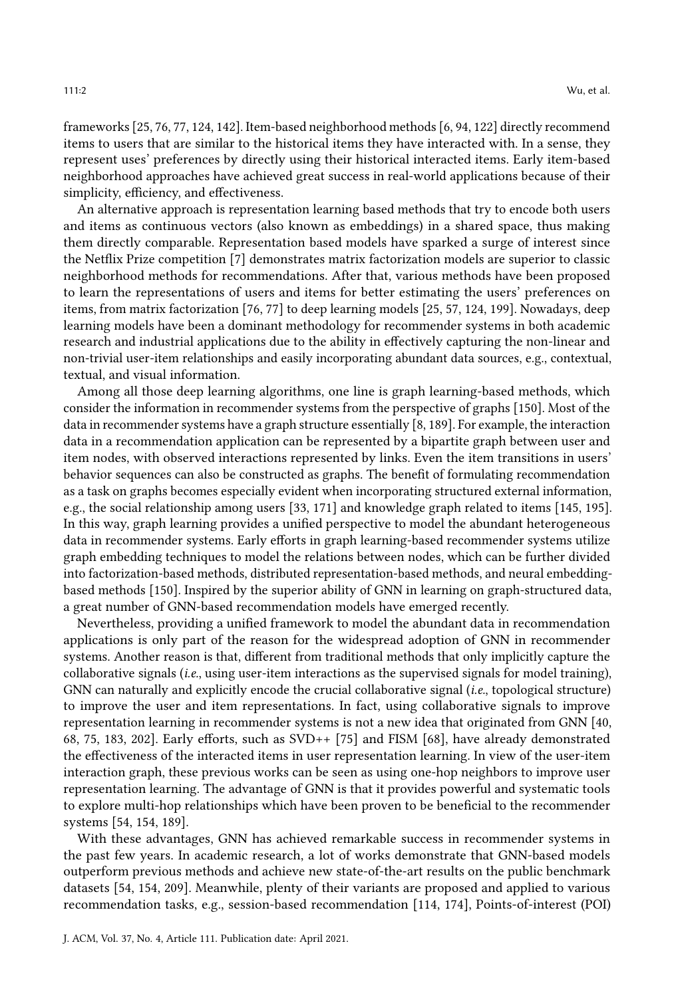frameworks [\[25,](#page-31-0) [76,](#page-33-1) [77,](#page-33-2) [124,](#page-35-1) [142\]](#page-36-0). Item-based neighborhood methods [\[6,](#page-30-1) [94,](#page-34-0) [122\]](#page-35-0) directly recommend items to users that are similar to the historical items they have interacted with. In a sense, they represent uses' preferences by directly using their historical interacted items. Early item-based neighborhood approaches have achieved great success in real-world applications because of their simplicity, efficiency, and effectiveness.

An alternative approach is representation learning based methods that try to encode both users and items as continuous vectors (also known as embeddings) in a shared space, thus making them directly comparable. Representation based models have sparked a surge of interest since the Netflix Prize competition [\[7\]](#page-30-2) demonstrates matrix factorization models are superior to classic neighborhood methods for recommendations. After that, various methods have been proposed to learn the representations of users and items for better estimating the users' preferences on items, from matrix factorization [\[76,](#page-33-1) [77\]](#page-33-2) to deep learning models [\[25,](#page-31-0) [57,](#page-32-1) [124,](#page-35-1) [199\]](#page-38-2). Nowadays, deep learning models have been a dominant methodology for recommender systems in both academic research and industrial applications due to the ability in effectively capturing the non-linear and non-trivial user-item relationships and easily incorporating abundant data sources, e.g., contextual, textual, and visual information.

Among all those deep learning algorithms, one line is graph learning-based methods, which consider the information in recommender systems from the perspective of graphs [\[150\]](#page-36-1). Most of the data in recommender systems have a graph structure essentially [\[8,](#page-30-3) [189\]](#page-38-1). For example, the interaction data in a recommendation application can be represented by a bipartite graph between user and item nodes, with observed interactions represented by links. Even the item transitions in users' behavior sequences can also be constructed as graphs. The benefit of formulating recommendation as a task on graphs becomes especially evident when incorporating structured external information, e.g., the social relationship among users [\[33,](#page-31-1) [171\]](#page-37-0) and knowledge graph related to items [\[145,](#page-36-2) [195\]](#page-38-3). In this way, graph learning provides a unified perspective to model the abundant heterogeneous data in recommender systems. Early efforts in graph learning-based recommender systems utilize graph embedding techniques to model the relations between nodes, which can be further divided into factorization-based methods, distributed representation-based methods, and neural embeddingbased methods [\[150\]](#page-36-1). Inspired by the superior ability of GNN in learning on graph-structured data, a great number of GNN-based recommendation models have emerged recently.

Nevertheless, providing a unified framework to model the abundant data in recommendation applications is only part of the reason for the widespread adoption of GNN in recommender systems. Another reason is that, different from traditional methods that only implicitly capture the collaborative signals (i.e., using user-item interactions as the supervised signals for model training), GNN can naturally and explicitly encode the crucial collaborative signal (i.e., topological structure) to improve the user and item representations. In fact, using collaborative signals to improve representation learning in recommender systems is not a new idea that originated from GNN [\[40,](#page-31-2) [68,](#page-32-2) [75,](#page-33-3) [183,](#page-38-4) [202\]](#page-38-5). Early efforts, such as SVD++ [\[75\]](#page-33-3) and FISM [\[68\]](#page-32-2), have already demonstrated the effectiveness of the interacted items in user representation learning. In view of the user-item interaction graph, these previous works can be seen as using one-hop neighbors to improve user representation learning. The advantage of GNN is that it provides powerful and systematic tools to explore multi-hop relationships which have been proven to be beneficial to the recommender systems [\[54,](#page-32-3) [154,](#page-36-3) [189\]](#page-38-1).

With these advantages, GNN has achieved remarkable success in recommender systems in the past few years. In academic research, a lot of works demonstrate that GNN-based models outperform previous methods and achieve new state-of-the-art results on the public benchmark datasets [\[54,](#page-32-3) [154,](#page-36-3) [209\]](#page-39-1). Meanwhile, plenty of their variants are proposed and applied to various recommendation tasks, e.g., session-based recommendation [\[114,](#page-35-2) [174\]](#page-37-1), Points-of-interest (POI)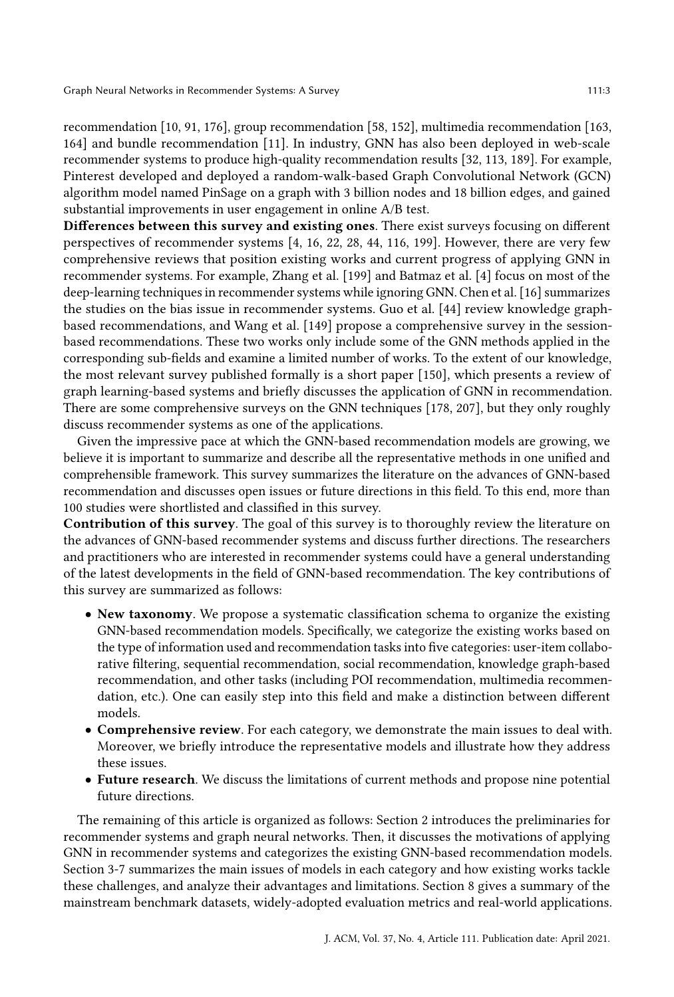recommendation [\[10,](#page-30-4) [91,](#page-33-4) [176\]](#page-37-2), group recommendation [\[58,](#page-32-4) [152\]](#page-36-4), multimedia recommendation [\[163,](#page-37-3) [164\]](#page-37-4) and bundle recommendation [\[11\]](#page-30-5). In industry, GNN has also been deployed in web-scale recommender systems to produce high-quality recommendation results [\[32,](#page-31-3) [113,](#page-34-1) [189\]](#page-38-1). For example, Pinterest developed and deployed a random-walk-based Graph Convolutional Network (GCN) algorithm model named PinSage on a graph with 3 billion nodes and 18 billion edges, and gained substantial improvements in user engagement in online A/B test.

Differences between this survey and existing ones. There exist surveys focusing on different perspectives of recommender systems [\[4,](#page-30-6) [16,](#page-30-7) [22,](#page-30-8) [28,](#page-31-4) [44,](#page-31-5) [116,](#page-35-3) [199\]](#page-38-2). However, there are very few comprehensive reviews that position existing works and current progress of applying GNN in recommender systems. For example, Zhang et al. [\[199\]](#page-38-2) and Batmaz et al. [\[4\]](#page-30-6) focus on most of the deep-learning techniques in recommender systems while ignoring GNN. Chen et al. [\[16\]](#page-30-7) summarizes the studies on the bias issue in recommender systems. Guo et al. [\[44\]](#page-31-5) review knowledge graphbased recommendations, and Wang et al. [\[149\]](#page-36-5) propose a comprehensive survey in the sessionbased recommendations. These two works only include some of the GNN methods applied in the corresponding sub-fields and examine a limited number of works. To the extent of our knowledge, the most relevant survey published formally is a short paper [\[150\]](#page-36-1), which presents a review of graph learning-based systems and briefly discusses the application of GNN in recommendation. There are some comprehensive surveys on the GNN techniques [\[178,](#page-37-5) [207\]](#page-39-2), but they only roughly discuss recommender systems as one of the applications.

Given the impressive pace at which the GNN-based recommendation models are growing, we believe it is important to summarize and describe all the representative methods in one unified and comprehensible framework. This survey summarizes the literature on the advances of GNN-based recommendation and discusses open issues or future directions in this field. To this end, more than 100 studies were shortlisted and classified in this survey.

Contribution of this survey. The goal of this survey is to thoroughly review the literature on the advances of GNN-based recommender systems and discuss further directions. The researchers and practitioners who are interested in recommender systems could have a general understanding of the latest developments in the field of GNN-based recommendation. The key contributions of this survey are summarized as follows:

- New taxonomy. We propose a systematic classification schema to organize the existing GNN-based recommendation models. Specifically, we categorize the existing works based on the type of information used and recommendation tasks into five categories: user-item collaborative filtering, sequential recommendation, social recommendation, knowledge graph-based recommendation, and other tasks (including POI recommendation, multimedia recommendation, etc.). One can easily step into this field and make a distinction between different models.
- Comprehensive review. For each category, we demonstrate the main issues to deal with. Moreover, we briefly introduce the representative models and illustrate how they address these issues.
- Future research. We discuss the limitations of current methods and propose nine potential future directions.

The remaining of this article is organized as follows: Section 2 introduces the preliminaries for recommender systems and graph neural networks. Then, it discusses the motivations of applying GNN in recommender systems and categorizes the existing GNN-based recommendation models. Section 3-7 summarizes the main issues of models in each category and how existing works tackle these challenges, and analyze their advantages and limitations. Section 8 gives a summary of the mainstream benchmark datasets, widely-adopted evaluation metrics and real-world applications.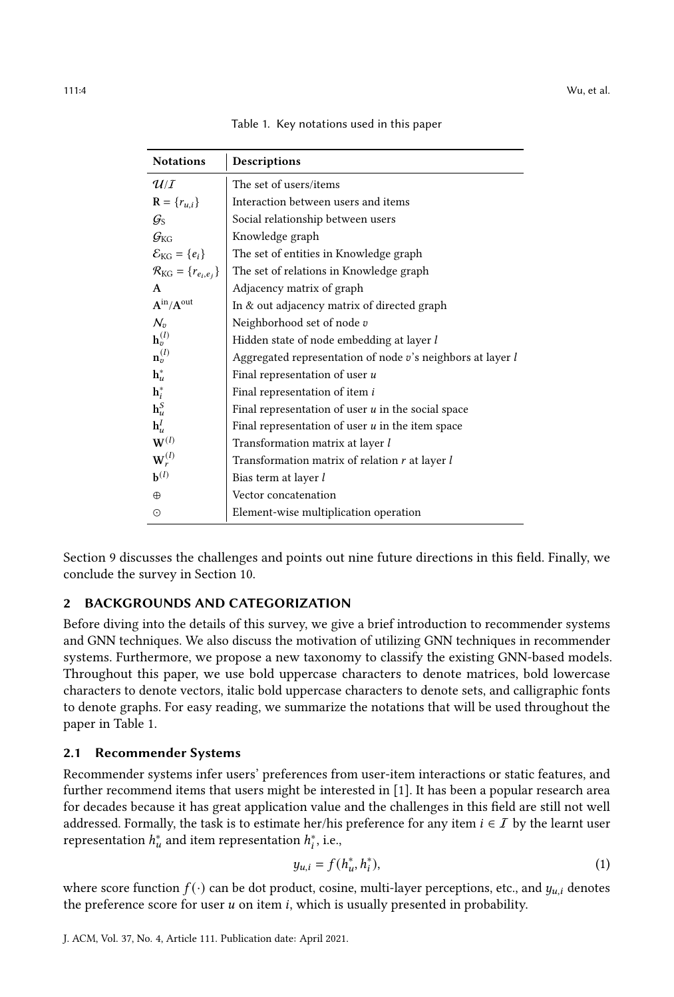| Table 1. Key notations used in this paper |  |  |  |
|-------------------------------------------|--|--|--|
|-------------------------------------------|--|--|--|

<span id="page-3-0"></span>

| <b>Notations</b>                                 | Descriptions                                               |  |
|--------------------------------------------------|------------------------------------------------------------|--|
| $\mathcal{U}/I$                                  | The set of users/items                                     |  |
| $R = {r_{u,i}}$                                  | Interaction between users and items                        |  |
| $\mathcal{G}_{\text{S}}$                         | Social relationship between users                          |  |
| $G_{\text{KG}}$                                  | Knowledge graph                                            |  |
| $\mathcal{E}_{KG} = \{e_i\}$                     | The set of entities in Knowledge graph                     |  |
| $\mathcal{R}_{\text{KG}} = \{r_{e_i,e_j}\}\$     | The set of relations in Knowledge graph                    |  |
| A                                                | Adjacency matrix of graph                                  |  |
| $\mathbf{A}^{\text{in}}/\mathbf{A}^{\text{out}}$ | In & out adjacency matrix of directed graph                |  |
| $\mathcal{N}_v$                                  | Neighborhood set of node $v$                               |  |
| $\mathbf{h}_v^{(l)}$                             | Hidden state of node embedding at layer l                  |  |
| $\mathbf{n}_v^{(l)}$                             | Aggregated representation of node v's neighbors at layer l |  |
| $\mathbf{h}_u^*$                                 | Final representation of user u                             |  |
| $h_i^*$                                          | Final representation of item i                             |  |
| $\mathbf{h}_u^S$                                 | Final representation of user $u$ in the social space       |  |
| $\mathbf{h}_u^I$                                 | Final representation of user $u$ in the item space         |  |
| $\mathbf{W}^{(l)}$                               | Transformation matrix at layer l                           |  |
| $\mathbf{W}_r^{(l)}$                             | Transformation matrix of relation $r$ at layer $l$         |  |
| ${\bf b}^{(l)}$                                  | Bias term at layer l                                       |  |
| $\oplus$                                         | Vector concatenation                                       |  |
| ⊙                                                | Element-wise multiplication operation                      |  |

Section 9 discusses the challenges and points out nine future directions in this field. Finally, we conclude the survey in Section 10.

#### 2 BACKGROUNDS AND CATEGORIZATION

Before diving into the details of this survey, we give a brief introduction to recommender systems and GNN techniques. We also discuss the motivation of utilizing GNN techniques in recommender systems. Furthermore, we propose a new taxonomy to classify the existing GNN-based models. Throughout this paper, we use bold uppercase characters to denote matrices, bold lowercase characters to denote vectors, italic bold uppercase characters to denote sets, and calligraphic fonts to denote graphs. For easy reading, we summarize the notations that will be used throughout the paper in Table [1.](#page-3-0)

#### 2.1 Recommender Systems

Recommender systems infer users' preferences from user-item interactions or static features, and further recommend items that users might be interested in [\[1\]](#page-30-9). It has been a popular research area for decades because it has great application value and the challenges in this field are still not well addressed. Formally, the task is to estimate her/his preference for any item  $i \in I$  by the learnt user representation  $h_u^*$  and item representation  $h_i^*$ , i.e.,

$$
y_{u,i} = f(h_u^*, h_i^*),
$$
 (1)

where score function  $f(\cdot)$  can be dot product, cosine, multi-layer perceptions, etc., and  $y_{u,i}$  denotes the preference score for user  $u$  on item  $i$ , which is usually presented in probability.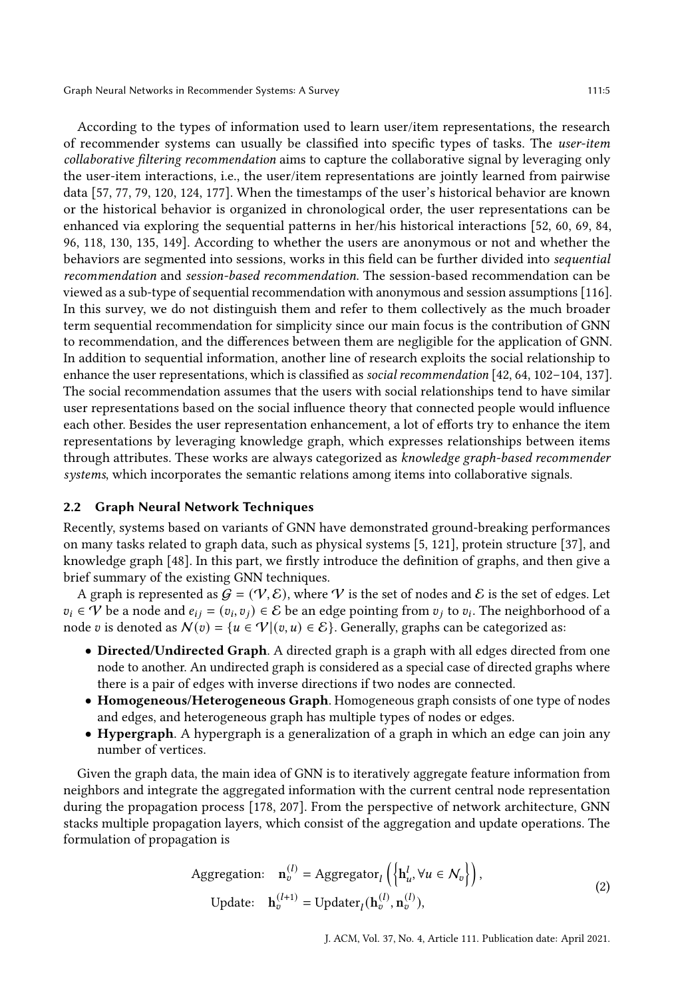According to the types of information used to learn user/item representations, the research of recommender systems can usually be classified into specific types of tasks. The user-item collaborative filtering recommendation aims to capture the collaborative signal by leveraging only the user-item interactions, i.e., the user/item representations are jointly learned from pairwise data [\[57,](#page-32-1) [77,](#page-33-2) [79,](#page-33-5) [120,](#page-35-4) [124,](#page-35-1) [177\]](#page-37-6). When the timestamps of the user's historical behavior are known or the historical behavior is organized in chronological order, the user representations can be enhanced via exploring the sequential patterns in her/his historical interactions [\[52,](#page-32-5) [60,](#page-32-6) [69,](#page-33-6) [84,](#page-33-7) [96,](#page-34-2) [118,](#page-35-5) [130,](#page-35-6) [135,](#page-36-6) [149\]](#page-36-5). According to whether the users are anonymous or not and whether the behaviors are segmented into sessions, works in this field can be further divided into sequential recommendation and session-based recommendation. The session-based recommendation can be viewed as a sub-type of sequential recommendation with anonymous and session assumptions [\[116\]](#page-35-3). In this survey, we do not distinguish them and refer to them collectively as the much broader term sequential recommendation for simplicity since our main focus is the contribution of GNN to recommendation, and the differences between them are negligible for the application of GNN. In addition to sequential information, another line of research exploits the social relationship to enhance the user representations, which is classified as social recommendation [\[42,](#page-31-6) [64,](#page-32-7) [102–](#page-34-3)[104,](#page-34-4) [137\]](#page-36-7). The social recommendation assumes that the users with social relationships tend to have similar user representations based on the social influence theory that connected people would influence each other. Besides the user representation enhancement, a lot of efforts try to enhance the item representations by leveraging knowledge graph, which expresses relationships between items through attributes. These works are always categorized as knowledge graph-based recommender systems, which incorporates the semantic relations among items into collaborative signals.

#### 2.2 Graph Neural Network Techniques

Recently, systems based on variants of GNN have demonstrated ground-breaking performances on many tasks related to graph data, such as physical systems [\[5,](#page-30-10) [121\]](#page-35-7), protein structure [\[37\]](#page-31-7), and knowledge graph [\[48\]](#page-32-8). In this part, we firstly introduce the definition of graphs, and then give a brief summary of the existing GNN techniques.

A graph is represented as  $G = (\mathcal{V}, \mathcal{E})$ , where V is the set of nodes and E is the set of edges. Let  $v_i \in V$  be a node and  $e_{ij} = (v_i, v_j) \in E$  be an edge pointing from  $v_j$  to  $v_i$ . The neighborhood of a node v is denoted as  $N(v) = \{u \in \mathcal{V} | (v, u) \in \mathcal{E} \}$ . Generally, graphs can be categorized as:

- Directed/Undirected Graph. A directed graph is a graph with all edges directed from one node to another. An undirected graph is considered as a special case of directed graphs where there is a pair of edges with inverse directions if two nodes are connected.
- Homogeneous/Heterogeneous Graph. Homogeneous graph consists of one type of nodes and edges, and heterogeneous graph has multiple types of nodes or edges.
- Hypergraph. A hypergraph is a generalization of a graph in which an edge can join any number of vertices.

Given the graph data, the main idea of GNN is to iteratively aggregate feature information from neighbors and integrate the aggregated information with the current central node representation during the propagation process [\[178,](#page-37-5) [207\]](#page-39-2). From the perspective of network architecture, GNN stacks multiple propagation layers, which consist of the aggregation and update operations. The formulation of propagation is

Aggregation: 
$$
\mathbf{n}_v^{(l)} = \text{Aggregator}_l \left( \left\{ \mathbf{h}_u^l, \forall u \in \mathcal{N}_v \right\} \right),
$$
  
Update: 
$$
\mathbf{h}_v^{(l+1)} = \text{Update}_l(\mathbf{h}_v^{(l)}, \mathbf{n}_v^{(l)}),
$$
 (2)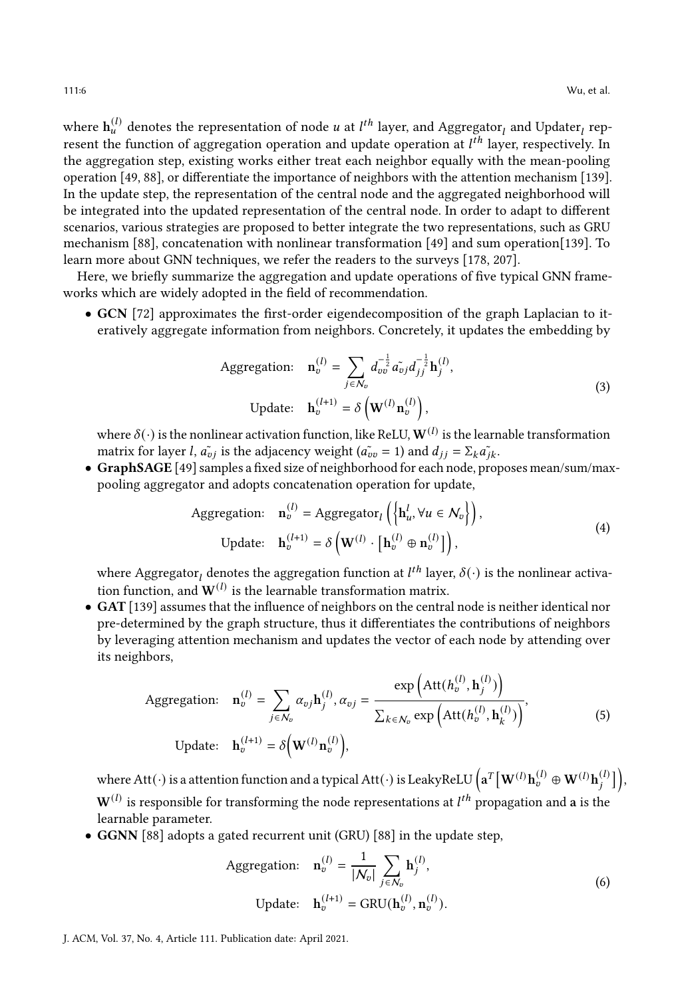where  $\mathbf{h}_{u}^{(l)}$  denotes the representation of node  $u$  at  $l^{th}$  layer, and Aggregator $_l$  and Updater $_l$  represent the function of aggregation operation and update operation at  $l^{th}$  layer, respectively. In the aggregation step, existing works either treat each neighbor equally with the mean-pooling operation [\[49,](#page-32-9) [88\]](#page-33-8), or differentiate the importance of neighbors with the attention mechanism [\[139\]](#page-36-8). In the update step, the representation of the central node and the aggregated neighborhood will be integrated into the updated representation of the central node. In order to adapt to different scenarios, various strategies are proposed to better integrate the two representations, such as GRU mechanism [\[88\]](#page-33-8), concatenation with nonlinear transformation [\[49\]](#page-32-9) and sum operation[\[139\]](#page-36-8). To learn more about GNN techniques, we refer the readers to the surveys [\[178,](#page-37-5) [207\]](#page-39-2).

Here, we briefly summarize the aggregation and update operations of five typical GNN frameworks which are widely adopted in the field of recommendation.

• GCN [\[72\]](#page-33-9) approximates the first-order eigendecomposition of the graph Laplacian to iteratively aggregate information from neighbors. Concretely, it updates the embedding by

Aggregation: 
$$
\mathbf{n}_v^{(l)} = \sum_{j \in \mathcal{N}_v} d_{vv}^{-\frac{1}{2}} \tilde{a}_{vj} d_{jj}^{-\frac{1}{2}} \mathbf{h}_j^{(l)},
$$
  
Update: 
$$
\mathbf{h}_v^{(l+1)} = \delta \left( \mathbf{W}^{(l)} \mathbf{n}_v^{(l)} \right),
$$
 (3)

where  $\delta(\cdot)$  is the nonlinear activation function, like ReLU,  $\mathbf{W}^{(l)}$  is the learnable transformation matrix for layer *l*,  $\tilde{a}_{vi}$  is the adjacency weight ( $\tilde{a}_{iv} = 1$ ) and  $d_{ij} = \sum_k \tilde{a}_{ik}$ .

• GraphSAGE [\[49\]](#page-32-9) samples a fixed size of neighborhood for each node, proposes mean/sum/maxpooling aggregator and adopts concatenation operation for update,

Aggregation: 
$$
\mathbf{n}_v^{(l)} = \text{Aggregator}_l \left( \left\{ \mathbf{h}_u^l, \forall u \in \mathcal{N}_v \right\} \right),
$$
  
Update: 
$$
\mathbf{h}_v^{(l+1)} = \delta \left( \mathbf{W}^{(l)} \cdot \left[ \mathbf{h}_v^{(l)} \oplus \mathbf{n}_v^{(l)} \right] \right),
$$
 (4)

where Aggregator $_l$  denotes the aggregation function at  $l^{th}$  layer,  $\delta(\cdot)$  is the nonlinear activation function, and  $W^{(l)}$  is the learnable transformation matrix.

• GAT [\[139\]](#page-36-8) assumes that the influence of neighbors on the central node is neither identical nor pre-determined by the graph structure, thus it differentiates the contributions of neighbors by leveraging attention mechanism and updates the vector of each node by attending over its neighbors,

Aggregation: 
$$
\mathbf{n}_v^{(l)} = \sum_{j \in \mathcal{N}_v} \alpha_{vj} \mathbf{h}_j^{(l)}, \alpha_{vj} = \frac{\exp\left(\text{Att}(h_v^{(l)}, \mathbf{h}_j^{(l)})\right)}{\sum_{k \in \mathcal{N}_v} \exp\left(\text{Att}(h_v^{(l)}, \mathbf{h}_k^{(l)})\right)},
$$
 (5)

where Att $(\cdot)$  is a attention function and a typical Att $(\cdot)$  is LeakyReLU  $\left(\mathbf{a}^T\big[\mathbf{W}^{(l)}\mathbf{h}_v^{(l)} \oplus \mathbf{W}^{(l)}\mathbf{h}_j^{(l)}\big]\right)$  $\mathbf{W}^{(l)}$  is responsible for transforming the node representations at  $l^{th}$  propagation and  $\mathbf a$  is the learnable parameter.

• GGNN [\[88\]](#page-33-8) adopts a gated recurrent unit (GRU) [\[88\]](#page-33-8) in the update step,

Aggregation: 
$$
\mathbf{n}_v^{(l)} = \frac{1}{|\mathcal{N}_v|} \sum_{j \in \mathcal{N}_v} \mathbf{h}_j^{(l)},
$$
  
Update: 
$$
\mathbf{h}_v^{(l+1)} = \text{GRU}(\mathbf{h}_v^{(l)}, \mathbf{n}_v^{(l)}).
$$
 (6)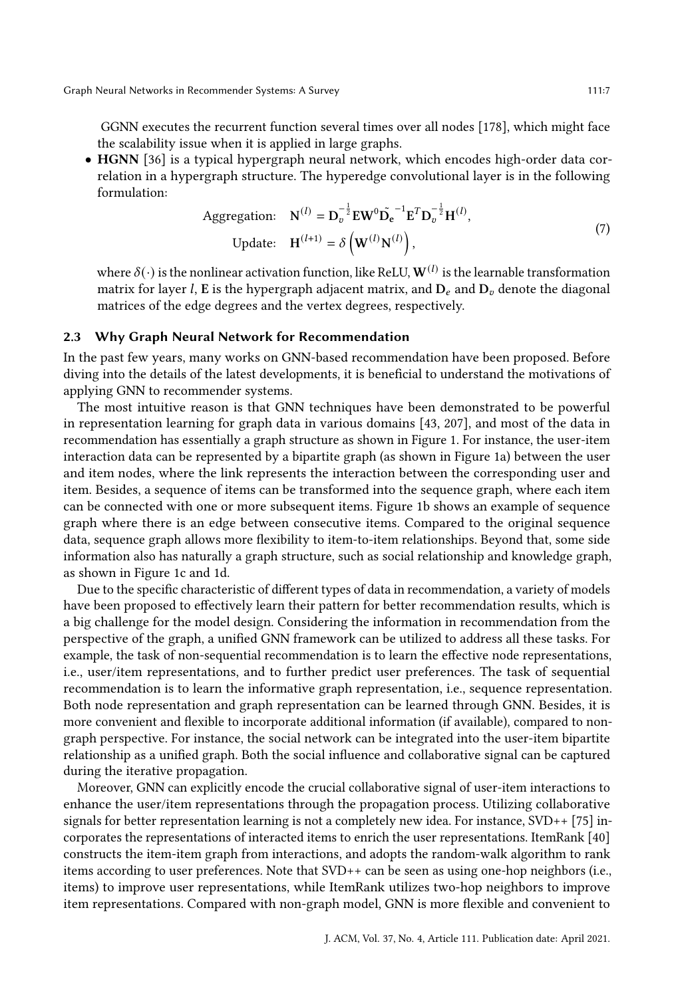GGNN executes the recurrent function several times over all nodes [\[178\]](#page-37-5), which might face the scalability issue when it is applied in large graphs.

• HGNN [\[36\]](#page-31-8) is a typical hypergraph neural network, which encodes high-order data correlation in a hypergraph structure. The hyperedge convolutional layer is in the following formulation:

Aggregation: 
$$
\mathbf{N}^{(l)} = \mathbf{D}_v^{-\frac{1}{2}} \mathbf{E} \mathbf{W}^0 \tilde{\mathbf{D}}_e^{-1} \mathbf{E}^T \mathbf{D}_v^{-\frac{1}{2}} \mathbf{H}^{(l)},
$$
  
Update: 
$$
\mathbf{H}^{(l+1)} = \delta \left( \mathbf{W}^{(l)} \mathbf{N}^{(l)} \right),
$$
 (7)

where  $\delta(\cdot)$  is the nonlinear activation function, like ReLU,  $\mathbf{W}^{(l)}$  is the learnable transformation matrix for layer *l*, E is the hypergraph adjacent matrix, and  $D_e$  and  $D_v$  denote the diagonal matrices of the edge degrees and the vertex degrees, respectively.

## 2.3 Why Graph Neural Network for Recommendation

In the past few years, many works on GNN-based recommendation have been proposed. Before diving into the details of the latest developments, it is beneficial to understand the motivations of applying GNN to recommender systems.

The most intuitive reason is that GNN techniques have been demonstrated to be powerful in representation learning for graph data in various domains [\[43,](#page-31-9) [207\]](#page-39-2), and most of the data in recommendation has essentially a graph structure as shown in Figure [1.](#page-7-0) For instance, the user-item interaction data can be represented by a bipartite graph (as shown in Figure [1a\)](#page-7-0) between the user and item nodes, where the link represents the interaction between the corresponding user and item. Besides, a sequence of items can be transformed into the sequence graph, where each item can be connected with one or more subsequent items. Figure [1b](#page-7-0) shows an example of sequence graph where there is an edge between consecutive items. Compared to the original sequence data, sequence graph allows more flexibility to item-to-item relationships. Beyond that, some side information also has naturally a graph structure, such as social relationship and knowledge graph, as shown in Figure [1c](#page-7-0) and [1d.](#page-7-0)

Due to the specific characteristic of different types of data in recommendation, a variety of models have been proposed to effectively learn their pattern for better recommendation results, which is a big challenge for the model design. Considering the information in recommendation from the perspective of the graph, a unified GNN framework can be utilized to address all these tasks. For example, the task of non-sequential recommendation is to learn the effective node representations, i.e., user/item representations, and to further predict user preferences. The task of sequential recommendation is to learn the informative graph representation, i.e., sequence representation. Both node representation and graph representation can be learned through GNN. Besides, it is more convenient and flexible to incorporate additional information (if available), compared to nongraph perspective. For instance, the social network can be integrated into the user-item bipartite relationship as a unified graph. Both the social influence and collaborative signal can be captured during the iterative propagation.

Moreover, GNN can explicitly encode the crucial collaborative signal of user-item interactions to enhance the user/item representations through the propagation process. Utilizing collaborative signals for better representation learning is not a completely new idea. For instance, SVD++ [\[75\]](#page-33-3) incorporates the representations of interacted items to enrich the user representations. ItemRank [\[40\]](#page-31-2) constructs the item-item graph from interactions, and adopts the random-walk algorithm to rank items according to user preferences. Note that SVD++ can be seen as using one-hop neighbors (i.e., items) to improve user representations, while ItemRank utilizes two-hop neighbors to improve item representations. Compared with non-graph model, GNN is more flexible and convenient to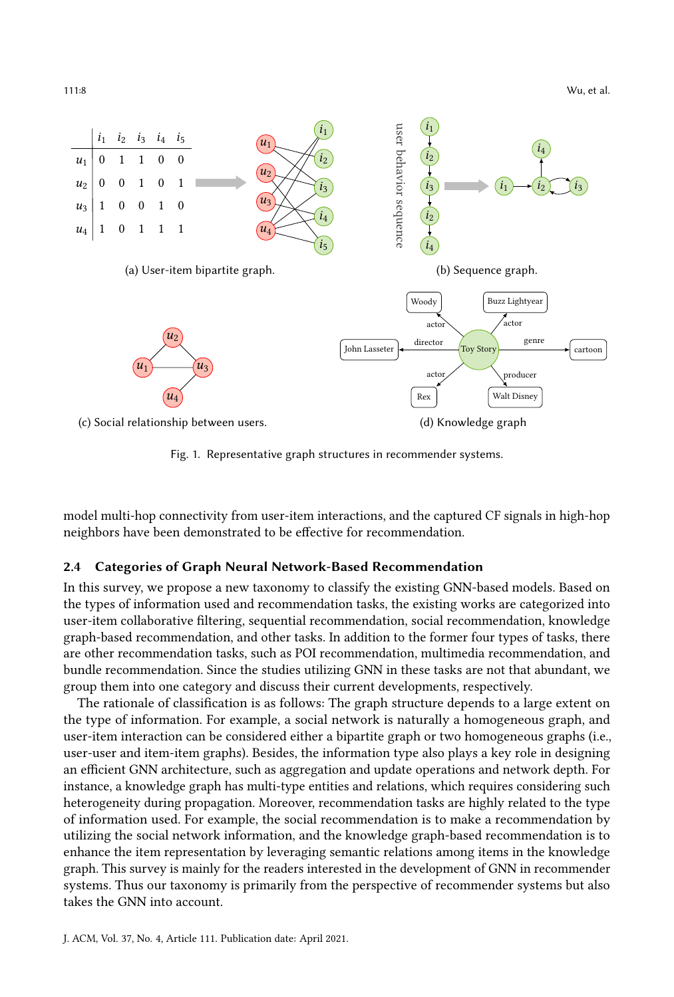111:8 Wu, et al.

<span id="page-7-0"></span>

Fig. 1. Representative graph structures in recommender systems.

model multi-hop connectivity from user-item interactions, and the captured CF signals in high-hop neighbors have been demonstrated to be effective for recommendation.

#### 2.4 Categories of Graph Neural Network-Based Recommendation

In this survey, we propose a new taxonomy to classify the existing GNN-based models. Based on the types of information used and recommendation tasks, the existing works are categorized into user-item collaborative filtering, sequential recommendation, social recommendation, knowledge graph-based recommendation, and other tasks. In addition to the former four types of tasks, there are other recommendation tasks, such as POI recommendation, multimedia recommendation, and bundle recommendation. Since the studies utilizing GNN in these tasks are not that abundant, we group them into one category and discuss their current developments, respectively.

The rationale of classification is as follows: The graph structure depends to a large extent on the type of information. For example, a social network is naturally a homogeneous graph, and user-item interaction can be considered either a bipartite graph or two homogeneous graphs (i.e., user-user and item-item graphs). Besides, the information type also plays a key role in designing an efficient GNN architecture, such as aggregation and update operations and network depth. For instance, a knowledge graph has multi-type entities and relations, which requires considering such heterogeneity during propagation. Moreover, recommendation tasks are highly related to the type of information used. For example, the social recommendation is to make a recommendation by utilizing the social network information, and the knowledge graph-based recommendation is to enhance the item representation by leveraging semantic relations among items in the knowledge graph. This survey is mainly for the readers interested in the development of GNN in recommender systems. Thus our taxonomy is primarily from the perspective of recommender systems but also takes the GNN into account.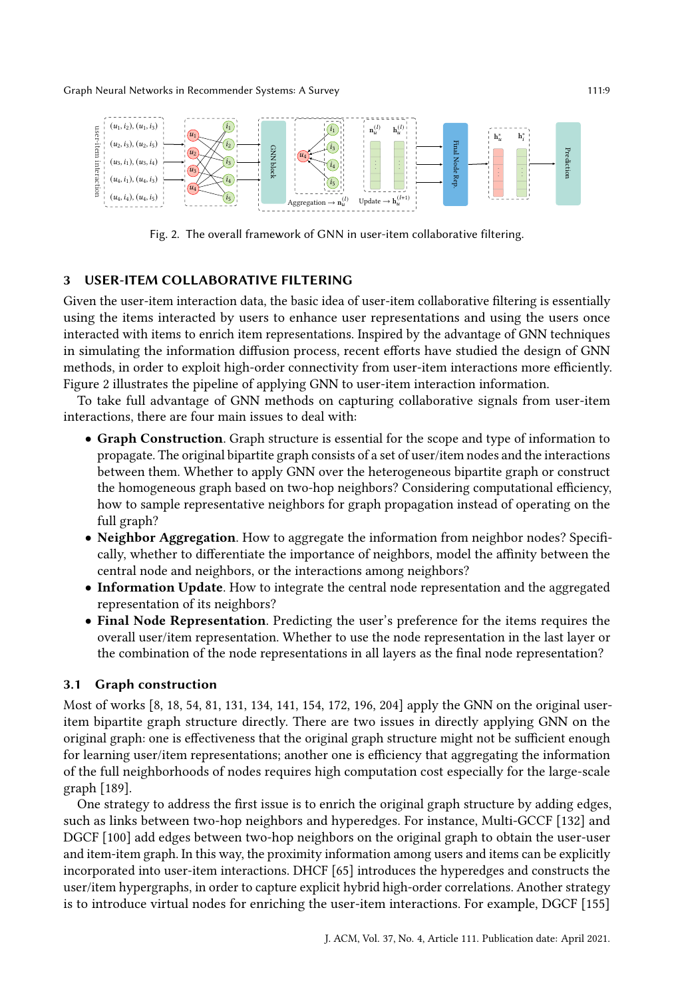<span id="page-8-0"></span>

Fig. 2. The overall framework of GNN in user-item collaborative filtering.

#### 3 USER-ITEM COLLABORATIVE FILTERING

Given the user-item interaction data, the basic idea of user-item collaborative filtering is essentially using the items interacted by users to enhance user representations and using the users once interacted with items to enrich item representations. Inspired by the advantage of GNN techniques in simulating the information diffusion process, recent efforts have studied the design of GNN methods, in order to exploit high-order connectivity from user-item interactions more efficiently. Figure [2](#page-8-0) illustrates the pipeline of applying GNN to user-item interaction information.

To take full advantage of GNN methods on capturing collaborative signals from user-item interactions, there are four main issues to deal with:

- Graph Construction. Graph structure is essential for the scope and type of information to propagate. The original bipartite graph consists of a set of user/item nodes and the interactions between them. Whether to apply GNN over the heterogeneous bipartite graph or construct the homogeneous graph based on two-hop neighbors? Considering computational efficiency, how to sample representative neighbors for graph propagation instead of operating on the full graph?
- Neighbor Aggregation. How to aggregate the information from neighbor nodes? Specifically, whether to differentiate the importance of neighbors, model the affinity between the central node and neighbors, or the interactions among neighbors?
- Information Update. How to integrate the central node representation and the aggregated representation of its neighbors?
- Final Node Representation. Predicting the user's preference for the items requires the overall user/item representation. Whether to use the node representation in the last layer or the combination of the node representations in all layers as the final node representation?

#### 3.1 Graph construction

Most of works [\[8,](#page-30-3) [18,](#page-30-11) [54,](#page-32-3) [81,](#page-33-10) [131,](#page-35-8) [134,](#page-35-9) [141,](#page-36-9) [154,](#page-36-3) [172,](#page-37-7) [196,](#page-38-6) [204\]](#page-39-3) apply the GNN on the original useritem bipartite graph structure directly. There are two issues in directly applying GNN on the original graph: one is effectiveness that the original graph structure might not be sufficient enough for learning user/item representations; another one is efficiency that aggregating the information of the full neighborhoods of nodes requires high computation cost especially for the large-scale graph [\[189\]](#page-38-1).

One strategy to address the first issue is to enrich the original graph structure by adding edges, such as links between two-hop neighbors and hyperedges. For instance, Multi-GCCF [\[132\]](#page-35-10) and DGCF [\[100\]](#page-34-5) add edges between two-hop neighbors on the original graph to obtain the user-user and item-item graph. In this way, the proximity information among users and items can be explicitly incorporated into user-item interactions. DHCF [\[65\]](#page-32-10) introduces the hyperedges and constructs the user/item hypergraphs, in order to capture explicit hybrid high-order correlations. Another strategy is to introduce virtual nodes for enriching the user-item interactions. For example, DGCF [\[155\]](#page-36-10)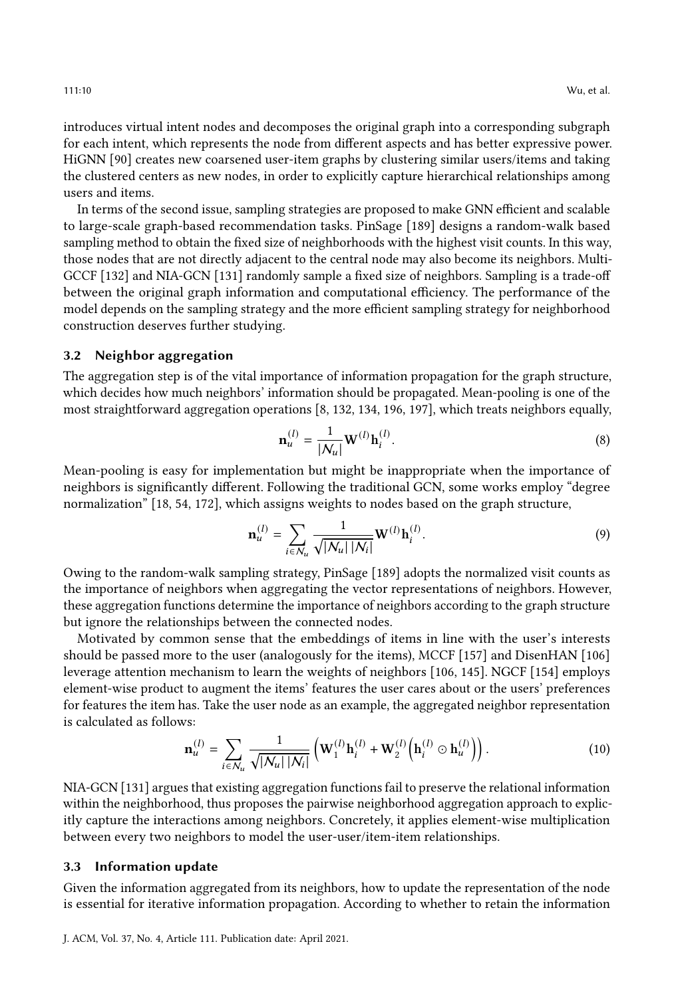introduces virtual intent nodes and decomposes the original graph into a corresponding subgraph for each intent, which represents the node from different aspects and has better expressive power. HiGNN [\[90\]](#page-33-11) creates new coarsened user-item graphs by clustering similar users/items and taking the clustered centers as new nodes, in order to explicitly capture hierarchical relationships among users and items.

In terms of the second issue, sampling strategies are proposed to make GNN efficient and scalable to large-scale graph-based recommendation tasks. PinSage [\[189\]](#page-38-1) designs a random-walk based sampling method to obtain the fixed size of neighborhoods with the highest visit counts. In this way, those nodes that are not directly adjacent to the central node may also become its neighbors. Multi-GCCF [\[132\]](#page-35-10) and NIA-GCN [\[131\]](#page-35-8) randomly sample a fixed size of neighbors. Sampling is a trade-off between the original graph information and computational efficiency. The performance of the model depends on the sampling strategy and the more efficient sampling strategy for neighborhood construction deserves further studying.

## 3.2 Neighbor aggregation

The aggregation step is of the vital importance of information propagation for the graph structure, which decides how much neighbors' information should be propagated. Mean-pooling is one of the most straightforward aggregation operations [\[8,](#page-30-3) [132,](#page-35-10) [134,](#page-35-9) [196,](#page-38-6) [197\]](#page-38-7), which treats neighbors equally,

$$
\mathbf{n}_u^{(l)} = \frac{1}{|\mathcal{N}_u|} \mathbf{W}^{(l)} \mathbf{h}_i^{(l)}.
$$
 (8)

Mean-pooling is easy for implementation but might be inappropriate when the importance of neighbors is significantly different. Following the traditional GCN, some works employ "degree normalization" [\[18,](#page-30-11) [54,](#page-32-3) [172\]](#page-37-7), which assigns weights to nodes based on the graph structure,

$$
\mathbf{n}_{u}^{(l)} = \sum_{i \in \mathcal{N}_{u}} \frac{1}{\sqrt{|\mathcal{N}_{u}| |\mathcal{N}_{i}|}} \mathbf{W}^{(l)} \mathbf{h}_{i}^{(l)}.
$$
 (9)

Owing to the random-walk sampling strategy, PinSage [\[189\]](#page-38-1) adopts the normalized visit counts as the importance of neighbors when aggregating the vector representations of neighbors. However, these aggregation functions determine the importance of neighbors according to the graph structure but ignore the relationships between the connected nodes.

Motivated by common sense that the embeddings of items in line with the user's interests should be passed more to the user (analogously for the items), MCCF [\[157\]](#page-36-11) and DisenHAN [\[106\]](#page-34-6) leverage attention mechanism to learn the weights of neighbors [\[106,](#page-34-6) [145\]](#page-36-2). NGCF [\[154\]](#page-36-3) employs element-wise product to augment the items' features the user cares about or the users' preferences for features the item has. Take the user node as an example, the aggregated neighbor representation is calculated as follows:

$$
\mathbf{n}_{u}^{(l)} = \sum_{i \in \mathcal{N}_{u}} \frac{1}{\sqrt{|\mathcal{N}_{u}| |\mathcal{N}_{i}|}} \left( \mathbf{W}_{1}^{(l)} \mathbf{h}_{i}^{(l)} + \mathbf{W}_{2}^{(l)} \left( \mathbf{h}_{i}^{(l)} \odot \mathbf{h}_{u}^{(l)} \right) \right).
$$
(10)

NIA-GCN [\[131\]](#page-35-8) argues that existing aggregation functions fail to preserve the relational information within the neighborhood, thus proposes the pairwise neighborhood aggregation approach to explicitly capture the interactions among neighbors. Concretely, it applies element-wise multiplication between every two neighbors to model the user-user/item-item relationships.

#### 3.3 Information update

Given the information aggregated from its neighbors, how to update the representation of the node is essential for iterative information propagation. According to whether to retain the information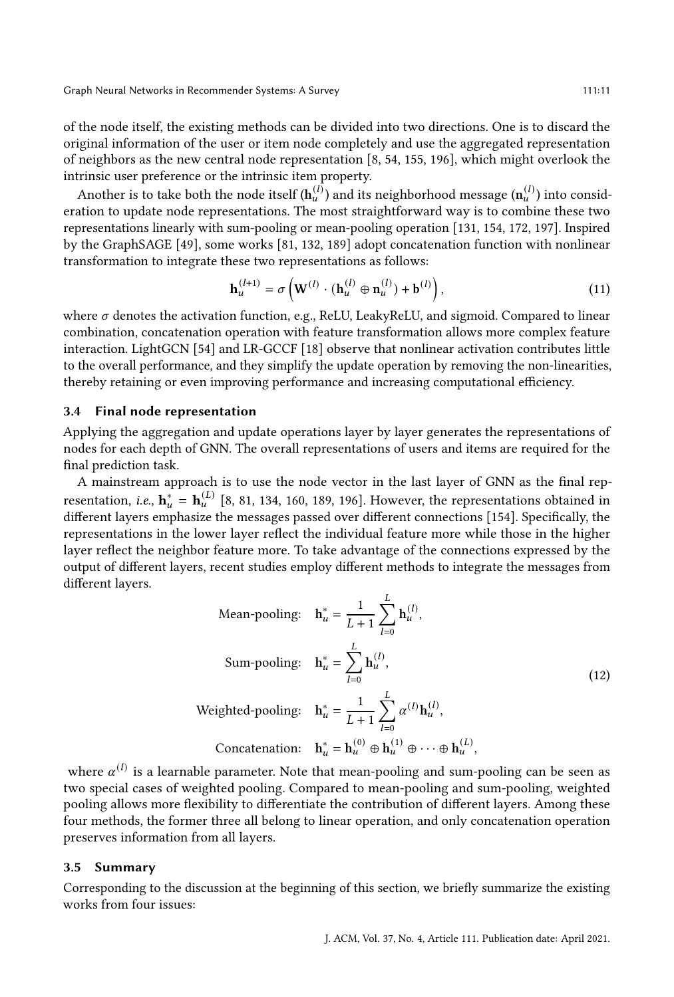of the node itself, the existing methods can be divided into two directions. One is to discard the original information of the user or item node completely and use the aggregated representation of neighbors as the new central node representation [\[8,](#page-30-3) [54,](#page-32-3) [155,](#page-36-10) [196\]](#page-38-6), which might overlook the intrinsic user preference or the intrinsic item property.

Another is to take both the node itself ( $h_u^{(l)}$ ) and its neighborhood message ( $n_u^{(l)}$ ) into consideration to update node representations. The most straightforward way is to combine these two representations linearly with sum-pooling or mean-pooling operation [\[131,](#page-35-8) [154,](#page-36-3) [172,](#page-37-7) [197\]](#page-38-7). Inspired by the GraphSAGE [\[49\]](#page-32-9), some works [\[81,](#page-33-10) [132,](#page-35-10) [189\]](#page-38-1) adopt concatenation function with nonlinear transformation to integrate these two representations as follows:

$$
\mathbf{h}_u^{(l+1)} = \sigma \left( \mathbf{W}^{(l)} \cdot (\mathbf{h}_u^{(l)} \oplus \mathbf{n}_u^{(l)}) + \mathbf{b}^{(l)} \right),\tag{11}
$$

where  $\sigma$  denotes the activation function, e.g., ReLU, LeakyReLU, and sigmoid. Compared to linear combination, concatenation operation with feature transformation allows more complex feature interaction. LightGCN [\[54\]](#page-32-3) and LR-GCCF [\[18\]](#page-30-11) observe that nonlinear activation contributes little to the overall performance, and they simplify the update operation by removing the non-linearities, thereby retaining or even improving performance and increasing computational efficiency.

#### 3.4 Final node representation

Applying the aggregation and update operations layer by layer generates the representations of nodes for each depth of GNN. The overall representations of users and items are required for the final prediction task.

A mainstream approach is to use the node vector in the last layer of GNN as the final representation, *i.e.*,  $\mathbf{h}_{u}^{i} = \mathbf{h}_{u}^{(L)}$  [\[8,](#page-30-3) [81,](#page-33-10) [134,](#page-35-9) [160,](#page-37-8) [189,](#page-38-1) [196\]](#page-38-6). However, the representations obtained in different layers emphasize the messages passed over different connections [\[154\]](#page-36-3). Specifically, the representations in the lower layer reflect the individual feature more while those in the higher layer reflect the neighbor feature more. To take advantage of the connections expressed by the output of different layers, recent studies employ different methods to integrate the messages from different layers.

Mean-pooling: 
$$
\mathbf{h}_{u}^{*} = \frac{1}{L+1} \sum_{l=0}^{L} \mathbf{h}_{u}^{(l)},
$$
  
\nSum-pooling: 
$$
\mathbf{h}_{u}^{*} = \sum_{l=0}^{L} \mathbf{h}_{u}^{(l)},
$$
  
\nWeighted-pooling: 
$$
\mathbf{h}_{u}^{*} = \frac{1}{L+1} \sum_{l=0}^{L} \alpha^{(l)} \mathbf{h}_{u}^{(l)},
$$
  
\nConcatenation: 
$$
\mathbf{h}_{u}^{*} = \mathbf{h}_{u}^{(0)} \oplus \mathbf{h}_{u}^{(1)} \oplus \cdots \oplus \mathbf{h}_{u}^{(L)},
$$

where  $\alpha^{(l)}$  is a learnable parameter. Note that mean-pooling and sum-pooling can be seen as two special cases of weighted pooling. Compared to mean-pooling and sum-pooling, weighted pooling allows more flexibility to differentiate the contribution of different layers. Among these four methods, the former three all belong to linear operation, and only concatenation operation preserves information from all layers.

#### 3.5 Summary

Corresponding to the discussion at the beginning of this section, we briefly summarize the existing works from four issues: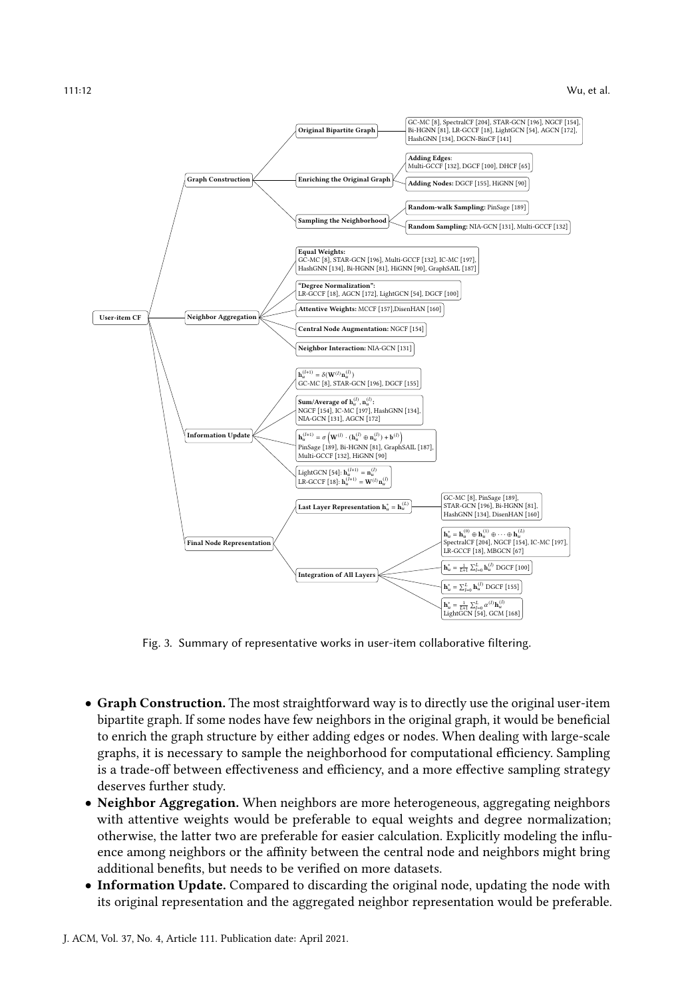<span id="page-11-0"></span>

Fig. 3. Summary of representative works in user-item collaborative filtering.

- Graph Construction. The most straightforward way is to directly use the original user-item bipartite graph. If some nodes have few neighbors in the original graph, it would be beneficial to enrich the graph structure by either adding edges or nodes. When dealing with large-scale graphs, it is necessary to sample the neighborhood for computational efficiency. Sampling is a trade-off between effectiveness and efficiency, and a more effective sampling strategy deserves further study.
- Neighbor Aggregation. When neighbors are more heterogeneous, aggregating neighbors with attentive weights would be preferable to equal weights and degree normalization; otherwise, the latter two are preferable for easier calculation. Explicitly modeling the influence among neighbors or the affinity between the central node and neighbors might bring additional benefits, but needs to be verified on more datasets.
- Information Update. Compared to discarding the original node, updating the node with its original representation and the aggregated neighbor representation would be preferable.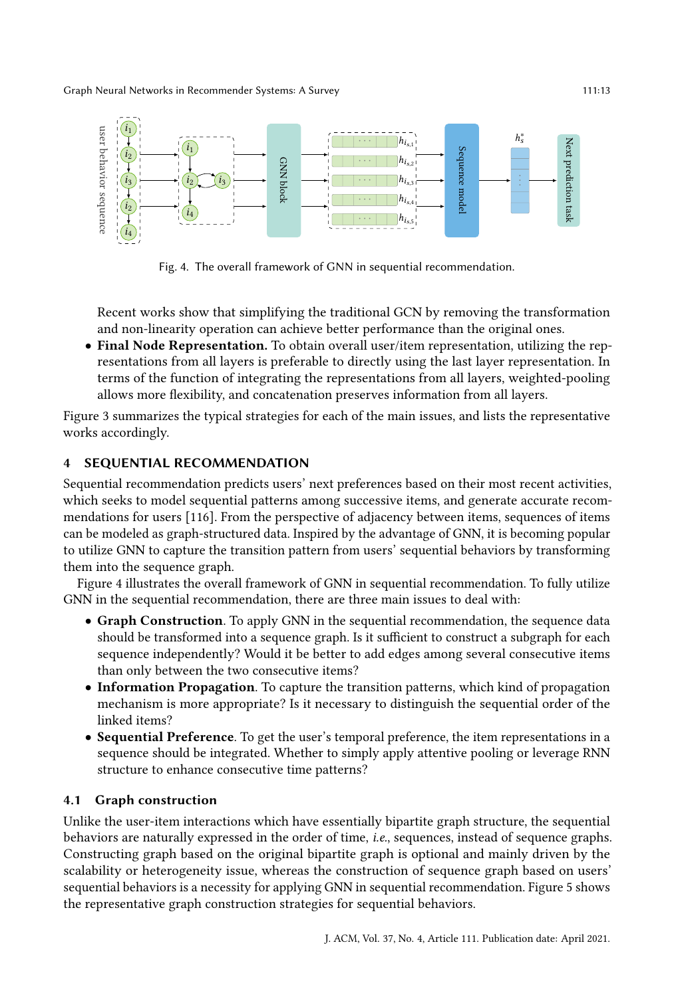<span id="page-12-0"></span>

Fig. 4. The overall framework of GNN in sequential recommendation.

Recent works show that simplifying the traditional GCN by removing the transformation and non-linearity operation can achieve better performance than the original ones.

• Final Node Representation. To obtain overall user/item representation, utilizing the representations from all layers is preferable to directly using the last layer representation. In terms of the function of integrating the representations from all layers, weighted-pooling allows more flexibility, and concatenation preserves information from all layers.

Figure [3](#page-11-0) summarizes the typical strategies for each of the main issues, and lists the representative works accordingly.

## 4 SEQUENTIAL RECOMMENDATION

Sequential recommendation predicts users' next preferences based on their most recent activities, which seeks to model sequential patterns among successive items, and generate accurate recommendations for users [\[116\]](#page-35-3). From the perspective of adjacency between items, sequences of items can be modeled as graph-structured data. Inspired by the advantage of GNN, it is becoming popular to utilize GNN to capture the transition pattern from users' sequential behaviors by transforming them into the sequence graph.

Figure [4](#page-12-0) illustrates the overall framework of GNN in sequential recommendation. To fully utilize GNN in the sequential recommendation, there are three main issues to deal with:

- Graph Construction. To apply GNN in the sequential recommendation, the sequence data should be transformed into a sequence graph. Is it sufficient to construct a subgraph for each sequence independently? Would it be better to add edges among several consecutive items than only between the two consecutive items?
- Information Propagation. To capture the transition patterns, which kind of propagation mechanism is more appropriate? Is it necessary to distinguish the sequential order of the linked items?
- Sequential Preference. To get the user's temporal preference, the item representations in a sequence should be integrated. Whether to simply apply attentive pooling or leverage RNN structure to enhance consecutive time patterns?

# 4.1 Graph construction

Unlike the user-item interactions which have essentially bipartite graph structure, the sequential behaviors are naturally expressed in the order of time, i.e., sequences, instead of sequence graphs. Constructing graph based on the original bipartite graph is optional and mainly driven by the scalability or heterogeneity issue, whereas the construction of sequence graph based on users' sequential behaviors is a necessity for applying GNN in sequential recommendation. Figure [5](#page-13-0) shows the representative graph construction strategies for sequential behaviors.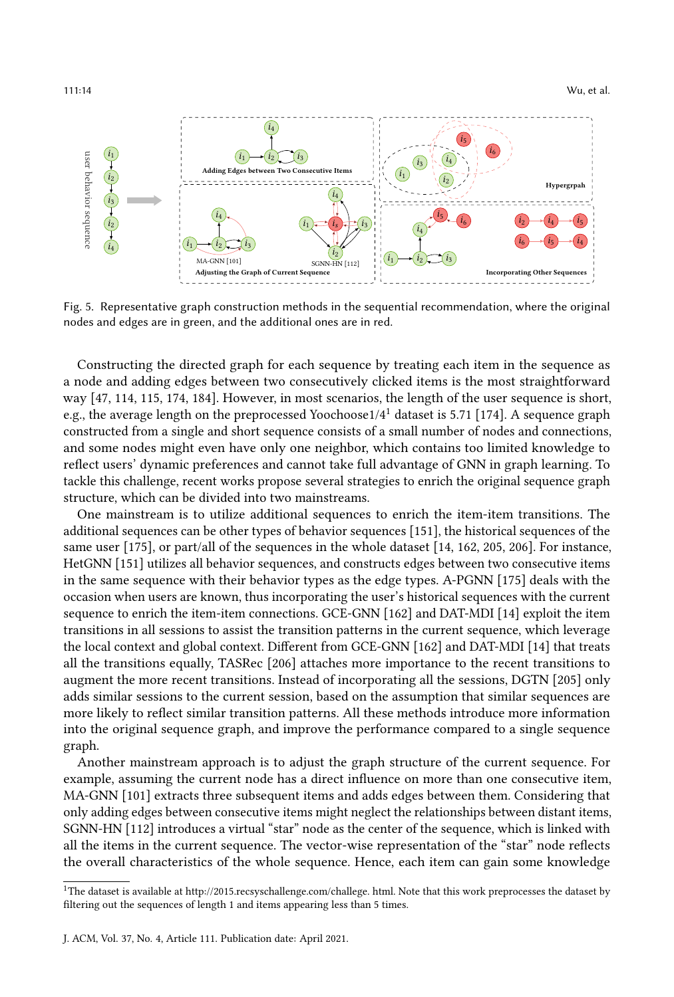<span id="page-13-0"></span>

Fig. 5. Representative graph construction methods in the sequential recommendation, where the original nodes and edges are in green, and the additional ones are in red.

Constructing the directed graph for each sequence by treating each item in the sequence as a node and adding edges between two consecutively clicked items is the most straightforward way [\[47,](#page-32-12) [114,](#page-35-2) [115,](#page-35-11) [174,](#page-37-1) [184\]](#page-38-9). However, in most scenarios, the length of the user sequence is short, e.g., the average length on the preprocessed Yoochoose1/4[1](#page-13-1) dataset is 5.71 [\[174\]](#page-37-1). A sequence graph constructed from a single and short sequence consists of a small number of nodes and connections, and some nodes might even have only one neighbor, which contains too limited knowledge to reflect users' dynamic preferences and cannot take full advantage of GNN in graph learning. To tackle this challenge, recent works propose several strategies to enrich the original sequence graph structure, which can be divided into two mainstreams.

One mainstream is to utilize additional sequences to enrich the item-item transitions. The additional sequences can be other types of behavior sequences [\[151\]](#page-36-12), the historical sequences of the same user [\[175\]](#page-37-10), or part/all of the sequences in the whole dataset [\[14,](#page-30-12) [162,](#page-37-11) [205,](#page-39-4) [206\]](#page-39-5). For instance, HetGNN [\[151\]](#page-36-12) utilizes all behavior sequences, and constructs edges between two consecutive items in the same sequence with their behavior types as the edge types. A-PGNN [\[175\]](#page-37-10) deals with the occasion when users are known, thus incorporating the user's historical sequences with the current sequence to enrich the item-item connections. GCE-GNN [\[162\]](#page-37-11) and DAT-MDI [\[14\]](#page-30-12) exploit the item transitions in all sessions to assist the transition patterns in the current sequence, which leverage the local context and global context. Different from GCE-GNN [\[162\]](#page-37-11) and DAT-MDI [\[14\]](#page-30-12) that treats all the transitions equally, TASRec [\[206\]](#page-39-5) attaches more importance to the recent transitions to augment the more recent transitions. Instead of incorporating all the sessions, DGTN [\[205\]](#page-39-4) only adds similar sessions to the current session, based on the assumption that similar sequences are more likely to reflect similar transition patterns. All these methods introduce more information into the original sequence graph, and improve the performance compared to a single sequence graph.

Another mainstream approach is to adjust the graph structure of the current sequence. For example, assuming the current node has a direct influence on more than one consecutive item, MA-GNN [\[101\]](#page-34-7) extracts three subsequent items and adds edges between them. Considering that only adding edges between consecutive items might neglect the relationships between distant items, SGNN-HN [\[112\]](#page-34-8) introduces a virtual "star" node as the center of the sequence, which is linked with all the items in the current sequence. The vector-wise representation of the "star" node reflects the overall characteristics of the whole sequence. Hence, each item can gain some knowledge

<span id="page-13-1"></span> $^{\rm 1}{\rm The}$  dataset is available at http://2015.recsyschallenge.com/challege. html. Note that this work preprocesses the dataset by filtering out the sequences of length 1 and items appearing less than 5 times.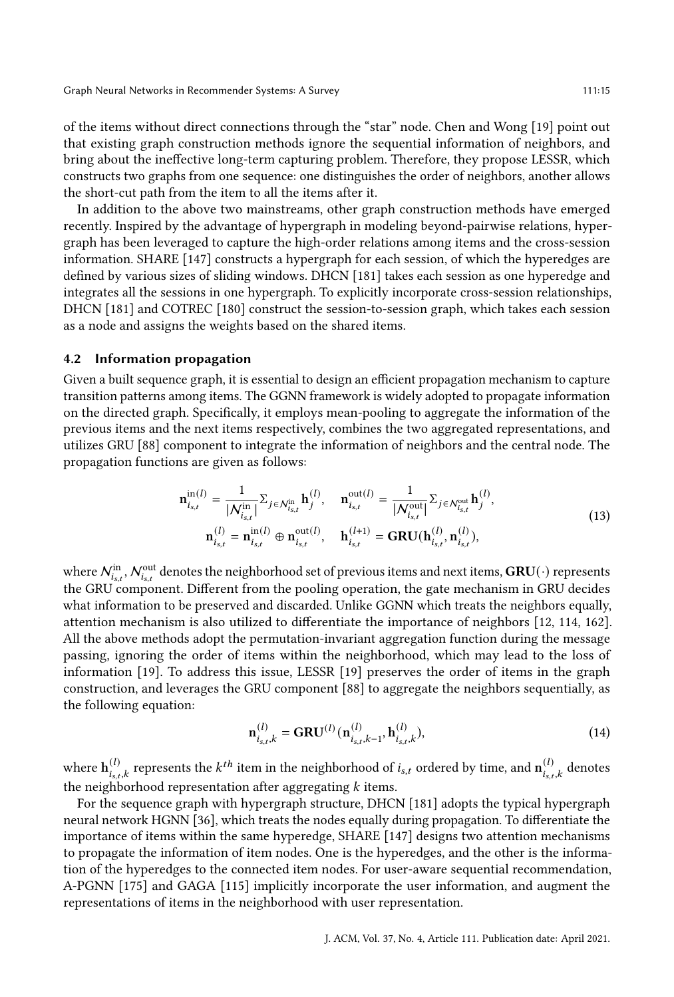of the items without direct connections through the "star" node. Chen and Wong [\[19\]](#page-30-13) point out that existing graph construction methods ignore the sequential information of neighbors, and bring about the ineffective long-term capturing problem. Therefore, they propose LESSR, which constructs two graphs from one sequence: one distinguishes the order of neighbors, another allows the short-cut path from the item to all the items after it.

In addition to the above two mainstreams, other graph construction methods have emerged recently. Inspired by the advantage of hypergraph in modeling beyond-pairwise relations, hypergraph has been leveraged to capture the high-order relations among items and the cross-session information. SHARE [\[147\]](#page-36-13) constructs a hypergraph for each session, of which the hyperedges are defined by various sizes of sliding windows. DHCN [\[181\]](#page-38-10) takes each session as one hyperedge and integrates all the sessions in one hypergraph. To explicitly incorporate cross-session relationships, DHCN [\[181\]](#page-38-10) and COTREC [\[180\]](#page-37-12) construct the session-to-session graph, which takes each session as a node and assigns the weights based on the shared items.

## 4.2 Information propagation

Given a built sequence graph, it is essential to design an efficient propagation mechanism to capture transition patterns among items. The GGNN framework is widely adopted to propagate information on the directed graph. Specifically, it employs mean-pooling to aggregate the information of the previous items and the next items respectively, combines the two aggregated representations, and utilizes GRU [\[88\]](#page-33-8) component to integrate the information of neighbors and the central node. The propagation functions are given as follows:

$$
\mathbf{n}_{i_{s,t}}^{in(l)} = \frac{1}{|\mathcal{N}_{i_{s,t}}^{in}|} \Sigma_{j \in \mathcal{N}_{i_{s,t}}^{in}} \mathbf{h}_{j}^{(l)}, \quad \mathbf{n}_{i_{s,t}}^{out(l)} = \frac{1}{|\mathcal{N}_{i_{s,t}}^{out}|} \Sigma_{j \in \mathcal{N}_{i_{s,t}}^{out}} \mathbf{h}_{j}^{(l)},
$$
\n
$$
\mathbf{n}_{i_{s,t}}^{(l)} = \mathbf{n}_{i_{s,t}}^{in(l)} \oplus \mathbf{n}_{i_{s,t}}^{out(l)}, \quad \mathbf{h}_{i_{s,t}}^{(l+1)} = \mathbf{GRU}(\mathbf{h}_{i_{s,t}}^{(l)}, \mathbf{n}_{i_{s,t}}^{(l)}),
$$
\n(13)

where  $\mathcal{N}_{i_{s,t}}^{\text{in}},\mathcal{N}_{i_{s,t}}^{\text{out}}$  denotes the neighborhood set of previous items and next items,  $\textbf{GRU}(\cdot)$  represents the GRU component. Different from the pooling operation, the gate mechanism in GRU decides what information to be preserved and discarded. Unlike GGNN which treats the neighbors equally, attention mechanism is also utilized to differentiate the importance of neighbors [\[12,](#page-30-14) [114,](#page-35-2) [162\]](#page-37-11). All the above methods adopt the permutation-invariant aggregation function during the message passing, ignoring the order of items within the neighborhood, which may lead to the loss of information [\[19\]](#page-30-13). To address this issue, LESSR [\[19\]](#page-30-13) preserves the order of items in the graph construction, and leverages the GRU component [\[88\]](#page-33-8) to aggregate the neighbors sequentially, as the following equation:

$$
\mathbf{n}_{i_{s,t},k}^{(l)} = \mathbf{GRU}^{(l)}(\mathbf{n}_{i_{s,t},k-1}^{(l)}, \mathbf{h}_{i_{s,t},k}^{(l)}),
$$
\n(14)

where  $\mathbf{h}_{i_s,t,k}^{(l)}$  represents the  $k^{th}$  item in the neighborhood of  $i_{s,t}$  ordered by time, and  $\mathbf{n}_{i_s,t,k}^{(l)}$  denotes the neighborhood representation after aggregating  $k$  items.

For the sequence graph with hypergraph structure, DHCN [\[181\]](#page-38-10) adopts the typical hypergraph neural network HGNN [\[36\]](#page-31-8), which treats the nodes equally during propagation. To differentiate the importance of items within the same hyperedge, SHARE [\[147\]](#page-36-13) designs two attention mechanisms to propagate the information of item nodes. One is the hyperedges, and the other is the information of the hyperedges to the connected item nodes. For user-aware sequential recommendation, A-PGNN [\[175\]](#page-37-10) and GAGA [\[115\]](#page-35-11) implicitly incorporate the user information, and augment the representations of items in the neighborhood with user representation.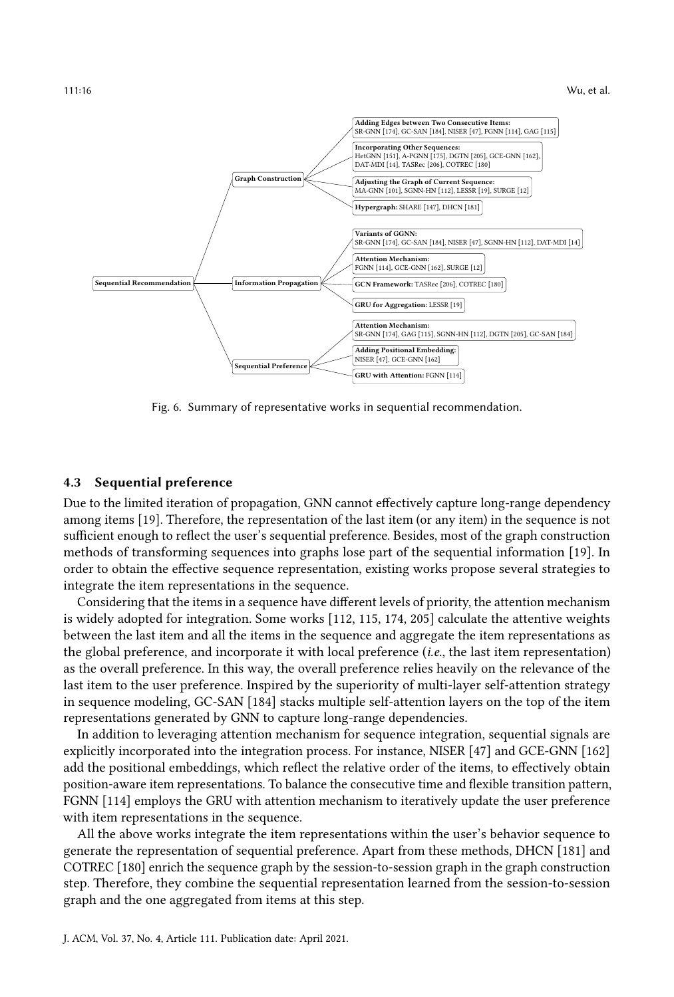<span id="page-15-0"></span>

Fig. 6. Summary of representative works in sequential recommendation.

#### 4.3 Sequential preference

Due to the limited iteration of propagation, GNN cannot effectively capture long-range dependency among items [\[19\]](#page-30-13). Therefore, the representation of the last item (or any item) in the sequence is not sufficient enough to reflect the user's sequential preference. Besides, most of the graph construction methods of transforming sequences into graphs lose part of the sequential information [\[19\]](#page-30-13). In order to obtain the effective sequence representation, existing works propose several strategies to integrate the item representations in the sequence.

Considering that the items in a sequence have different levels of priority, the attention mechanism is widely adopted for integration. Some works [\[112,](#page-34-8) [115,](#page-35-11) [174,](#page-37-1) [205\]](#page-39-4) calculate the attentive weights between the last item and all the items in the sequence and aggregate the item representations as the global preference, and incorporate it with local preference (i.e., the last item representation) as the overall preference. In this way, the overall preference relies heavily on the relevance of the last item to the user preference. Inspired by the superiority of multi-layer self-attention strategy in sequence modeling, GC-SAN [\[184\]](#page-38-9) stacks multiple self-attention layers on the top of the item representations generated by GNN to capture long-range dependencies.

In addition to leveraging attention mechanism for sequence integration, sequential signals are explicitly incorporated into the integration process. For instance, NISER [\[47\]](#page-32-12) and GCE-GNN [\[162\]](#page-37-11) add the positional embeddings, which reflect the relative order of the items, to effectively obtain position-aware item representations. To balance the consecutive time and flexible transition pattern, FGNN [\[114\]](#page-35-2) employs the GRU with attention mechanism to iteratively update the user preference with item representations in the sequence.

All the above works integrate the item representations within the user's behavior sequence to generate the representation of sequential preference. Apart from these methods, DHCN [\[181\]](#page-38-10) and COTREC [\[180\]](#page-37-12) enrich the sequence graph by the session-to-session graph in the graph construction step. Therefore, they combine the sequential representation learned from the session-to-session graph and the one aggregated from items at this step.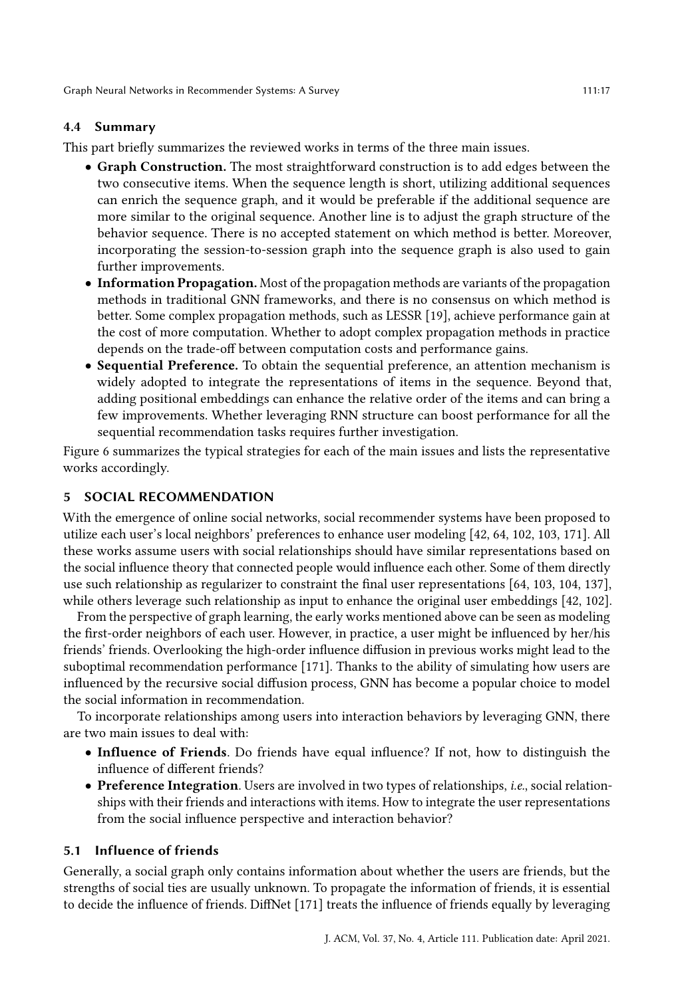# 4.4 Summary

This part briefly summarizes the reviewed works in terms of the three main issues.

- Graph Construction. The most straightforward construction is to add edges between the two consecutive items. When the sequence length is short, utilizing additional sequences can enrich the sequence graph, and it would be preferable if the additional sequence are more similar to the original sequence. Another line is to adjust the graph structure of the behavior sequence. There is no accepted statement on which method is better. Moreover, incorporating the session-to-session graph into the sequence graph is also used to gain further improvements.
- Information Propagation. Most of the propagation methods are variants of the propagation methods in traditional GNN frameworks, and there is no consensus on which method is better. Some complex propagation methods, such as LESSR [\[19\]](#page-30-13), achieve performance gain at the cost of more computation. Whether to adopt complex propagation methods in practice depends on the trade-off between computation costs and performance gains.
- Sequential Preference. To obtain the sequential preference, an attention mechanism is widely adopted to integrate the representations of items in the sequence. Beyond that, adding positional embeddings can enhance the relative order of the items and can bring a few improvements. Whether leveraging RNN structure can boost performance for all the sequential recommendation tasks requires further investigation.

Figure [6](#page-15-0) summarizes the typical strategies for each of the main issues and lists the representative works accordingly.

# 5 SOCIAL RECOMMENDATION

With the emergence of online social networks, social recommender systems have been proposed to utilize each user's local neighbors' preferences to enhance user modeling [\[42,](#page-31-6) [64,](#page-32-7) [102,](#page-34-3) [103,](#page-34-9) [171\]](#page-37-0). All these works assume users with social relationships should have similar representations based on the social influence theory that connected people would influence each other. Some of them directly use such relationship as regularizer to constraint the final user representations [\[64,](#page-32-7) [103,](#page-34-9) [104,](#page-34-4) [137\]](#page-36-7), while others leverage such relationship as input to enhance the original user embeddings [\[42,](#page-31-6) [102\]](#page-34-3).

From the perspective of graph learning, the early works mentioned above can be seen as modeling the first-order neighbors of each user. However, in practice, a user might be influenced by her/his friends' friends. Overlooking the high-order influence diffusion in previous works might lead to the suboptimal recommendation performance [\[171\]](#page-37-0). Thanks to the ability of simulating how users are influenced by the recursive social diffusion process, GNN has become a popular choice to model the social information in recommendation.

To incorporate relationships among users into interaction behaviors by leveraging GNN, there are two main issues to deal with:

- Influence of Friends. Do friends have equal influence? If not, how to distinguish the influence of different friends?
- Preference Integration. Users are involved in two types of relationships, i.e., social relationships with their friends and interactions with items. How to integrate the user representations from the social influence perspective and interaction behavior?

#### 5.1 Influence of friends

Generally, a social graph only contains information about whether the users are friends, but the strengths of social ties are usually unknown. To propagate the information of friends, it is essential to decide the influence of friends. DiffNet [\[171\]](#page-37-0) treats the influence of friends equally by leveraging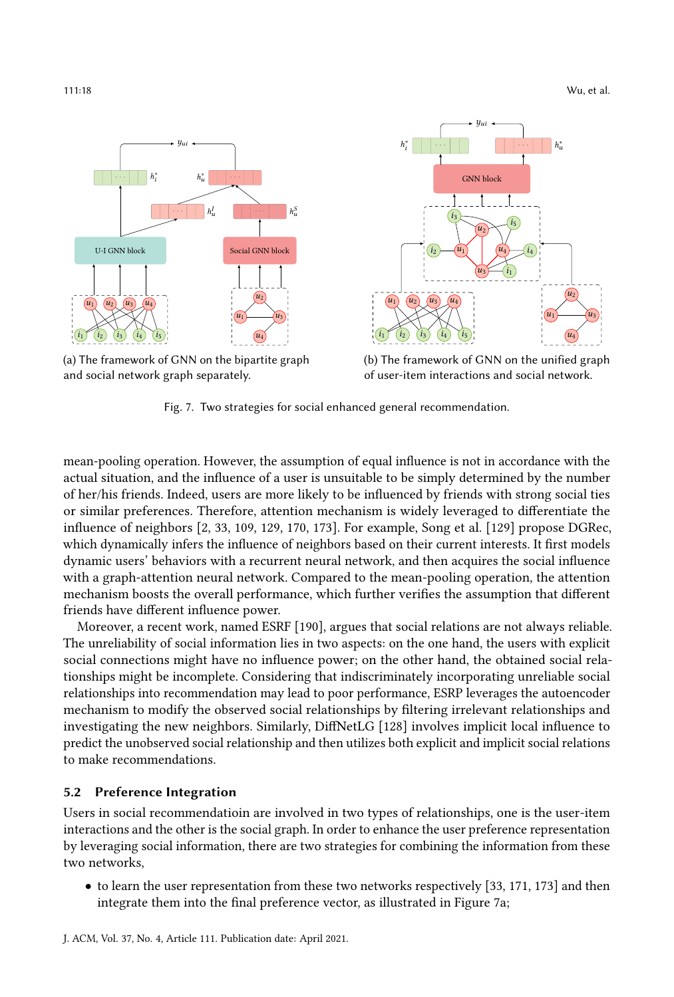111:18 Wu, et al.

<span id="page-17-0"></span>

(a) The framework of GNN on the bipartite graph and social network graph separately.



(b) The framework of GNN on the unified graph of user-item interactions and social network.

Fig. 7. Two strategies for social enhanced general recommendation.

mean-pooling operation. However, the assumption of equal influence is not in accordance with the actual situation, and the influence of a user is unsuitable to be simply determined by the number of her/his friends. Indeed, users are more likely to be influenced by friends with strong social ties or similar preferences. Therefore, attention mechanism is widely leveraged to differentiate the influence of neighbors [\[2,](#page-30-15) [33,](#page-31-1) [109,](#page-34-10) [129,](#page-35-12) [170,](#page-37-13) [173\]](#page-37-14). For example, Song et al. [\[129\]](#page-35-12) propose DGRec, which dynamically infers the influence of neighbors based on their current interests. It first models dynamic users' behaviors with a recurrent neural network, and then acquires the social influence with a graph-attention neural network. Compared to the mean-pooling operation, the attention mechanism boosts the overall performance, which further verifies the assumption that different friends have different influence power.

Moreover, a recent work, named ESRF [\[190\]](#page-38-11), argues that social relations are not always reliable. The unreliability of social information lies in two aspects: on the one hand, the users with explicit social connections might have no influence power; on the other hand, the obtained social relationships might be incomplete. Considering that indiscriminately incorporating unreliable social relationships into recommendation may lead to poor performance, ESRP leverages the autoencoder mechanism to modify the observed social relationships by filtering irrelevant relationships and investigating the new neighbors. Similarly, DiffNetLG [\[128\]](#page-35-13) involves implicit local influence to predict the unobserved social relationship and then utilizes both explicit and implicit social relations to make recommendations.

# 5.2 Preference Integration

Users in social recommendatioin are involved in two types of relationships, one is the user-item interactions and the other is the social graph. In order to enhance the user preference representation by leveraging social information, there are two strategies for combining the information from these two networks,

• to learn the user representation from these two networks respectively [\[33,](#page-31-1) [171,](#page-37-0) [173\]](#page-37-14) and then integrate them into the final preference vector, as illustrated in Figure [7a;](#page-17-0)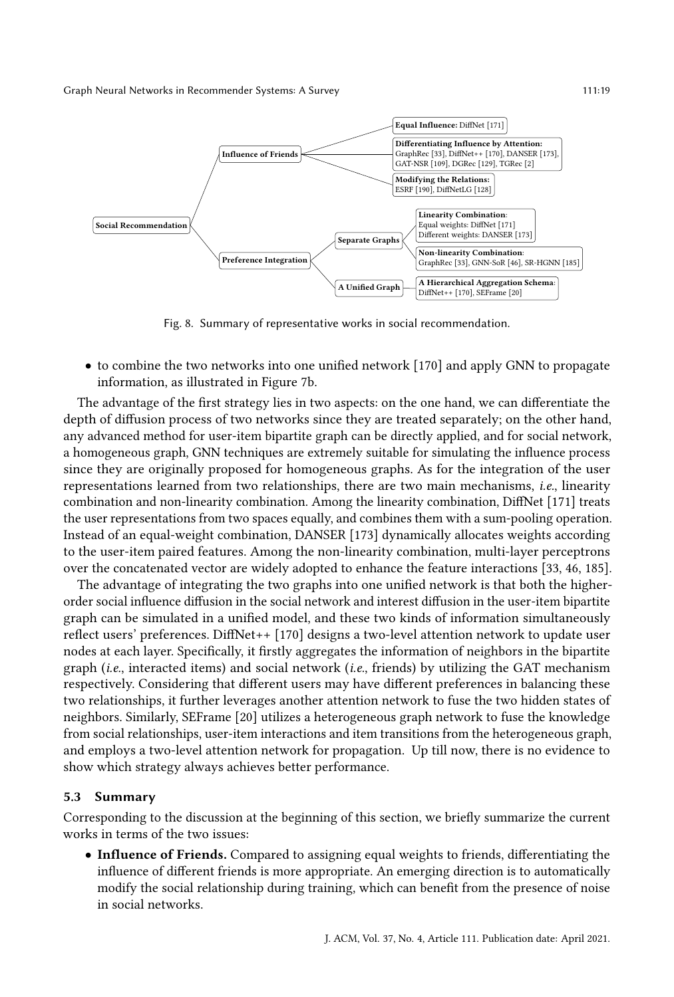<span id="page-18-0"></span>

Fig. 8. Summary of representative works in social recommendation.

• to combine the two networks into one unified network [\[170\]](#page-37-13) and apply GNN to propagate information, as illustrated in Figure [7b.](#page-17-0)

The advantage of the first strategy lies in two aspects: on the one hand, we can differentiate the depth of diffusion process of two networks since they are treated separately; on the other hand, any advanced method for user-item bipartite graph can be directly applied, and for social network, a homogeneous graph, GNN techniques are extremely suitable for simulating the influence process since they are originally proposed for homogeneous graphs. As for the integration of the user representations learned from two relationships, there are two main mechanisms, i.e., linearity combination and non-linearity combination. Among the linearity combination, DiffNet [\[171\]](#page-37-0) treats the user representations from two spaces equally, and combines them with a sum-pooling operation. Instead of an equal-weight combination, DANSER [\[173\]](#page-37-14) dynamically allocates weights according to the user-item paired features. Among the non-linearity combination, multi-layer perceptrons over the concatenated vector are widely adopted to enhance the feature interactions [\[33,](#page-31-1) [46,](#page-31-10) [185\]](#page-38-12).

The advantage of integrating the two graphs into one unified network is that both the higherorder social influence diffusion in the social network and interest diffusion in the user-item bipartite graph can be simulated in a unified model, and these two kinds of information simultaneously reflect users' preferences. DiffNet++ [\[170\]](#page-37-13) designs a two-level attention network to update user nodes at each layer. Specifically, it firstly aggregates the information of neighbors in the bipartite graph (*i.e.*, interacted items) and social network (*i.e.*, friends) by utilizing the GAT mechanism respectively. Considering that different users may have different preferences in balancing these two relationships, it further leverages another attention network to fuse the two hidden states of neighbors. Similarly, SEFrame [\[20\]](#page-30-16) utilizes a heterogeneous graph network to fuse the knowledge from social relationships, user-item interactions and item transitions from the heterogeneous graph, and employs a two-level attention network for propagation. Up till now, there is no evidence to show which strategy always achieves better performance.

#### 5.3 Summary

Corresponding to the discussion at the beginning of this section, we briefly summarize the current works in terms of the two issues:

• Influence of Friends. Compared to assigning equal weights to friends, differentiating the influence of different friends is more appropriate. An emerging direction is to automatically modify the social relationship during training, which can benefit from the presence of noise in social networks.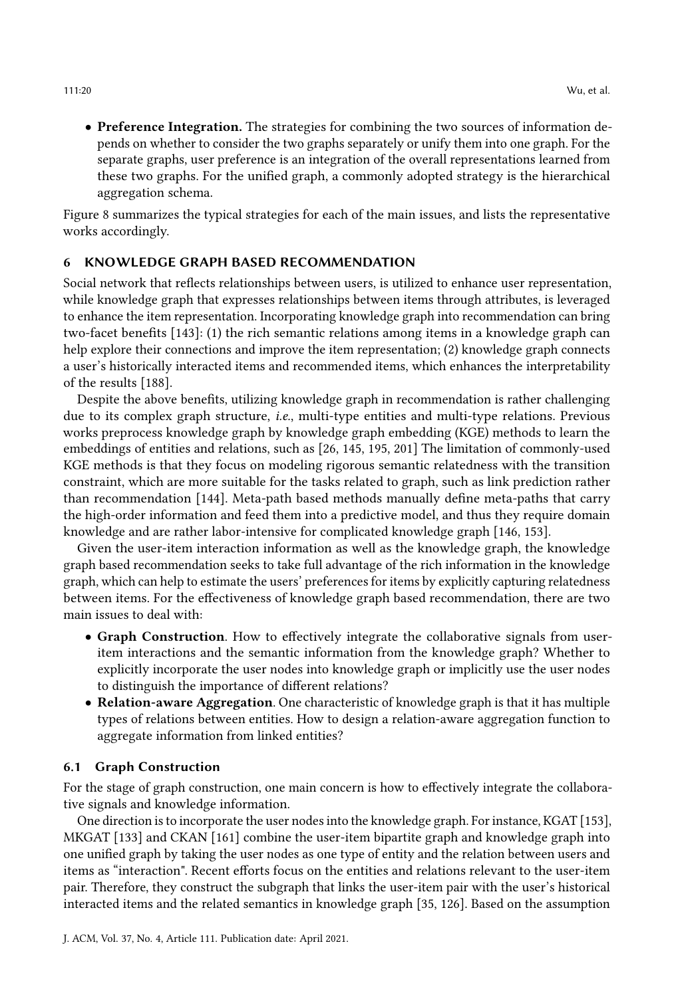• Preference Integration. The strategies for combining the two sources of information depends on whether to consider the two graphs separately or unify them into one graph. For the separate graphs, user preference is an integration of the overall representations learned from these two graphs. For the unified graph, a commonly adopted strategy is the hierarchical aggregation schema.

Figure [8](#page-18-0) summarizes the typical strategies for each of the main issues, and lists the representative works accordingly.

## 6 KNOWLEDGE GRAPH BASED RECOMMENDATION

Social network that reflects relationships between users, is utilized to enhance user representation, while knowledge graph that expresses relationships between items through attributes, is leveraged to enhance the item representation. Incorporating knowledge graph into recommendation can bring two-facet benefits [\[143\]](#page-36-14): (1) the rich semantic relations among items in a knowledge graph can help explore their connections and improve the item representation; (2) knowledge graph connects a user's historically interacted items and recommended items, which enhances the interpretability of the results [\[188\]](#page-38-13).

Despite the above benefits, utilizing knowledge graph in recommendation is rather challenging due to its complex graph structure, i.e., multi-type entities and multi-type relations. Previous works preprocess knowledge graph by knowledge graph embedding (KGE) methods to learn the embeddings of entities and relations, such as [\[26,](#page-31-11) [145,](#page-36-2) [195,](#page-38-3) [201\]](#page-38-14) The limitation of commonly-used KGE methods is that they focus on modeling rigorous semantic relatedness with the transition constraint, which are more suitable for the tasks related to graph, such as link prediction rather than recommendation [\[144\]](#page-36-15). Meta-path based methods manually define meta-paths that carry the high-order information and feed them into a predictive model, and thus they require domain knowledge and are rather labor-intensive for complicated knowledge graph [\[146,](#page-36-16) [153\]](#page-36-17).

Given the user-item interaction information as well as the knowledge graph, the knowledge graph based recommendation seeks to take full advantage of the rich information in the knowledge graph, which can help to estimate the users' preferences for items by explicitly capturing relatedness between items. For the effectiveness of knowledge graph based recommendation, there are two main issues to deal with:

- Graph Construction. How to effectively integrate the collaborative signals from useritem interactions and the semantic information from the knowledge graph? Whether to explicitly incorporate the user nodes into knowledge graph or implicitly use the user nodes to distinguish the importance of different relations?
- Relation-aware Aggregation. One characteristic of knowledge graph is that it has multiple types of relations between entities. How to design a relation-aware aggregation function to aggregate information from linked entities?

#### 6.1 Graph Construction

For the stage of graph construction, one main concern is how to effectively integrate the collaborative signals and knowledge information.

One direction is to incorporate the user nodes into the knowledge graph. For instance, KGAT [\[153\]](#page-36-17), MKGAT [\[133\]](#page-35-14) and CKAN [\[161\]](#page-37-15) combine the user-item bipartite graph and knowledge graph into one unified graph by taking the user nodes as one type of entity and the relation between users and items as "interaction". Recent efforts focus on the entities and relations relevant to the user-item pair. Therefore, they construct the subgraph that links the user-item pair with the user's historical interacted items and the related semantics in knowledge graph [\[35,](#page-31-12) [126\]](#page-35-15). Based on the assumption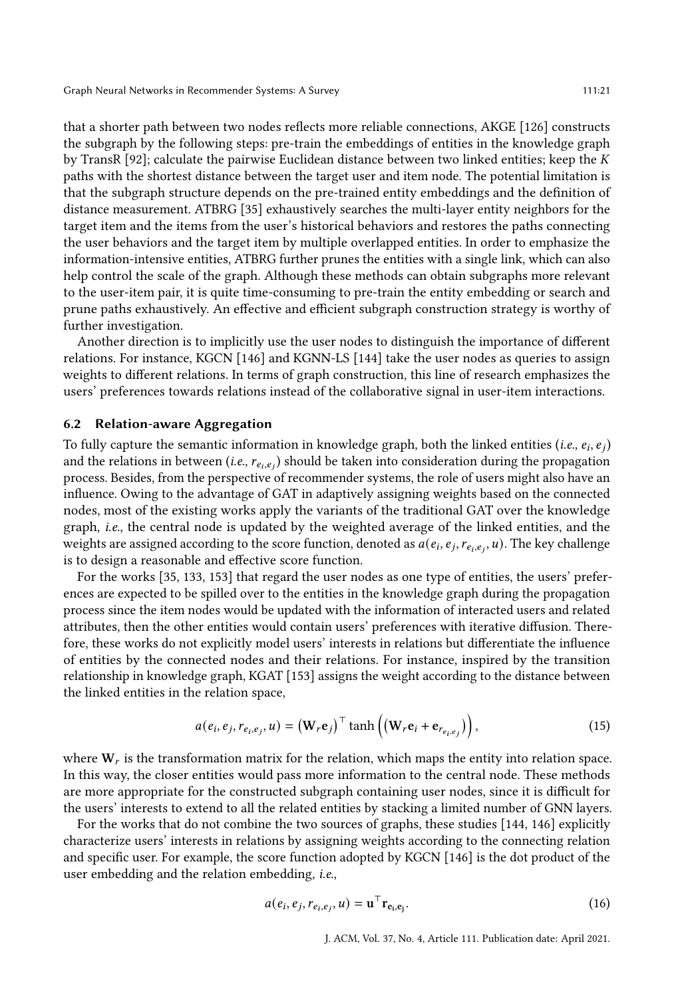that a shorter path between two nodes reflects more reliable connections, AKGE [\[126\]](#page-35-15) constructs the subgraph by the following steps: pre-train the embeddings of entities in the knowledge graph by TransR [\[92\]](#page-34-11); calculate the pairwise Euclidean distance between two linked entities; keep the  $K$ paths with the shortest distance between the target user and item node. The potential limitation is that the subgraph structure depends on the pre-trained entity embeddings and the definition of distance measurement. ATBRG [\[35\]](#page-31-12) exhaustively searches the multi-layer entity neighbors for the target item and the items from the user's historical behaviors and restores the paths connecting the user behaviors and the target item by multiple overlapped entities. In order to emphasize the information-intensive entities, ATBRG further prunes the entities with a single link, which can also help control the scale of the graph. Although these methods can obtain subgraphs more relevant to the user-item pair, it is quite time-consuming to pre-train the entity embedding or search and prune paths exhaustively. An effective and efficient subgraph construction strategy is worthy of further investigation.

Another direction is to implicitly use the user nodes to distinguish the importance of different relations. For instance, KGCN [\[146\]](#page-36-16) and KGNN-LS [\[144\]](#page-36-15) take the user nodes as queries to assign weights to different relations. In terms of graph construction, this line of research emphasizes the users' preferences towards relations instead of the collaborative signal in user-item interactions.

#### 6.2 Relation-aware Aggregation

To fully capture the semantic information in knowledge graph, both the linked entities (*i.e.*,  $e_i$ ,  $e_j$ ) and the relations in between (*i.e.*,  $r_{e_i,e_j}$ ) should be taken into consideration during the propagation process. Besides, from the perspective of recommender systems, the role of users might also have an influence. Owing to the advantage of GAT in adaptively assigning weights based on the connected nodes, most of the existing works apply the variants of the traditional GAT over the knowledge graph, i.e., the central node is updated by the weighted average of the linked entities, and the weights are assigned according to the score function, denoted as  $a(e_i, e_j, r_{e_i, e_j}, u)$ . The key challenge is to design a reasonable and effective score function.

For the works [\[35,](#page-31-12) [133,](#page-35-14) [153\]](#page-36-17) that regard the user nodes as one type of entities, the users' preferences are expected to be spilled over to the entities in the knowledge graph during the propagation process since the item nodes would be updated with the information of interacted users and related attributes, then the other entities would contain users' preferences with iterative diffusion. Therefore, these works do not explicitly model users' interests in relations but differentiate the influence of entities by the connected nodes and their relations. For instance, inspired by the transition relationship in knowledge graph, KGAT [\[153\]](#page-36-17) assigns the weight according to the distance between the linked entities in the relation space,

$$
a(e_i, e_j, r_{e_i, e_j}, u) = (\mathbf{W}_r \mathbf{e}_j)^\top \tanh\left((\mathbf{W}_r \mathbf{e}_i + \mathbf{e}_{r_{e_i, e_j}})\right),\tag{15}
$$

where  $W_r$  is the transformation matrix for the relation, which maps the entity into relation space. In this way, the closer entities would pass more information to the central node. These methods are more appropriate for the constructed subgraph containing user nodes, since it is difficult for the users' interests to extend to all the related entities by stacking a limited number of GNN layers.

For the works that do not combine the two sources of graphs, these studies [\[144,](#page-36-15) [146\]](#page-36-16) explicitly characterize users' interests in relations by assigning weights according to the connecting relation and specific user. For example, the score function adopted by KGCN [\[146\]](#page-36-16) is the dot product of the user embedding and the relation embedding, i.e.,

$$
a(e_i, e_j, r_{e_i, e_j}, u) = \mathbf{u}^\top \mathbf{r}_{\mathbf{e}_i, \mathbf{e}_j}.
$$
 (16)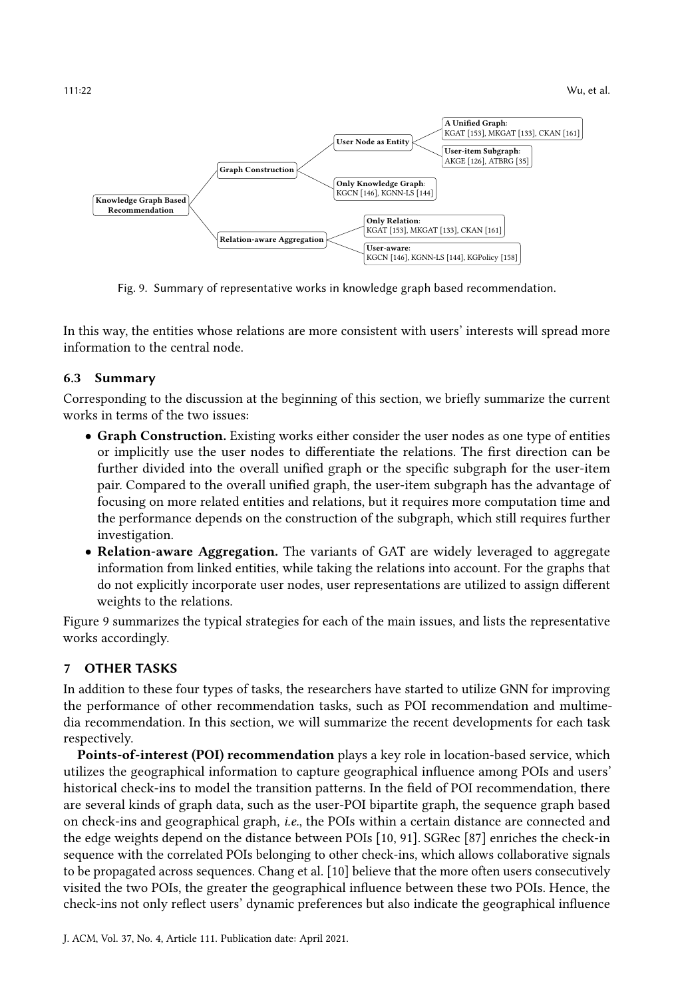<span id="page-21-0"></span>

Fig. 9. Summary of representative works in knowledge graph based recommendation.

In this way, the entities whose relations are more consistent with users' interests will spread more information to the central node.

# 6.3 Summary

Corresponding to the discussion at the beginning of this section, we briefly summarize the current works in terms of the two issues:

- Graph Construction. Existing works either consider the user nodes as one type of entities or implicitly use the user nodes to differentiate the relations. The first direction can be further divided into the overall unified graph or the specific subgraph for the user-item pair. Compared to the overall unified graph, the user-item subgraph has the advantage of focusing on more related entities and relations, but it requires more computation time and the performance depends on the construction of the subgraph, which still requires further investigation.
- Relation-aware Aggregation. The variants of GAT are widely leveraged to aggregate information from linked entities, while taking the relations into account. For the graphs that do not explicitly incorporate user nodes, user representations are utilized to assign different weights to the relations.

Figure [9](#page-21-0) summarizes the typical strategies for each of the main issues, and lists the representative works accordingly.

# 7 OTHER TASKS

In addition to these four types of tasks, the researchers have started to utilize GNN for improving the performance of other recommendation tasks, such as POI recommendation and multimedia recommendation. In this section, we will summarize the recent developments for each task respectively.

Points-of-interest (POI) recommendation plays a key role in location-based service, which utilizes the geographical information to capture geographical influence among POIs and users' historical check-ins to model the transition patterns. In the field of POI recommendation, there are several kinds of graph data, such as the user-POI bipartite graph, the sequence graph based on check-ins and geographical graph, i.e., the POIs within a certain distance are connected and the edge weights depend on the distance between POIs [\[10,](#page-30-4) [91\]](#page-33-4). SGRec [\[87\]](#page-33-12) enriches the check-in sequence with the correlated POIs belonging to other check-ins, which allows collaborative signals to be propagated across sequences. Chang et al. [\[10\]](#page-30-4) believe that the more often users consecutively visited the two POIs, the greater the geographical influence between these two POIs. Hence, the check-ins not only reflect users' dynamic preferences but also indicate the geographical influence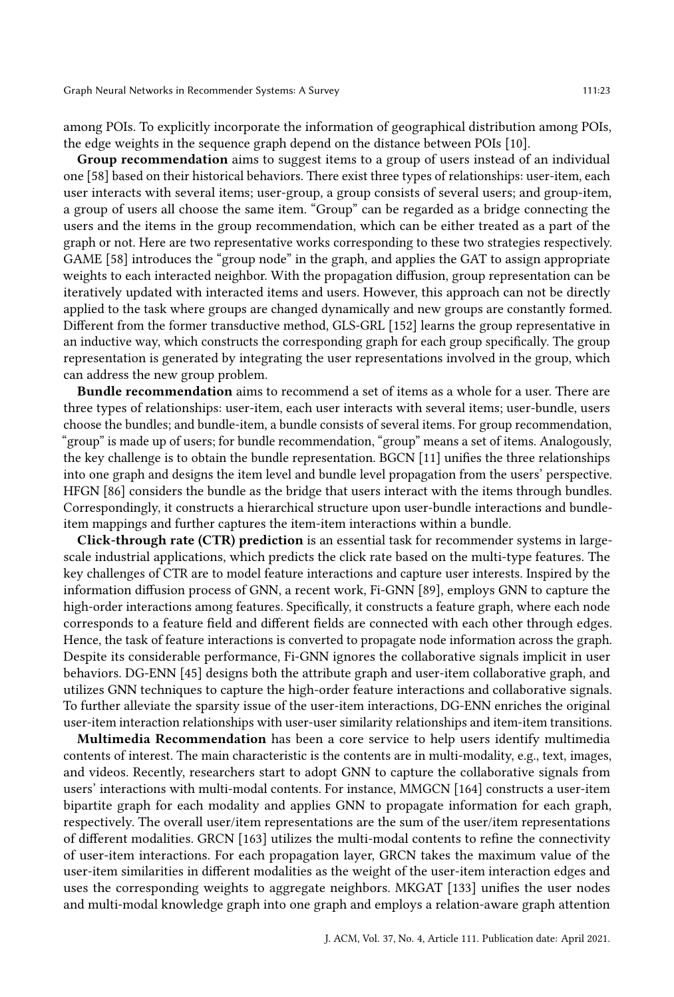among POIs. To explicitly incorporate the information of geographical distribution among POIs, the edge weights in the sequence graph depend on the distance between POIs [\[10\]](#page-30-4).

Group recommendation aims to suggest items to a group of users instead of an individual one [\[58\]](#page-32-4) based on their historical behaviors. There exist three types of relationships: user-item, each user interacts with several items; user-group, a group consists of several users; and group-item, a group of users all choose the same item. "Group" can be regarded as a bridge connecting the users and the items in the group recommendation, which can be either treated as a part of the graph or not. Here are two representative works corresponding to these two strategies respectively. GAME [\[58\]](#page-32-4) introduces the "group node" in the graph, and applies the GAT to assign appropriate weights to each interacted neighbor. With the propagation diffusion, group representation can be iteratively updated with interacted items and users. However, this approach can not be directly applied to the task where groups are changed dynamically and new groups are constantly formed. Different from the former transductive method, GLS-GRL [\[152\]](#page-36-4) learns the group representative in an inductive way, which constructs the corresponding graph for each group specifically. The group representation is generated by integrating the user representations involved in the group, which can address the new group problem.

Bundle recommendation aims to recommend a set of items as a whole for a user. There are three types of relationships: user-item, each user interacts with several items; user-bundle, users choose the bundles; and bundle-item, a bundle consists of several items. For group recommendation, "group" is made up of users; for bundle recommendation, "group" means a set of items. Analogously, the key challenge is to obtain the bundle representation. BGCN [\[11\]](#page-30-5) unifies the three relationships into one graph and designs the item level and bundle level propagation from the users' perspective. HFGN [\[86\]](#page-33-13) considers the bundle as the bridge that users interact with the items through bundles. Correspondingly, it constructs a hierarchical structure upon user-bundle interactions and bundleitem mappings and further captures the item-item interactions within a bundle.

Click-through rate (CTR) prediction is an essential task for recommender systems in largescale industrial applications, which predicts the click rate based on the multi-type features. The key challenges of CTR are to model feature interactions and capture user interests. Inspired by the information diffusion process of GNN, a recent work, Fi-GNN [\[89\]](#page-33-14), employs GNN to capture the high-order interactions among features. Specifically, it constructs a feature graph, where each node corresponds to a feature field and different fields are connected with each other through edges. Hence, the task of feature interactions is converted to propagate node information across the graph. Despite its considerable performance, Fi-GNN ignores the collaborative signals implicit in user behaviors. DG-ENN [\[45\]](#page-31-13) designs both the attribute graph and user-item collaborative graph, and utilizes GNN techniques to capture the high-order feature interactions and collaborative signals. To further alleviate the sparsity issue of the user-item interactions, DG-ENN enriches the original user-item interaction relationships with user-user similarity relationships and item-item transitions.

Multimedia Recommendation has been a core service to help users identify multimedia contents of interest. The main characteristic is the contents are in multi-modality, e.g., text, images, and videos. Recently, researchers start to adopt GNN to capture the collaborative signals from users' interactions with multi-modal contents. For instance, MMGCN [\[164\]](#page-37-4) constructs a user-item bipartite graph for each modality and applies GNN to propagate information for each graph, respectively. The overall user/item representations are the sum of the user/item representations of different modalities. GRCN [\[163\]](#page-37-3) utilizes the multi-modal contents to refine the connectivity of user-item interactions. For each propagation layer, GRCN takes the maximum value of the user-item similarities in different modalities as the weight of the user-item interaction edges and uses the corresponding weights to aggregate neighbors. MKGAT [\[133\]](#page-35-14) unifies the user nodes and multi-modal knowledge graph into one graph and employs a relation-aware graph attention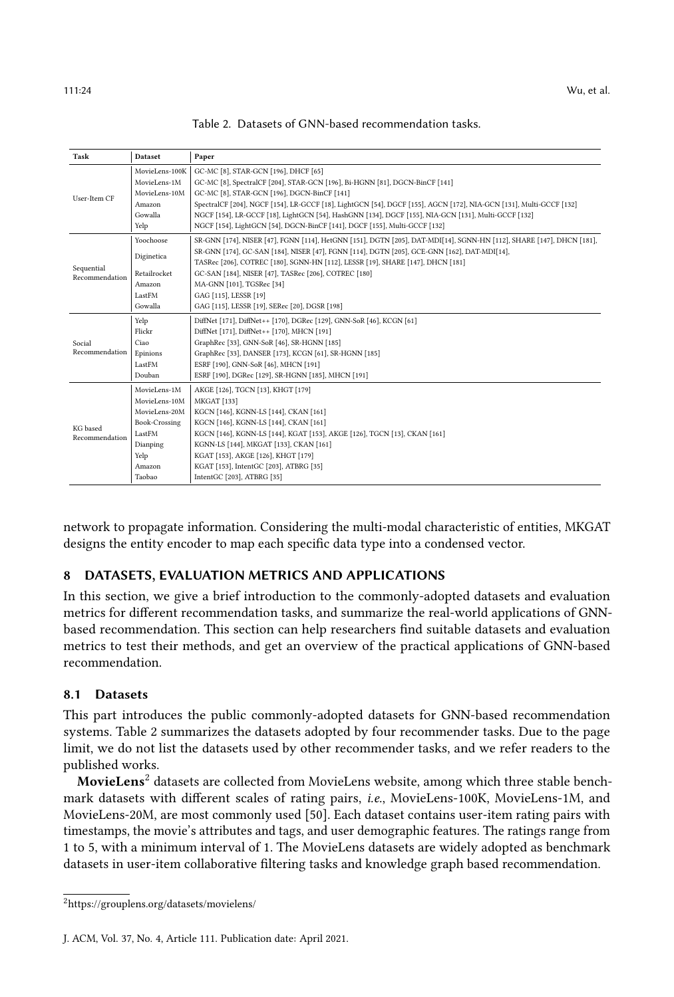<span id="page-23-0"></span>

|  |  |  | Table 2. Datasets of GNN-based recommendation tasks. |  |
|--|--|--|------------------------------------------------------|--|
|--|--|--|------------------------------------------------------|--|

| Task                                         | <b>Dataset</b>       | Paper                                                                                                                |
|----------------------------------------------|----------------------|----------------------------------------------------------------------------------------------------------------------|
|                                              | MovieLens-100K       | GC-MC [8], STAR-GCN [196], DHCF [65]                                                                                 |
| User-Item CF                                 | MovieLens-1M         | GC-MC [8], SpectralCF [204], STAR-GCN [196], Bi-HGNN [81], DGCN-BinCF [141]                                          |
|                                              | MovieLens-10M        | GC-MC [8], STAR-GCN [196], DGCN-BinCF [141]                                                                          |
|                                              | Amazon               | SpectralCF [204], NGCF [154], LR-GCCF [18], LightGCN [54], DGCF [155], AGCN [172], NIA-GCN [131], Multi-GCCF [132]   |
|                                              | Gowalla              | NGCF [154], LR-GCCF [18], LightGCN [54], HashGNN [134], DGCF [155], NIA-GCN [131], Multi-GCCF [132]                  |
|                                              | Yelp                 | NGCF [154], LightGCN [54], DGCN-BinCF [141], DGCF [155], Multi-GCCF [132]                                            |
|                                              | Yoochoose            | SR-GNN [174], NISER [47], FGNN [114], HetGNN [151], DGTN [205], DAT-MDI[14], SGNN-HN [112], SHARE [147], DHCN [181], |
|                                              | Diginetica           | SR-GNN [174], GC-SAN [184], NISER [47], FGNN [114], DGTN [205], GCE-GNN [162], DAT-MDI[14],                          |
| Sequential<br>Retailrocket<br>Recommendation |                      | TASRec [206], COTREC [180], SGNN-HN [112], LESSR [19], SHARE [147], DHCN [181]                                       |
|                                              |                      | GC-SAN [184], NISER [47], TASRec [206], COTREC [180]                                                                 |
|                                              | Amazon               | MA-GNN [101], TGSRec [34]                                                                                            |
|                                              | LastFM               | GAG [115], LESSR [19]                                                                                                |
|                                              | Gowalla              | GAG [115], LESSR [19], SERec [20], DGSR [198]                                                                        |
| Yelp                                         |                      | DiffNet [171], DiffNet++ [170], DGRec [129], GNN-SoR [46], KCGN [61]                                                 |
|                                              | Flickr               | DiffNet [171], DiffNet++ [170], MHCN [191]                                                                           |
| Social                                       | Ciao                 | GraphRec [33], GNN-SoR [46], SR-HGNN [185]                                                                           |
| Recommendation                               | Epinions             | GraphRec [33], DANSER [173], KCGN [61], SR-HGNN [185]                                                                |
|                                              | LastFM               | ESRF [190], GNN-SoR [46], MHCN [191]                                                                                 |
|                                              | Douban               | ESRF [190], DGRec [129], SR-HGNN [185], MHCN [191]                                                                   |
|                                              | MovieLens-1M         | AKGE [126], TGCN [13], KHGT [179]                                                                                    |
| KG based<br>Recommendation                   | MovieLens-10M        | <b>MKGAT</b> [133]                                                                                                   |
|                                              | MovieLens-20M        | KGCN [146], KGNN-LS [144], CKAN [161]                                                                                |
|                                              | <b>Book-Crossing</b> | KGCN [146], KGNN-LS [144], CKAN [161]                                                                                |
|                                              | LastFM               | KGCN [146], KGNN-LS [144], KGAT [153], AKGE [126], TGCN [13], CKAN [161]                                             |
|                                              | Dianping             | KGNN-LS [144], MKGAT [133], CKAN [161]                                                                               |
|                                              | Yelp                 | KGAT [153], AKGE [126], KHGT [179]                                                                                   |
|                                              | Amazon               | KGAT [153], IntentGC [203], ATBRG [35]                                                                               |
|                                              | Taobao               | IntentGC [203], ATBRG [35]                                                                                           |

network to propagate information. Considering the multi-modal characteristic of entities, MKGAT designs the entity encoder to map each specific data type into a condensed vector.

# 8 DATASETS, EVALUATION METRICS AND APPLICATIONS

In this section, we give a brief introduction to the commonly-adopted datasets and evaluation metrics for different recommendation tasks, and summarize the real-world applications of GNNbased recommendation. This section can help researchers find suitable datasets and evaluation metrics to test their methods, and get an overview of the practical applications of GNN-based recommendation.

#### 8.1 Datasets

This part introduces the public commonly-adopted datasets for GNN-based recommendation systems. Table [2](#page-23-0) summarizes the datasets adopted by four recommender tasks. Due to the page limit, we do not list the datasets used by other recommender tasks, and we refer readers to the published works.

MovieLens<sup>[2](#page-23-1)</sup> datasets are collected from MovieLens website, among which three stable benchmark datasets with different scales of rating pairs, i.e., MovieLens-100K, MovieLens-1M, and MovieLens-20M, are most commonly used [\[50\]](#page-32-14). Each dataset contains user-item rating pairs with timestamps, the movie's attributes and tags, and user demographic features. The ratings range from 1 to 5, with a minimum interval of 1. The MovieLens datasets are widely adopted as benchmark datasets in user-item collaborative filtering tasks and knowledge graph based recommendation.

<span id="page-23-1"></span><sup>2</sup>https://grouplens.org/datasets/movielens/

J. ACM, Vol. 37, No. 4, Article 111. Publication date: April 2021.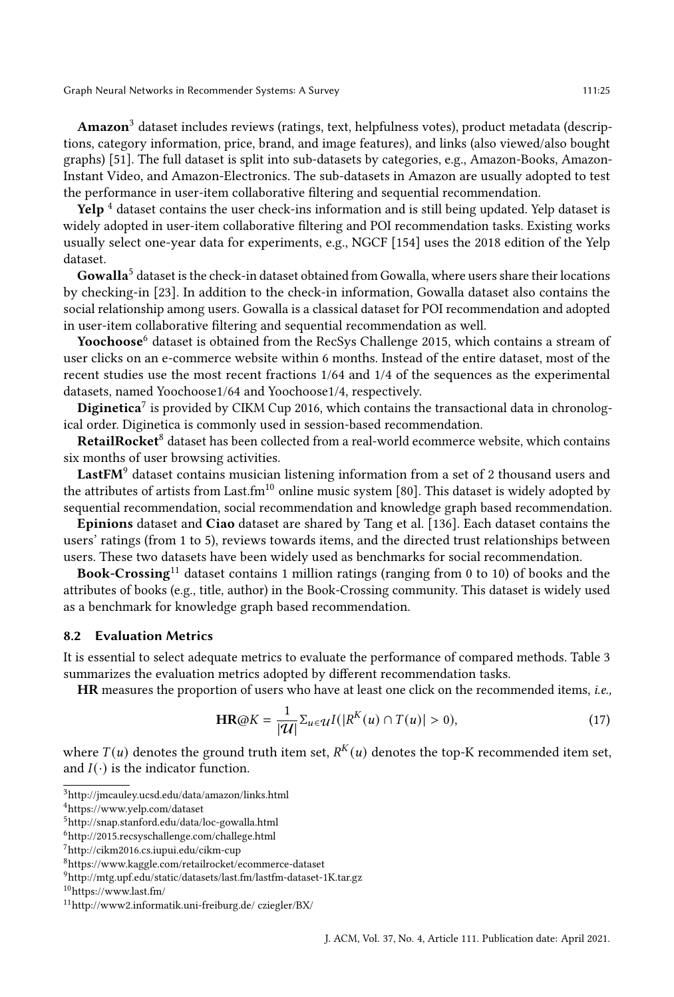Amazon<sup>[3](#page-24-0)</sup> dataset includes reviews (ratings, text, helpfulness votes), product metadata (descriptions, category information, price, brand, and image features), and links (also viewed/also bought graphs) [\[51\]](#page-32-15). The full dataset is split into sub-datasets by categories, e.g., Amazon-Books, Amazon-Instant Video, and Amazon-Electronics. The sub-datasets in Amazon are usually adopted to test the performance in user-item collaborative filtering and sequential recommendation.

**Yelp**  $^4$  $^4$  dataset contains the user check-ins information and is still being updated. Yelp dataset is widely adopted in user-item collaborative filtering and POI recommendation tasks. Existing works usually select one-year data for experiments, e.g., NGCF [\[154\]](#page-36-3) uses the 2018 edition of the Yelp dataset.

**Gowalla<sup>[5](#page-24-2)</sup>** dataset is the check-in dataset obtained from Gowalla, where users share their locations by checking-in [\[23\]](#page-30-18). In addition to the check-in information, Gowalla dataset also contains the social relationship among users. Gowalla is a classical dataset for POI recommendation and adopted in user-item collaborative filtering and sequential recommendation as well.

Yoochoose<sup>[6](#page-24-3)</sup> dataset is obtained from the RecSys Challenge 2015, which contains a stream of user clicks on an e-commerce website within 6 months. Instead of the entire dataset, most of the recent studies use the most recent fractions 1/64 and 1/4 of the sequences as the experimental datasets, named Yoochoose1/64 and Yoochoose1/4, respectively.

Diginetica<sup>[7](#page-24-4)</sup> is provided by CIKM Cup 2016, which contains the transactional data in chronological order. Diginetica is commonly used in session-based recommendation.

RetailRocket<sup>[8](#page-24-5)</sup> dataset has been collected from a real-world ecommerce website, which contains six months of user browsing activities.

LastFM<sup>[9](#page-24-6)</sup> dataset contains musician listening information from a set of 2 thousand users and the attributes of artists from Last.fm<sup>[10](#page-24-7)</sup> online music system [\[80\]](#page-33-15). This dataset is widely adopted by sequential recommendation, social recommendation and knowledge graph based recommendation.

Epinions dataset and Ciao dataset are shared by Tang et al. [\[136\]](#page-36-19). Each dataset contains the users' ratings (from 1 to 5), reviews towards items, and the directed trust relationships between users. These two datasets have been widely used as benchmarks for social recommendation.

**Book-Crossing**<sup>[11](#page-24-8)</sup> dataset contains 1 million ratings (ranging from 0 to 10) of books and the attributes of books (e.g., title, author) in the Book-Crossing community. This dataset is widely used as a benchmark for knowledge graph based recommendation.

#### 8.2 Evaluation Metrics

It is essential to select adequate metrics to evaluate the performance of compared methods. Table [3](#page-25-0) summarizes the evaluation metrics adopted by different recommendation tasks.

HR measures the proportion of users who have at least one click on the recommended items, i.e.,

$$
\mathbf{HR} \textcircled{a} K = \frac{1}{|\mathcal{U}|} \Sigma_{u \in \mathcal{U}} I(|R^K(u) \cap T(u)| > 0),\tag{17}
$$

where  $T(u)$  denotes the ground truth item set,  $R^K(u)$  denotes the top-K recommended item set, and  $I(\cdot)$  is the indicator function.

<span id="page-24-0"></span><sup>3</sup>http://jmcauley.ucsd.edu/data/amazon/links.html

<span id="page-24-1"></span><sup>4</sup>https://www.yelp.com/dataset

<span id="page-24-2"></span><sup>5</sup>http://snap.stanford.edu/data/loc-gowalla.html

<span id="page-24-3"></span> $^6$ http://2015.recsyschallenge.com/challege.html

<span id="page-24-4"></span><sup>7</sup>http://cikm2016.cs.iupui.edu/cikm-cup

<span id="page-24-5"></span><sup>8</sup>https://www.kaggle.com/retailrocket/ecommerce-dataset

<span id="page-24-6"></span><sup>9</sup>http://mtg.upf.edu/static/datasets/last.fm/lastfm-dataset-1K.tar.gz

<span id="page-24-7"></span><sup>10</sup>https://www.last.fm/

<span id="page-24-8"></span><sup>11</sup>http://www2.informatik.uni-freiburg.de/ cziegler/BX/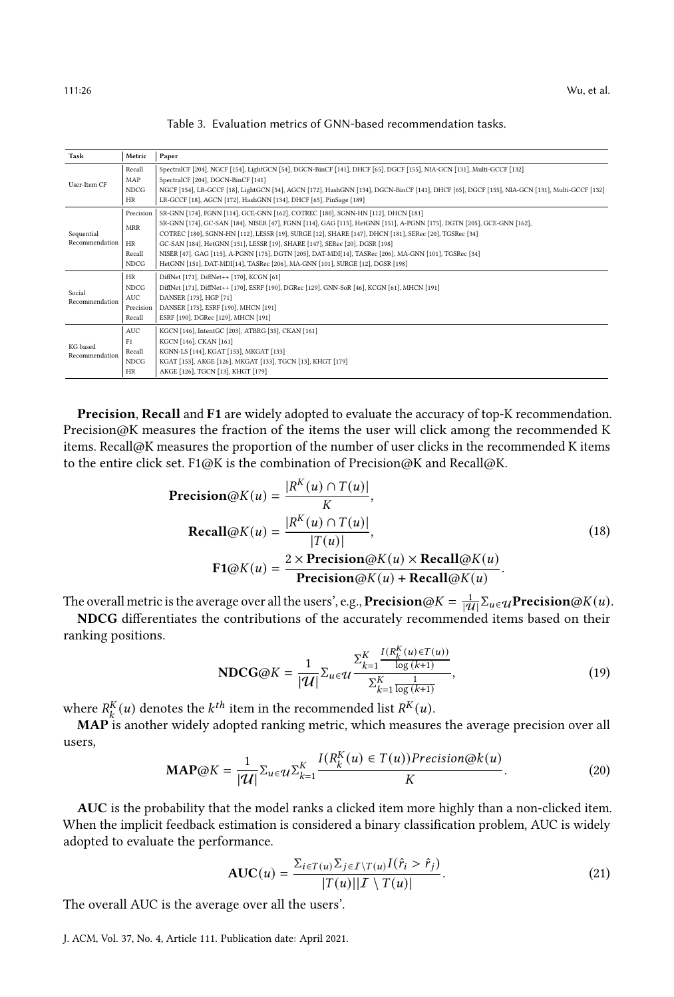<span id="page-25-0"></span>

| Task                                             | Metric                                                                                        | Paper                                                                                                                                        |
|--------------------------------------------------|-----------------------------------------------------------------------------------------------|----------------------------------------------------------------------------------------------------------------------------------------------|
| Recall                                           |                                                                                               | SpectralCF [204], NGCF [154], LightGCN [54], DGCN-BinCF [141], DHCF [65], DGCF [155], NIA-GCN [131], Multi-GCCF [132]                        |
| User-Item CF                                     | MAP                                                                                           | SpectralCF [204], DGCN-BinCF [141]                                                                                                           |
|                                                  | <b>NDCG</b>                                                                                   | NGCF [154], LR-GCCF [18], LightGCN [54], AGCN [172], HashGNN [134], DGCN-BinCF [141], DHCF [65], DGCF [155], NIA-GCN [131], Multi-GCCF [132] |
| HR                                               |                                                                                               | LR-GCCF [18], AGCN [172], HashGNN [134], DHCF [65], PinSage [189]                                                                            |
|                                                  | Precision<br>SR-GNN [174], FGNN [114], GCE-GNN [162], COTREC [180], SGNN-HN [112], DHCN [181] |                                                                                                                                              |
| <b>MRR</b><br>Sequential                         |                                                                                               | SR-GNN [174], GC-SAN [184], NISER [47], FGNN [114], GAG [115], HetGNN [151], A-PGNN [175], DGTN [205], GCE-GNN [162],                        |
|                                                  |                                                                                               | COTREC [180], SGNN-HN [112], LESSR [19], SURGE [12], SHARE [147], DHCN [181], SERec [20], TGSRec [34]                                        |
| Recommendation<br><b>HR</b><br>Recall            |                                                                                               | GC-SAN [184], HetGNN [151], LESSR [19], SHARE [147], SERec [20], DGSR [198]                                                                  |
|                                                  |                                                                                               | NISER [47], GAG [115], A-PGNN [175], DGTN [205], DAT-MDI[14], TASRec [206], MA-GNN [101], TGSRec [34]                                        |
| <b>NDCG</b>                                      |                                                                                               | HetGNN [151], DAT-MDI[14], TASRec [206], MA-GNN [101], SURGE [12], DGSR [198]                                                                |
|                                                  | HR                                                                                            | DiffNet [171], DiffNet++ [170], KCGN [61]                                                                                                    |
| <b>NDCG</b>                                      |                                                                                               | DiffNet [171], DiffNet++ [170], ESRF [190], DGRec [129], GNN-SoR [46], KCGN [61], MHCN [191]                                                 |
| Social<br><b>AUC</b><br>Recommendation<br>Recall |                                                                                               | DANSER [173], HGP [71]                                                                                                                       |
|                                                  | Precision                                                                                     | DANSER [173], ESRF [190], MHCN [191]                                                                                                         |
|                                                  |                                                                                               | ESRF [190], DGRec [129], MHCN [191]                                                                                                          |
|                                                  | <b>AUC</b>                                                                                    | KGCN [146], IntentGC [203], ATBRG [35], CKAN [161]                                                                                           |
| KG based                                         | F <sub>1</sub>                                                                                | KGCN [146], CKAN [161]                                                                                                                       |
|                                                  | Recall                                                                                        | KGNN-LS [144], KGAT [153], MKGAT [133]                                                                                                       |
| Recommendation                                   | <b>NDCG</b>                                                                                   | KGAT [153], AKGE [126], MKGAT [133], TGCN [13], KHGT [179]                                                                                   |
|                                                  | <b>HR</b>                                                                                     | AKGE [126], TGCN [13], KHGT [179]                                                                                                            |

| Table 3. Evaluation metrics of GNN-based recommendation tasks. |
|----------------------------------------------------------------|
|----------------------------------------------------------------|

Precision, Recall and F1 are widely adopted to evaluate the accuracy of top-K recommendation. Precision@K measures the fraction of the items the user will click among the recommended K items. Recall@K measures the proportion of the number of user clicks in the recommended K items to the entire click set. F1@K is the combination of Precision@K and Recall@K.

$$
\begin{aligned} \n\text{Precision@}K(u) &= \frac{|R^K(u) \cap T(u)|}{K}, \\ \n\text{Recall@}K(u) &= \frac{|R^K(u) \cap T(u)|}{|T(u)|}, \\ \n\text{F1@}K(u) &= \frac{2 \times \text{Precision@}K(u) \times \text{Recall@}K(u)}{\text{Precision@}K(u) + \text{Recall@}K(u)}.\n\end{aligned} \tag{18}
$$

The overall metric is the average over all the users', e.g.,  $\textbf{Precision@}K = \frac{1}{|\mathcal{U}|}\Sigma_{u \in \mathcal{U}}\textbf{Precision@}K(u)$ .

NDCG differentiates the contributions of the accurately recommended items based on their ranking positions.

$$
NDCG@K = \frac{1}{|\mathcal{U}|} \sum_{u \in \mathcal{U}} \frac{\sum_{k=1}^{K} \frac{I(R_k^K(u) \in T(u))}{\log(k+1)}}{\sum_{k=1}^{K} \frac{1}{\log(k+1)}},\tag{19}
$$

where  $R_k^K(u)$  denotes the  $k^{th}$  item in the recommended list  $R^K(u)$ .

MAP is another widely adopted ranking metric, which measures the average precision over all users,

$$
\mathbf{MAP@}K = \frac{1}{|\mathcal{U}|} \sum_{u \in \mathcal{U}} \sum_{k=1}^{K} \frac{I(R_k^K(u) \in T(u)) Precision@k(u)}{K}.
$$
 (20)

AUC is the probability that the model ranks a clicked item more highly than a non-clicked item. When the implicit feedback estimation is considered a binary classification problem, AUC is widely adopted to evaluate the performance.

$$
AUC(u) = \frac{\sum_{i \in T(u)} \sum_{j \in I \setminus T(u)} I(\hat{r}_i > \hat{r}_j)}{|T(u)||\mathcal{I} \setminus T(u)|}.
$$
\n(21)

The overall AUC is the average over all the users'.

J. ACM, Vol. 37, No. 4, Article 111. Publication date: April 2021.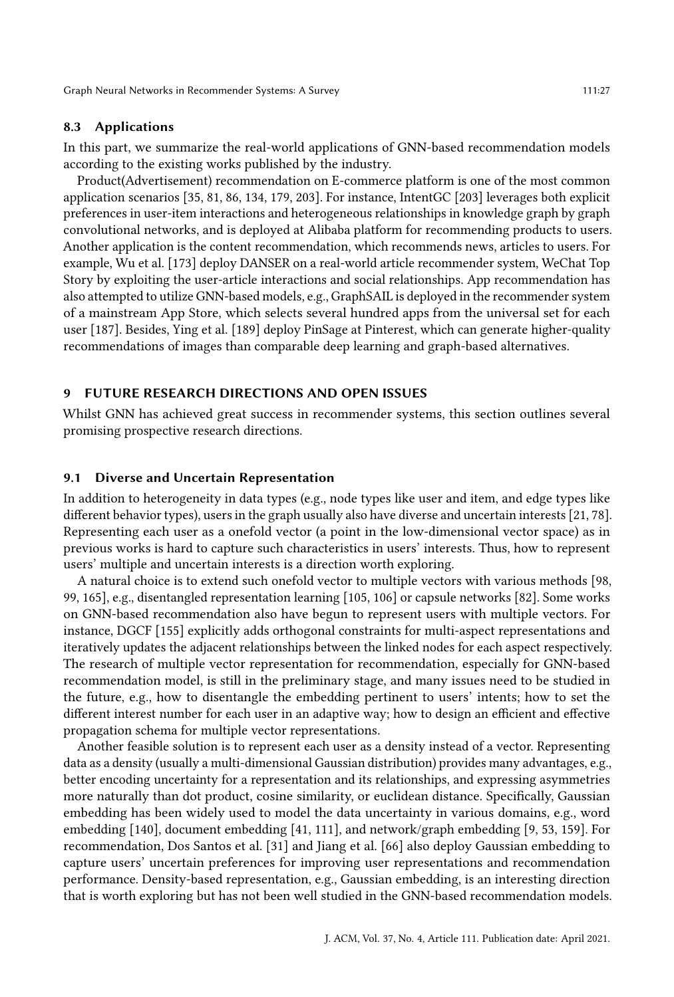#### 8.3 Applications

In this part, we summarize the real-world applications of GNN-based recommendation models according to the existing works published by the industry.

Product(Advertisement) recommendation on E-commerce platform is one of the most common application scenarios [\[35,](#page-31-12) [81,](#page-33-10) [86,](#page-33-13) [134,](#page-35-9) [179,](#page-37-16) [203\]](#page-38-17). For instance, IntentGC [\[203\]](#page-38-17) leverages both explicit preferences in user-item interactions and heterogeneous relationships in knowledge graph by graph convolutional networks, and is deployed at Alibaba platform for recommending products to users. Another application is the content recommendation, which recommends news, articles to users. For example, Wu et al. [\[173\]](#page-37-14) deploy DANSER on a real-world article recommender system, WeChat Top Story by exploiting the user-article interactions and social relationships. App recommendation has also attempted to utilize GNN-based models, e.g., GraphSAIL is deployed in the recommender system of a mainstream App Store, which selects several hundred apps from the universal set for each user [\[187\]](#page-38-8). Besides, Ying et al. [\[189\]](#page-38-1) deploy PinSage at Pinterest, which can generate higher-quality recommendations of images than comparable deep learning and graph-based alternatives.

# 9 FUTURE RESEARCH DIRECTIONS AND OPEN ISSUES

Whilst GNN has achieved great success in recommender systems, this section outlines several promising prospective research directions.

#### 9.1 Diverse and Uncertain Representation

In addition to heterogeneity in data types (e.g., node types like user and item, and edge types like different behavior types), users in the graph usually also have diverse and uncertain interests [\[21,](#page-30-19) [78\]](#page-33-17). Representing each user as a onefold vector (a point in the low-dimensional vector space) as in previous works is hard to capture such characteristics in users' interests. Thus, how to represent users' multiple and uncertain interests is a direction worth exploring.

A natural choice is to extend such onefold vector to multiple vectors with various methods [\[98,](#page-34-12) [99,](#page-34-13) [165\]](#page-37-17), e.g., disentangled representation learning [\[105,](#page-34-14) [106\]](#page-34-6) or capsule networks [\[82\]](#page-33-18). Some works on GNN-based recommendation also have begun to represent users with multiple vectors. For instance, DGCF [\[155\]](#page-36-10) explicitly adds orthogonal constraints for multi-aspect representations and iteratively updates the adjacent relationships between the linked nodes for each aspect respectively. The research of multiple vector representation for recommendation, especially for GNN-based recommendation model, is still in the preliminary stage, and many issues need to be studied in the future, e.g., how to disentangle the embedding pertinent to users' intents; how to set the different interest number for each user in an adaptive way; how to design an efficient and effective propagation schema for multiple vector representations.

Another feasible solution is to represent each user as a density instead of a vector. Representing data as a density (usually a multi-dimensional Gaussian distribution) provides many advantages, e.g., better encoding uncertainty for a representation and its relationships, and expressing asymmetries more naturally than dot product, cosine similarity, or euclidean distance. Specifically, Gaussian embedding has been widely used to model the data uncertainty in various domains, e.g., word embedding [\[140\]](#page-36-20), document embedding [\[41,](#page-31-15) [111\]](#page-34-15), and network/graph embedding [\[9,](#page-30-20) [53,](#page-32-16) [159\]](#page-37-18). For recommendation, Dos Santos et al. [\[31\]](#page-31-16) and Jiang et al. [\[66\]](#page-32-17) also deploy Gaussian embedding to capture users' uncertain preferences for improving user representations and recommendation performance. Density-based representation, e.g., Gaussian embedding, is an interesting direction that is worth exploring but has not been well studied in the GNN-based recommendation models.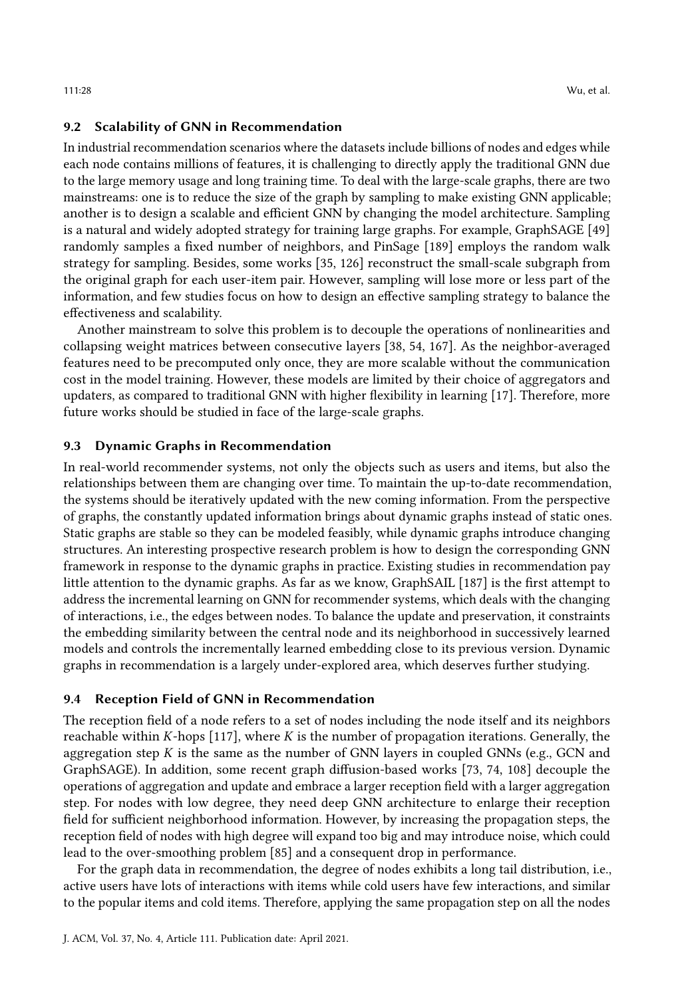#### 9.2 Scalability of GNN in Recommendation

In industrial recommendation scenarios where the datasets include billions of nodes and edges while each node contains millions of features, it is challenging to directly apply the traditional GNN due to the large memory usage and long training time. To deal with the large-scale graphs, there are two mainstreams: one is to reduce the size of the graph by sampling to make existing GNN applicable; another is to design a scalable and efficient GNN by changing the model architecture. Sampling is a natural and widely adopted strategy for training large graphs. For example, GraphSAGE [\[49\]](#page-32-9) randomly samples a fixed number of neighbors, and PinSage [\[189\]](#page-38-1) employs the random walk strategy for sampling. Besides, some works [\[35,](#page-31-12) [126\]](#page-35-15) reconstruct the small-scale subgraph from the original graph for each user-item pair. However, sampling will lose more or less part of the information, and few studies focus on how to design an effective sampling strategy to balance the effectiveness and scalability.

Another mainstream to solve this problem is to decouple the operations of nonlinearities and collapsing weight matrices between consecutive layers [\[38,](#page-31-17) [54,](#page-32-3) [167\]](#page-37-19). As the neighbor-averaged features need to be precomputed only once, they are more scalable without the communication cost in the model training. However, these models are limited by their choice of aggregators and updaters, as compared to traditional GNN with higher flexibility in learning [\[17\]](#page-30-21). Therefore, more future works should be studied in face of the large-scale graphs.

#### 9.3 Dynamic Graphs in Recommendation

In real-world recommender systems, not only the objects such as users and items, but also the relationships between them are changing over time. To maintain the up-to-date recommendation, the systems should be iteratively updated with the new coming information. From the perspective of graphs, the constantly updated information brings about dynamic graphs instead of static ones. Static graphs are stable so they can be modeled feasibly, while dynamic graphs introduce changing structures. An interesting prospective research problem is how to design the corresponding GNN framework in response to the dynamic graphs in practice. Existing studies in recommendation pay little attention to the dynamic graphs. As far as we know, GraphSAIL [\[187\]](#page-38-8) is the first attempt to address the incremental learning on GNN for recommender systems, which deals with the changing of interactions, i.e., the edges between nodes. To balance the update and preservation, it constraints the embedding similarity between the central node and its neighborhood in successively learned models and controls the incrementally learned embedding close to its previous version. Dynamic graphs in recommendation is a largely under-explored area, which deserves further studying.

#### 9.4 Reception Field of GNN in Recommendation

The reception field of a node refers to a set of nodes including the node itself and its neighbors reachable within  $K$ -hops [\[117\]](#page-35-16), where  $K$  is the number of propagation iterations. Generally, the aggregation step  $K$  is the same as the number of GNN layers in coupled GNNs (e.g., GCN and GraphSAGE). In addition, some recent graph diffusion-based works [\[73,](#page-33-19) [74,](#page-33-20) [108\]](#page-34-16) decouple the operations of aggregation and update and embrace a larger reception field with a larger aggregation step. For nodes with low degree, they need deep GNN architecture to enlarge their reception field for sufficient neighborhood information. However, by increasing the propagation steps, the reception field of nodes with high degree will expand too big and may introduce noise, which could lead to the over-smoothing problem [\[85\]](#page-33-21) and a consequent drop in performance.

For the graph data in recommendation, the degree of nodes exhibits a long tail distribution, i.e., active users have lots of interactions with items while cold users have few interactions, and similar to the popular items and cold items. Therefore, applying the same propagation step on all the nodes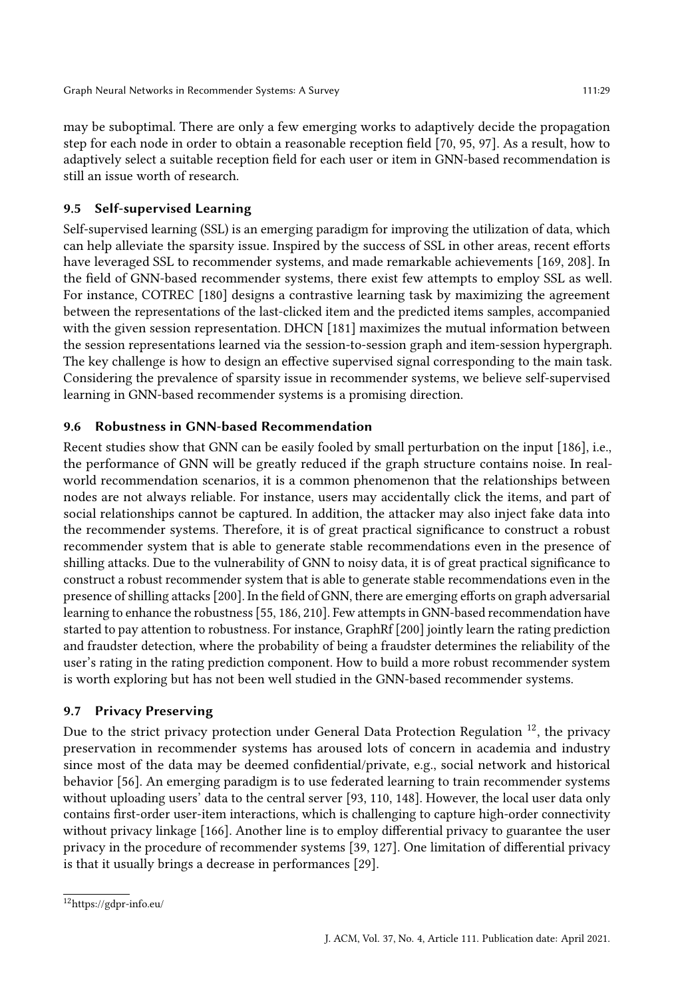may be suboptimal. There are only a few emerging works to adaptively decide the propagation step for each node in order to obtain a reasonable reception field [\[70,](#page-33-22) [95,](#page-34-17) [97\]](#page-34-18). As a result, how to adaptively select a suitable reception field for each user or item in GNN-based recommendation is still an issue worth of research.

# 9.5 Self-supervised Learning

Self-supervised learning (SSL) is an emerging paradigm for improving the utilization of data, which can help alleviate the sparsity issue. Inspired by the success of SSL in other areas, recent efforts have leveraged SSL to recommender systems, and made remarkable achievements [\[169,](#page-37-20) [208\]](#page-39-6). In the field of GNN-based recommender systems, there exist few attempts to employ SSL as well. For instance, COTREC [\[180\]](#page-37-12) designs a contrastive learning task by maximizing the agreement between the representations of the last-clicked item and the predicted items samples, accompanied with the given session representation. DHCN [\[181\]](#page-38-10) maximizes the mutual information between the session representations learned via the session-to-session graph and item-session hypergraph. The key challenge is how to design an effective supervised signal corresponding to the main task. Considering the prevalence of sparsity issue in recommender systems, we believe self-supervised learning in GNN-based recommender systems is a promising direction.

# 9.6 Robustness in GNN-based Recommendation

Recent studies show that GNN can be easily fooled by small perturbation on the input [\[186\]](#page-38-18), i.e., the performance of GNN will be greatly reduced if the graph structure contains noise. In realworld recommendation scenarios, it is a common phenomenon that the relationships between nodes are not always reliable. For instance, users may accidentally click the items, and part of social relationships cannot be captured. In addition, the attacker may also inject fake data into the recommender systems. Therefore, it is of great practical significance to construct a robust recommender system that is able to generate stable recommendations even in the presence of shilling attacks. Due to the vulnerability of GNN to noisy data, it is of great practical significance to construct a robust recommender system that is able to generate stable recommendations even in the presence of shilling attacks [\[200\]](#page-38-19). In the field of GNN, there are emerging efforts on graph adversarial learning to enhance the robustness [\[55,](#page-32-18) [186,](#page-38-18) [210\]](#page-39-7). Few attempts in GNN-based recommendation have started to pay attention to robustness. For instance, GraphRf [\[200\]](#page-38-19) jointly learn the rating prediction and fraudster detection, where the probability of being a fraudster determines the reliability of the user's rating in the rating prediction component. How to build a more robust recommender system is worth exploring but has not been well studied in the GNN-based recommender systems.

# 9.7 Privacy Preserving

Due to the strict privacy protection under General Data Protection Regulation<sup>[12](#page-28-0)</sup>, the privacy preservation in recommender systems has aroused lots of concern in academia and industry since most of the data may be deemed confidential/private, e.g., social network and historical behavior [\[56\]](#page-32-19). An emerging paradigm is to use federated learning to train recommender systems without uploading users' data to the central server [\[93,](#page-34-19) [110,](#page-34-20) [148\]](#page-36-21). However, the local user data only contains first-order user-item interactions, which is challenging to capture high-order connectivity without privacy linkage [\[166\]](#page-37-21). Another line is to employ differential privacy to guarantee the user privacy in the procedure of recommender systems [\[39,](#page-31-18) [127\]](#page-35-17). One limitation of differential privacy is that it usually brings a decrease in performances [\[29\]](#page-31-19).

<span id="page-28-0"></span><sup>12</sup>https://gdpr-info.eu/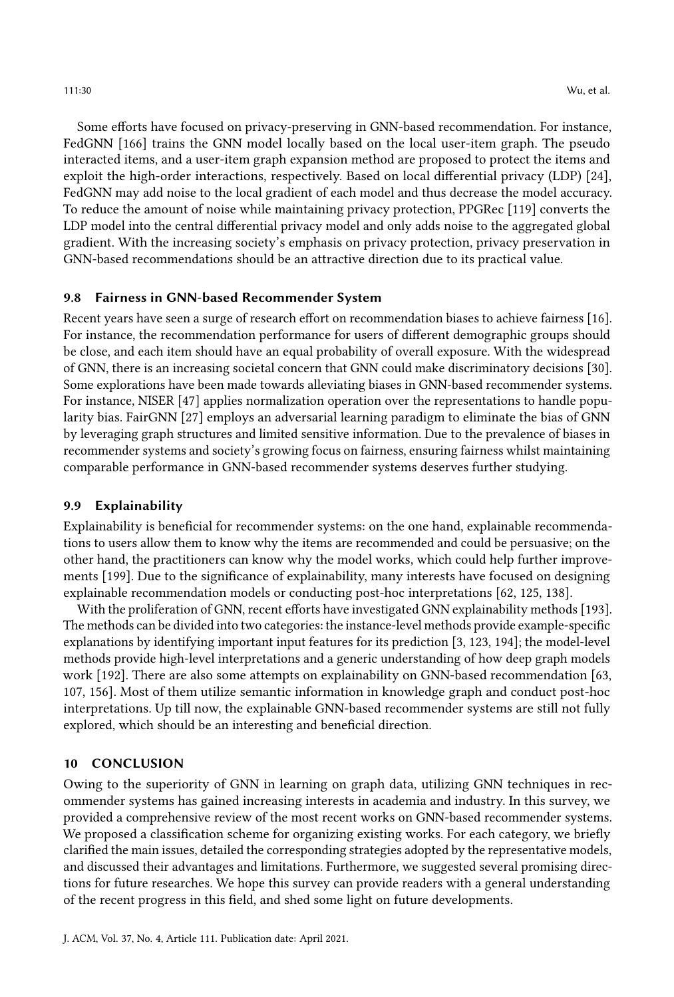Some efforts have focused on privacy-preserving in GNN-based recommendation. For instance, FedGNN [\[166\]](#page-37-21) trains the GNN model locally based on the local user-item graph. The pseudo interacted items, and a user-item graph expansion method are proposed to protect the items and exploit the high-order interactions, respectively. Based on local differential privacy (LDP) [\[24\]](#page-31-20), FedGNN may add noise to the local gradient of each model and thus decrease the model accuracy. To reduce the amount of noise while maintaining privacy protection, PPGRec [\[119\]](#page-35-18) converts the LDP model into the central differential privacy model and only adds noise to the aggregated global gradient. With the increasing society's emphasis on privacy protection, privacy preservation in GNN-based recommendations should be an attractive direction due to its practical value.

## 9.8 Fairness in GNN-based Recommender System

Recent years have seen a surge of research effort on recommendation biases to achieve fairness [\[16\]](#page-30-7). For instance, the recommendation performance for users of different demographic groups should be close, and each item should have an equal probability of overall exposure. With the widespread of GNN, there is an increasing societal concern that GNN could make discriminatory decisions [\[30\]](#page-31-21). Some explorations have been made towards alleviating biases in GNN-based recommender systems. For instance, NISER [\[47\]](#page-32-12) applies normalization operation over the representations to handle popularity bias. FairGNN [\[27\]](#page-31-22) employs an adversarial learning paradigm to eliminate the bias of GNN by leveraging graph structures and limited sensitive information. Due to the prevalence of biases in recommender systems and society's growing focus on fairness, ensuring fairness whilst maintaining comparable performance in GNN-based recommender systems deserves further studying.

#### 9.9 Explainability

Explainability is beneficial for recommender systems: on the one hand, explainable recommendations to users allow them to know why the items are recommended and could be persuasive; on the other hand, the practitioners can know why the model works, which could help further improvements [\[199\]](#page-38-2). Due to the significance of explainability, many interests have focused on designing explainable recommendation models or conducting post-hoc interpretations [\[62,](#page-32-20) [125,](#page-35-19) [138\]](#page-36-22).

With the proliferation of GNN, recent efforts have investigated GNN explainability methods [\[193\]](#page-38-20). The methods can be divided into two categories: the instance-level methods provide example-specific explanations by identifying important input features for its prediction [\[3,](#page-30-22) [123,](#page-35-20) [194\]](#page-38-21); the model-level methods provide high-level interpretations and a generic understanding of how deep graph models work [\[192\]](#page-38-22). There are also some attempts on explainability on GNN-based recommendation [\[63,](#page-32-21) [107,](#page-34-21) [156\]](#page-36-23). Most of them utilize semantic information in knowledge graph and conduct post-hoc interpretations. Up till now, the explainable GNN-based recommender systems are still not fully explored, which should be an interesting and beneficial direction.

# 10 CONCLUSION

Owing to the superiority of GNN in learning on graph data, utilizing GNN techniques in recommender systems has gained increasing interests in academia and industry. In this survey, we provided a comprehensive review of the most recent works on GNN-based recommender systems. We proposed a classification scheme for organizing existing works. For each category, we briefly clarified the main issues, detailed the corresponding strategies adopted by the representative models, and discussed their advantages and limitations. Furthermore, we suggested several promising directions for future researches. We hope this survey can provide readers with a general understanding of the recent progress in this field, and shed some light on future developments.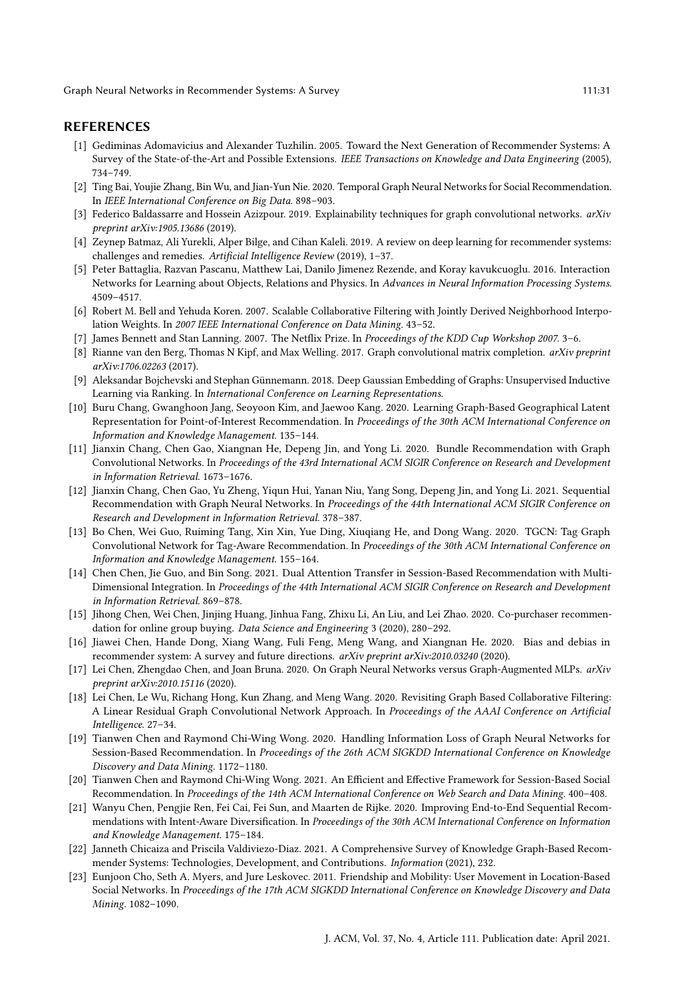#### REFERENCES

- <span id="page-30-9"></span>[1] Gediminas Adomavicius and Alexander Tuzhilin. 2005. Toward the Next Generation of Recommender Systems: A Survey of the State-of-the-Art and Possible Extensions. IEEE Transactions on Knowledge and Data Engineering (2005), 734–749.
- <span id="page-30-15"></span>[2] Ting Bai, Youjie Zhang, Bin Wu, and Jian-Yun Nie. 2020. Temporal Graph Neural Networks for Social Recommendation. In IEEE International Conference on Big Data. 898–903.
- <span id="page-30-22"></span>[3] Federico Baldassarre and Hossein Azizpour. 2019. Explainability techniques for graph convolutional networks. arXiv preprint arXiv:1905.13686 (2019).
- <span id="page-30-6"></span>[4] Zeynep Batmaz, Ali Yurekli, Alper Bilge, and Cihan Kaleli. 2019. A review on deep learning for recommender systems: challenges and remedies. Artificial Intelligence Review (2019), 1–37.
- <span id="page-30-10"></span>[5] Peter Battaglia, Razvan Pascanu, Matthew Lai, Danilo Jimenez Rezende, and Koray kavukcuoglu. 2016. Interaction Networks for Learning about Objects, Relations and Physics. In Advances in Neural Information Processing Systems. 4509–4517.
- <span id="page-30-1"></span>[6] Robert M. Bell and Yehuda Koren. 2007. Scalable Collaborative Filtering with Jointly Derived Neighborhood Interpolation Weights. In 2007 IEEE International Conference on Data Mining. 43-52.
- <span id="page-30-2"></span>[7] James Bennett and Stan Lanning. 2007. The Netflix Prize. In Proceedings of the KDD Cup Workshop 2007. 3–6.
- <span id="page-30-3"></span>[8] Rianne van den Berg, Thomas N Kipf, and Max Welling. 2017. Graph convolutional matrix completion. arXiv preprint arXiv:1706.02263 (2017).
- <span id="page-30-20"></span>[9] Aleksandar Bojchevski and Stephan Günnemann. 2018. Deep Gaussian Embedding of Graphs: Unsupervised Inductive Learning via Ranking. In International Conference on Learning Representations.
- <span id="page-30-4"></span>[10] Buru Chang, Gwanghoon Jang, Seoyoon Kim, and Jaewoo Kang. 2020. Learning Graph-Based Geographical Latent Representation for Point-of-Interest Recommendation. In Proceedings of the 30th ACM International Conference on Information and Knowledge Management. 135–144.
- <span id="page-30-5"></span>[11] Jianxin Chang, Chen Gao, Xiangnan He, Depeng Jin, and Yong Li. 2020. Bundle Recommendation with Graph Convolutional Networks. In Proceedings of the 43rd International ACM SIGIR Conference on Research and Development in Information Retrieval. 1673–1676.
- <span id="page-30-14"></span>[12] Jianxin Chang, Chen Gao, Yu Zheng, Yiqun Hui, Yanan Niu, Yang Song, Depeng Jin, and Yong Li. 2021. Sequential Recommendation with Graph Neural Networks. In Proceedings of the 44th International ACM SIGIR Conference on Research and Development in Information Retrieval. 378–387.
- <span id="page-30-17"></span>[13] Bo Chen, Wei Guo, Ruiming Tang, Xin Xin, Yue Ding, Xiuqiang He, and Dong Wang. 2020. TGCN: Tag Graph Convolutional Network for Tag-Aware Recommendation. In Proceedings of the 30th ACM International Conference on Information and Knowledge Management. 155–164.
- <span id="page-30-12"></span>[14] Chen Chen, Jie Guo, and Bin Song. 2021. Dual Attention Transfer in Session-Based Recommendation with Multi-Dimensional Integration. In Proceedings of the 44th International ACM SIGIR Conference on Research and Development in Information Retrieval. 869–878.
- <span id="page-30-0"></span>[15] Jihong Chen, Wei Chen, Jinjing Huang, Jinhua Fang, Zhixu Li, An Liu, and Lei Zhao. 2020. Co-purchaser recommendation for online group buying. Data Science and Engineering 3 (2020), 280–292.
- <span id="page-30-7"></span>[16] Jiawei Chen, Hande Dong, Xiang Wang, Fuli Feng, Meng Wang, and Xiangnan He. 2020. Bias and debias in recommender system: A survey and future directions. arXiv preprint arXiv:2010.03240 (2020).
- <span id="page-30-21"></span>[17] Lei Chen, Zhengdao Chen, and Joan Bruna. 2020. On Graph Neural Networks versus Graph-Augmented MLPs. arXiv preprint arXiv:2010.15116 (2020).
- <span id="page-30-11"></span>[18] Lei Chen, Le Wu, Richang Hong, Kun Zhang, and Meng Wang. 2020. Revisiting Graph Based Collaborative Filtering: A Linear Residual Graph Convolutional Network Approach. In Proceedings of the AAAI Conference on Artificial Intelligence. 27–34.
- <span id="page-30-13"></span>[19] Tianwen Chen and Raymond Chi-Wing Wong. 2020. Handling Information Loss of Graph Neural Networks for Session-Based Recommendation. In Proceedings of the 26th ACM SIGKDD International Conference on Knowledge Discovery and Data Mining. 1172–1180.
- <span id="page-30-16"></span>[20] Tianwen Chen and Raymond Chi-Wing Wong. 2021. An Efficient and Effective Framework for Session-Based Social Recommendation. In Proceedings of the 14th ACM International Conference on Web Search and Data Mining. 400–408.
- <span id="page-30-19"></span>[21] Wanyu Chen, Pengjie Ren, Fei Cai, Fei Sun, and Maarten de Rijke. 2020. Improving End-to-End Sequential Recommendations with Intent-Aware Diversification. In Proceedings of the 30th ACM International Conference on Information and Knowledge Management. 175–184.
- <span id="page-30-8"></span>[22] Janneth Chicaiza and Priscila Valdiviezo-Diaz. 2021. A Comprehensive Survey of Knowledge Graph-Based Recommender Systems: Technologies, Development, and Contributions. Information (2021), 232.
- <span id="page-30-18"></span>[23] Eunjoon Cho, Seth A. Myers, and Jure Leskovec. 2011. Friendship and Mobility: User Movement in Location-Based Social Networks. In Proceedings of the 17th ACM SIGKDD International Conference on Knowledge Discovery and Data Mining. 1082–1090.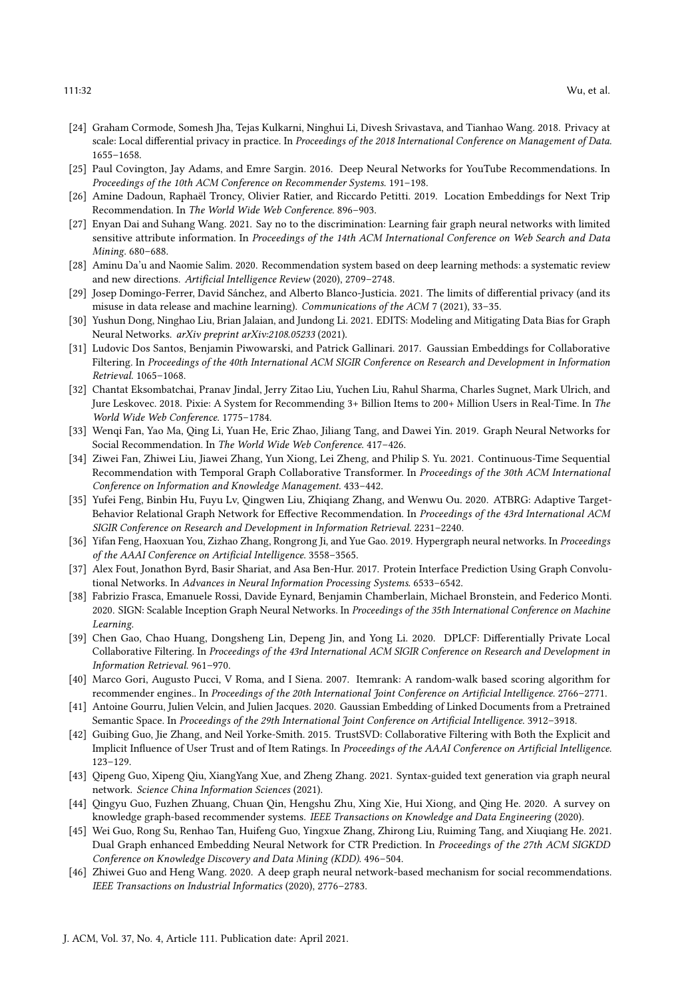- <span id="page-31-20"></span>[24] Graham Cormode, Somesh Jha, Tejas Kulkarni, Ninghui Li, Divesh Srivastava, and Tianhao Wang. 2018. Privacy at scale: Local differential privacy in practice. In Proceedings of the 2018 International Conference on Management of Data. 1655–1658.
- <span id="page-31-0"></span>[25] Paul Covington, Jay Adams, and Emre Sargin. 2016. Deep Neural Networks for YouTube Recommendations. In Proceedings of the 10th ACM Conference on Recommender Systems. 191–198.
- <span id="page-31-11"></span>[26] Amine Dadoun, Raphaël Troncy, Olivier Ratier, and Riccardo Petitti. 2019. Location Embeddings for Next Trip Recommendation. In The World Wide Web Conference. 896–903.
- <span id="page-31-22"></span>[27] Enyan Dai and Suhang Wang. 2021. Say no to the discrimination: Learning fair graph neural networks with limited sensitive attribute information. In Proceedings of the 14th ACM International Conference on Web Search and Data Mining. 680–688.
- <span id="page-31-4"></span>[28] Aminu Da'u and Naomie Salim. 2020. Recommendation system based on deep learning methods: a systematic review and new directions. Artificial Intelligence Review (2020), 2709–2748.
- <span id="page-31-19"></span>[29] Josep Domingo-Ferrer, David Sánchez, and Alberto Blanco-Justicia. 2021. The limits of differential privacy (and its misuse in data release and machine learning). Communications of the ACM 7 (2021), 33–35.
- <span id="page-31-21"></span>[30] Yushun Dong, Ninghao Liu, Brian Jalaian, and Jundong Li. 2021. EDITS: Modeling and Mitigating Data Bias for Graph Neural Networks. arXiv preprint arXiv:2108.05233 (2021).
- <span id="page-31-16"></span>[31] Ludovic Dos Santos, Benjamin Piwowarski, and Patrick Gallinari. 2017. Gaussian Embeddings for Collaborative Filtering. In Proceedings of the 40th International ACM SIGIR Conference on Research and Development in Information Retrieval. 1065–1068.
- <span id="page-31-3"></span>[32] Chantat Eksombatchai, Pranav Jindal, Jerry Zitao Liu, Yuchen Liu, Rahul Sharma, Charles Sugnet, Mark Ulrich, and Jure Leskovec. 2018. Pixie: A System for Recommending 3+ Billion Items to 200+ Million Users in Real-Time. In The World Wide Web Conference. 1775–1784.
- <span id="page-31-1"></span>[33] Wenqi Fan, Yao Ma, Qing Li, Yuan He, Eric Zhao, Jiliang Tang, and Dawei Yin. 2019. Graph Neural Networks for Social Recommendation. In The World Wide Web Conference. 417–426.
- <span id="page-31-14"></span>[34] Ziwei Fan, Zhiwei Liu, Jiawei Zhang, Yun Xiong, Lei Zheng, and Philip S. Yu. 2021. Continuous-Time Sequential Recommendation with Temporal Graph Collaborative Transformer. In Proceedings of the 30th ACM International Conference on Information and Knowledge Management. 433–442.
- <span id="page-31-12"></span>[35] Yufei Feng, Binbin Hu, Fuyu Lv, Qingwen Liu, Zhiqiang Zhang, and Wenwu Ou. 2020. ATBRG: Adaptive Target-Behavior Relational Graph Network for Effective Recommendation. In Proceedings of the 43rd International ACM SIGIR Conference on Research and Development in Information Retrieval. 2231–2240.
- <span id="page-31-8"></span>[36] Yifan Feng, Haoxuan You, Zizhao Zhang, Rongrong Ji, and Yue Gao. 2019. Hypergraph neural networks. In Proceedings of the AAAI Conference on Artificial Intelligence. 3558–3565.
- <span id="page-31-7"></span>[37] Alex Fout, Jonathon Byrd, Basir Shariat, and Asa Ben-Hur. 2017. Protein Interface Prediction Using Graph Convolutional Networks. In Advances in Neural Information Processing Systems. 6533–6542.
- <span id="page-31-17"></span>[38] Fabrizio Frasca, Emanuele Rossi, Davide Eynard, Benjamin Chamberlain, Michael Bronstein, and Federico Monti. 2020. SIGN: Scalable Inception Graph Neural Networks. In Proceedings of the 35th International Conference on Machine Learning.
- <span id="page-31-18"></span>[39] Chen Gao, Chao Huang, Dongsheng Lin, Depeng Jin, and Yong Li. 2020. DPLCF: Differentially Private Local Collaborative Filtering. In Proceedings of the 43rd International ACM SIGIR Conference on Research and Development in Information Retrieval. 961–970.
- <span id="page-31-2"></span>[40] Marco Gori, Augusto Pucci, V Roma, and I Siena. 2007. Itemrank: A random-walk based scoring algorithm for recommender engines.. In Proceedings of the 20th International Joint Conference on Artificial Intelligence. 2766–2771.
- <span id="page-31-15"></span>[41] Antoine Gourru, Julien Velcin, and Julien Jacques. 2020. Gaussian Embedding of Linked Documents from a Pretrained Semantic Space. In Proceedings of the 29th International Joint Conference on Artificial Intelligence. 3912-3918.
- <span id="page-31-6"></span>[42] Guibing Guo, Jie Zhang, and Neil Yorke-Smith. 2015. TrustSVD: Collaborative Filtering with Both the Explicit and Implicit Influence of User Trust and of Item Ratings. In Proceedings of the AAAI Conference on Artificial Intelligence. 123–129.
- <span id="page-31-9"></span>[43] Qipeng Guo, Xipeng Qiu, XiangYang Xue, and Zheng Zhang. 2021. Syntax-guided text generation via graph neural network. Science China Information Sciences (2021).
- <span id="page-31-5"></span>[44] Qingyu Guo, Fuzhen Zhuang, Chuan Qin, Hengshu Zhu, Xing Xie, Hui Xiong, and Qing He. 2020. A survey on knowledge graph-based recommender systems. IEEE Transactions on Knowledge and Data Engineering (2020).
- <span id="page-31-13"></span>[45] Wei Guo, Rong Su, Renhao Tan, Huifeng Guo, Yingxue Zhang, Zhirong Liu, Ruiming Tang, and Xiuqiang He. 2021. Dual Graph enhanced Embedding Neural Network for CTR Prediction. In Proceedings of the 27th ACM SIGKDD Conference on Knowledge Discovery and Data Mining (KDD). 496–504.
- <span id="page-31-10"></span>[46] Zhiwei Guo and Heng Wang. 2020. A deep graph neural network-based mechanism for social recommendations. IEEE Transactions on Industrial Informatics (2020), 2776–2783.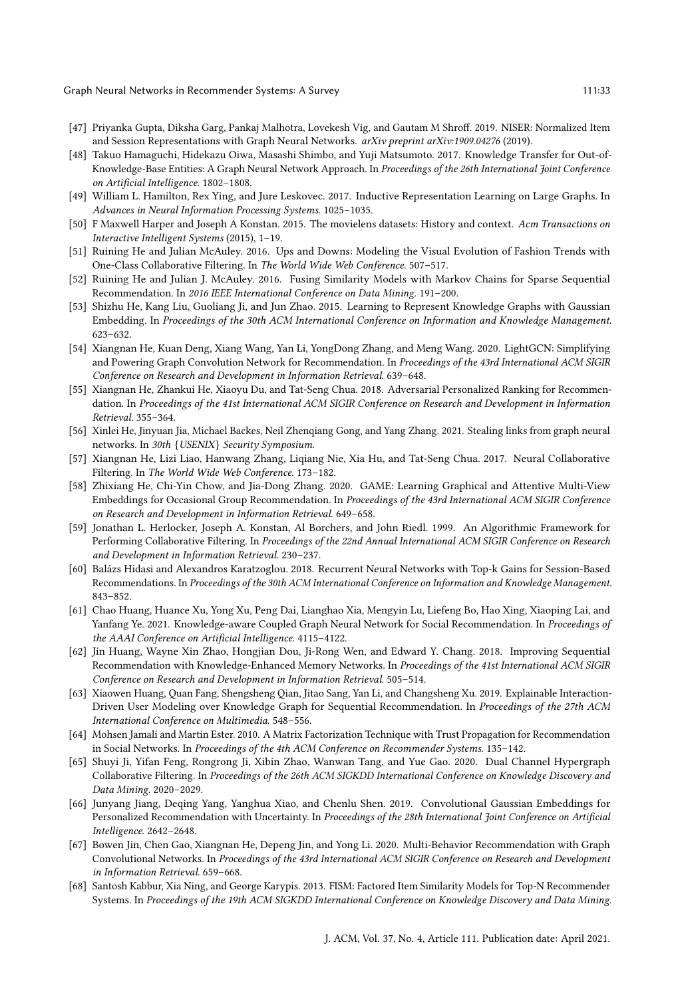- 
- <span id="page-32-12"></span>[47] Priyanka Gupta, Diksha Garg, Pankaj Malhotra, Lovekesh Vig, and Gautam M Shroff. 2019. NISER: Normalized Item and Session Representations with Graph Neural Networks. arXiv preprint arXiv:1909.04276 (2019).
- <span id="page-32-8"></span>[48] Takuo Hamaguchi, Hidekazu Oiwa, Masashi Shimbo, and Yuji Matsumoto. 2017. Knowledge Transfer for Out-of-Knowledge-Base Entities: A Graph Neural Network Approach. In Proceedings of the 26th International Joint Conference on Artificial Intelligence. 1802–1808.
- <span id="page-32-9"></span>[49] William L. Hamilton, Rex Ying, and Jure Leskovec. 2017. Inductive Representation Learning on Large Graphs. In Advances in Neural Information Processing Systems. 1025–1035.
- <span id="page-32-14"></span>[50] F Maxwell Harper and Joseph A Konstan. 2015. The movielens datasets: History and context. Acm Transactions on Interactive Intelligent Systems (2015), 1–19.
- <span id="page-32-15"></span>[51] Ruining He and Julian McAuley. 2016. Ups and Downs: Modeling the Visual Evolution of Fashion Trends with One-Class Collaborative Filtering. In The World Wide Web Conference. 507–517.
- <span id="page-32-5"></span>[52] Ruining He and Julian J. McAuley. 2016. Fusing Similarity Models with Markov Chains for Sparse Sequential Recommendation. In 2016 IEEE International Conference on Data Mining. 191-200.
- <span id="page-32-16"></span>[53] Shizhu He, Kang Liu, Guoliang Ji, and Jun Zhao. 2015. Learning to Represent Knowledge Graphs with Gaussian Embedding. In Proceedings of the 30th ACM International Conference on Information and Knowledge Management. 623–632.
- <span id="page-32-3"></span>[54] Xiangnan He, Kuan Deng, Xiang Wang, Yan Li, YongDong Zhang, and Meng Wang. 2020. LightGCN: Simplifying and Powering Graph Convolution Network for Recommendation. In Proceedings of the 43rd International ACM SIGIR Conference on Research and Development in Information Retrieval. 639–648.
- <span id="page-32-18"></span>[55] Xiangnan He, Zhankui He, Xiaoyu Du, and Tat-Seng Chua. 2018. Adversarial Personalized Ranking for Recommendation. In Proceedings of the 41st International ACM SIGIR Conference on Research and Development in Information Retrieval. 355–364.
- <span id="page-32-19"></span>[56] Xinlei He, Jinyuan Jia, Michael Backes, Neil Zhenqiang Gong, and Yang Zhang. 2021. Stealing links from graph neural networks. In 30th {USENIX} Security Symposium.
- <span id="page-32-1"></span>[57] Xiangnan He, Lizi Liao, Hanwang Zhang, Liqiang Nie, Xia Hu, and Tat-Seng Chua. 2017. Neural Collaborative Filtering. In The World Wide Web Conference. 173–182.
- <span id="page-32-4"></span>[58] Zhixiang He, Chi-Yin Chow, and Jia-Dong Zhang. 2020. GAME: Learning Graphical and Attentive Multi-View Embeddings for Occasional Group Recommendation. In Proceedings of the 43rd International ACM SIGIR Conference on Research and Development in Information Retrieval. 649–658.
- <span id="page-32-0"></span>[59] Jonathan L. Herlocker, Joseph A. Konstan, Al Borchers, and John Riedl. 1999. An Algorithmic Framework for Performing Collaborative Filtering. In Proceedings of the 22nd Annual International ACM SIGIR Conference on Research and Development in Information Retrieval. 230–237.
- <span id="page-32-6"></span>[60] Balázs Hidasi and Alexandros Karatzoglou. 2018. Recurrent Neural Networks with Top-k Gains for Session-Based Recommendations. In Proceedings of the 30th ACM International Conference on Information and Knowledge Management. 843–852.
- <span id="page-32-13"></span>[61] Chao Huang, Huance Xu, Yong Xu, Peng Dai, Lianghao Xia, Mengyin Lu, Liefeng Bo, Hao Xing, Xiaoping Lai, and Yanfang Ye. 2021. Knowledge-aware Coupled Graph Neural Network for Social Recommendation. In Proceedings of the AAAI Conference on Artificial Intelligence. 4115–4122.
- <span id="page-32-20"></span>[62] Jin Huang, Wayne Xin Zhao, Hongjian Dou, Ji-Rong Wen, and Edward Y. Chang. 2018. Improving Sequential Recommendation with Knowledge-Enhanced Memory Networks. In Proceedings of the 41st International ACM SIGIR Conference on Research and Development in Information Retrieval. 505–514.
- <span id="page-32-21"></span>[63] Xiaowen Huang, Quan Fang, Shengsheng Qian, Jitao Sang, Yan Li, and Changsheng Xu. 2019. Explainable Interaction-Driven User Modeling over Knowledge Graph for Sequential Recommendation. In Proceedings of the 27th ACM International Conference on Multimedia. 548–556.
- <span id="page-32-7"></span>[64] Mohsen Jamali and Martin Ester. 2010. A Matrix Factorization Technique with Trust Propagation for Recommendation in Social Networks. In Proceedings of the 4th ACM Conference on Recommender Systems. 135–142.
- <span id="page-32-10"></span>[65] Shuyi Ji, Yifan Feng, Rongrong Ji, Xibin Zhao, Wanwan Tang, and Yue Gao. 2020. Dual Channel Hypergraph Collaborative Filtering. In Proceedings of the 26th ACM SIGKDD International Conference on Knowledge Discovery and Data Mining. 2020–2029.
- <span id="page-32-17"></span>[66] Junyang Jiang, Deqing Yang, Yanghua Xiao, and Chenlu Shen. 2019. Convolutional Gaussian Embeddings for Personalized Recommendation with Uncertainty. In Proceedings of the 28th International Joint Conference on Artificial Intelligence. 2642–2648.
- <span id="page-32-11"></span>[67] Bowen Jin, Chen Gao, Xiangnan He, Depeng Jin, and Yong Li. 2020. Multi-Behavior Recommendation with Graph Convolutional Networks. In Proceedings of the 43rd International ACM SIGIR Conference on Research and Development in Information Retrieval. 659–668.
- <span id="page-32-2"></span>[68] Santosh Kabbur, Xia Ning, and George Karypis. 2013. FISM: Factored Item Similarity Models for Top-N Recommender Systems. In Proceedings of the 19th ACM SIGKDD International Conference on Knowledge Discovery and Data Mining.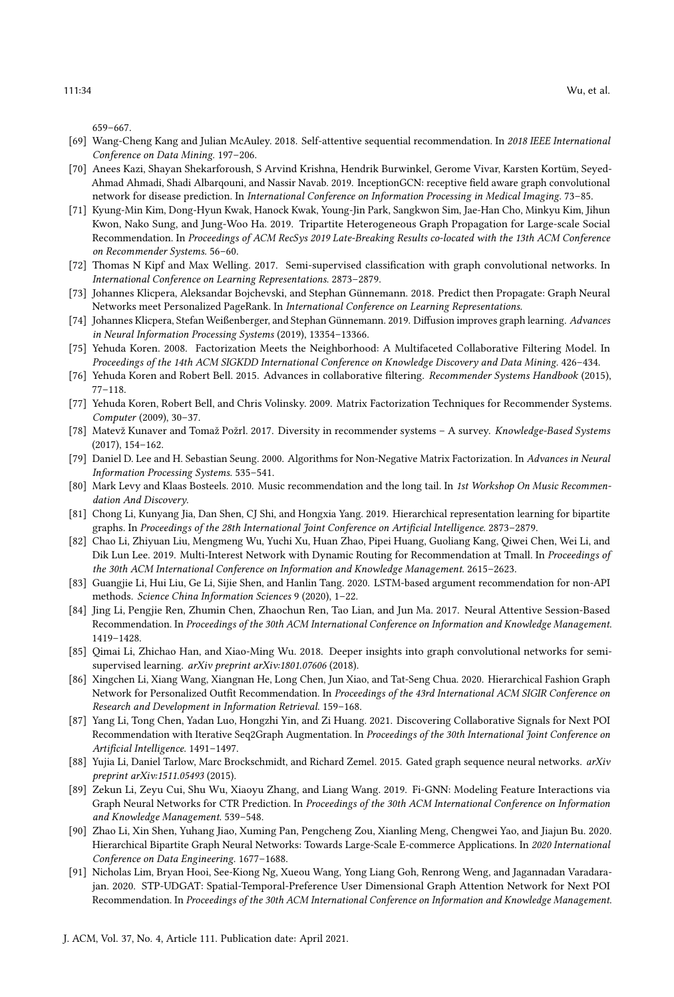659–667.

- <span id="page-33-6"></span>[69] Wang-Cheng Kang and Julian McAuley. 2018. Self-attentive sequential recommendation. In 2018 IEEE International Conference on Data Mining. 197–206.
- <span id="page-33-22"></span>[70] Anees Kazi, Shayan Shekarforoush, S Arvind Krishna, Hendrik Burwinkel, Gerome Vivar, Karsten Kortüm, Seyed-Ahmad Ahmadi, Shadi Albarqouni, and Nassir Navab. 2019. InceptionGCN: receptive field aware graph convolutional network for disease prediction. In International Conference on Information Processing in Medical Imaging. 73–85.
- <span id="page-33-16"></span>[71] Kyung-Min Kim, Dong-Hyun Kwak, Hanock Kwak, Young-Jin Park, Sangkwon Sim, Jae-Han Cho, Minkyu Kim, Jihun Kwon, Nako Sung, and Jung-Woo Ha. 2019. Tripartite Heterogeneous Graph Propagation for Large-scale Social Recommendation. In Proceedings of ACM RecSys 2019 Late-Breaking Results co-located with the 13th ACM Conference on Recommender Systems. 56–60.
- <span id="page-33-9"></span>[72] Thomas N Kipf and Max Welling. 2017. Semi-supervised classification with graph convolutional networks. In International Conference on Learning Representations. 2873–2879.
- <span id="page-33-19"></span>[73] Johannes Klicpera, Aleksandar Bojchevski, and Stephan Günnemann. 2018. Predict then Propagate: Graph Neural Networks meet Personalized PageRank. In International Conference on Learning Representations.
- <span id="page-33-20"></span>[74] Johannes Klicpera, Stefan Weißenberger, and Stephan Günnemann. 2019. Diffusion improves graph learning. Advances in Neural Information Processing Systems (2019), 13354–13366.
- <span id="page-33-3"></span>[75] Yehuda Koren. 2008. Factorization Meets the Neighborhood: A Multifaceted Collaborative Filtering Model. In Proceedings of the 14th ACM SIGKDD International Conference on Knowledge Discovery and Data Mining. 426–434.
- <span id="page-33-1"></span>[76] Yehuda Koren and Robert Bell. 2015. Advances in collaborative filtering. Recommender Systems Handbook (2015), 77–118.
- <span id="page-33-2"></span>[77] Yehuda Koren, Robert Bell, and Chris Volinsky. 2009. Matrix Factorization Techniques for Recommender Systems. Computer (2009), 30–37.
- <span id="page-33-17"></span>[78] Matevž Kunaver and Tomaž Požrl. 2017. Diversity in recommender systems – A survey. Knowledge-Based Systems (2017), 154–162.
- <span id="page-33-5"></span>[79] Daniel D. Lee and H. Sebastian Seung. 2000. Algorithms for Non-Negative Matrix Factorization. In Advances in Neural Information Processing Systems. 535–541.
- <span id="page-33-15"></span>[80] Mark Levy and Klaas Bosteels. 2010. Music recommendation and the long tail. In 1st Workshop On Music Recommendation And Discovery.
- <span id="page-33-10"></span>[81] Chong Li, Kunyang Jia, Dan Shen, CJ Shi, and Hongxia Yang. 2019. Hierarchical representation learning for bipartite graphs. In Proceedings of the 28th International Joint Conference on Artificial Intelligence. 2873–2879.
- <span id="page-33-18"></span>[82] Chao Li, Zhiyuan Liu, Mengmeng Wu, Yuchi Xu, Huan Zhao, Pipei Huang, Guoliang Kang, Qiwei Chen, Wei Li, and Dik Lun Lee. 2019. Multi-Interest Network with Dynamic Routing for Recommendation at Tmall. In Proceedings of the 30th ACM International Conference on Information and Knowledge Management. 2615–2623.
- <span id="page-33-0"></span>[83] Guangjie Li, Hui Liu, Ge Li, Sijie Shen, and Hanlin Tang. 2020. LSTM-based argument recommendation for non-API methods. Science China Information Sciences 9 (2020), 1–22.
- <span id="page-33-7"></span>[84] Jing Li, Pengjie Ren, Zhumin Chen, Zhaochun Ren, Tao Lian, and Jun Ma. 2017. Neural Attentive Session-Based Recommendation. In Proceedings of the 30th ACM International Conference on Information and Knowledge Management. 1419–1428.
- <span id="page-33-21"></span>[85] Qimai Li, Zhichao Han, and Xiao-Ming Wu. 2018. Deeper insights into graph convolutional networks for semisupervised learning. arXiv preprint arXiv:1801.07606 (2018).
- <span id="page-33-13"></span>[86] Xingchen Li, Xiang Wang, Xiangnan He, Long Chen, Jun Xiao, and Tat-Seng Chua. 2020. Hierarchical Fashion Graph Network for Personalized Outfit Recommendation. In Proceedings of the 43rd International ACM SIGIR Conference on Research and Development in Information Retrieval. 159–168.
- <span id="page-33-12"></span>[87] Yang Li, Tong Chen, Yadan Luo, Hongzhi Yin, and Zi Huang. 2021. Discovering Collaborative Signals for Next POI Recommendation with Iterative Seq2Graph Augmentation. In Proceedings of the 30th International Joint Conference on Artificial Intelligence. 1491–1497.
- <span id="page-33-8"></span>[88] Yujia Li, Daniel Tarlow, Marc Brockschmidt, and Richard Zemel. 2015. Gated graph sequence neural networks. arXiv preprint arXiv:1511.05493 (2015).
- <span id="page-33-14"></span>[89] Zekun Li, Zeyu Cui, Shu Wu, Xiaoyu Zhang, and Liang Wang. 2019. Fi-GNN: Modeling Feature Interactions via Graph Neural Networks for CTR Prediction. In Proceedings of the 30th ACM International Conference on Information and Knowledge Management. 539–548.
- <span id="page-33-11"></span>[90] Zhao Li, Xin Shen, Yuhang Jiao, Xuming Pan, Pengcheng Zou, Xianling Meng, Chengwei Yao, and Jiajun Bu. 2020. Hierarchical Bipartite Graph Neural Networks: Towards Large-Scale E-commerce Applications. In 2020 International Conference on Data Engineering. 1677–1688.
- <span id="page-33-4"></span>[91] Nicholas Lim, Bryan Hooi, See-Kiong Ng, Xueou Wang, Yong Liang Goh, Renrong Weng, and Jagannadan Varadarajan. 2020. STP-UDGAT: Spatial-Temporal-Preference User Dimensional Graph Attention Network for Next POI Recommendation. In Proceedings of the 30th ACM International Conference on Information and Knowledge Management.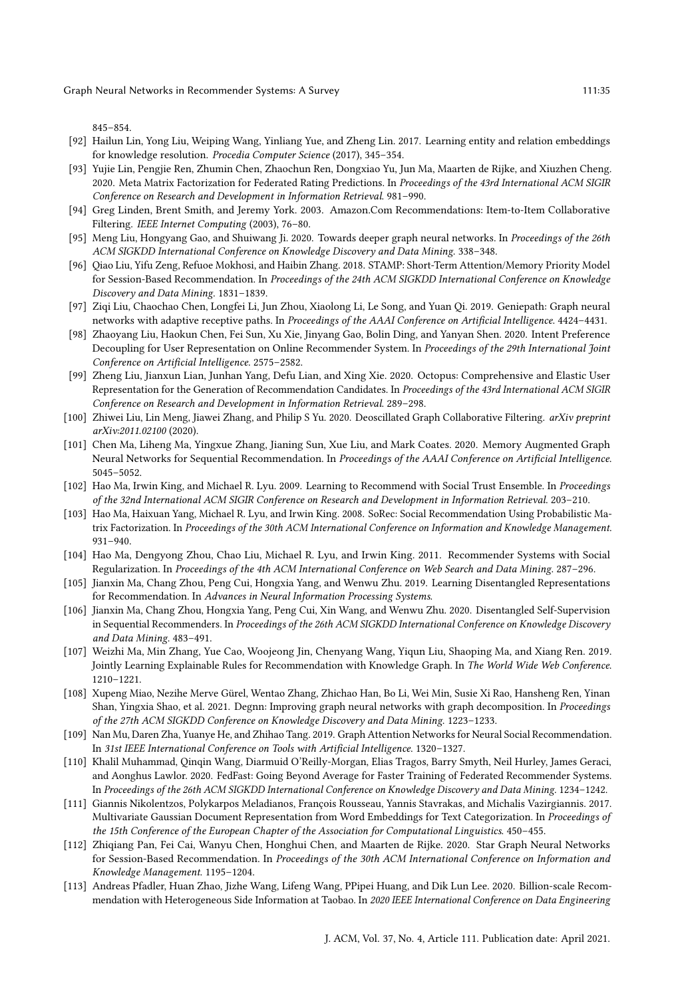845–854.

- <span id="page-34-11"></span>[92] Hailun Lin, Yong Liu, Weiping Wang, Yinliang Yue, and Zheng Lin. 2017. Learning entity and relation embeddings for knowledge resolution. Procedia Computer Science (2017), 345–354.
- <span id="page-34-19"></span>[93] Yujie Lin, Pengjie Ren, Zhumin Chen, Zhaochun Ren, Dongxiao Yu, Jun Ma, Maarten de Rijke, and Xiuzhen Cheng. 2020. Meta Matrix Factorization for Federated Rating Predictions. In Proceedings of the 43rd International ACM SIGIR Conference on Research and Development in Information Retrieval. 981–990.
- <span id="page-34-0"></span>[94] Greg Linden, Brent Smith, and Jeremy York. 2003. Amazon.Com Recommendations: Item-to-Item Collaborative Filtering. IEEE Internet Computing (2003), 76–80.
- <span id="page-34-17"></span>[95] Meng Liu, Hongyang Gao, and Shuiwang Ji. 2020. Towards deeper graph neural networks. In Proceedings of the 26th ACM SIGKDD International Conference on Knowledge Discovery and Data Mining. 338–348.
- <span id="page-34-2"></span>[96] Qiao Liu, Yifu Zeng, Refuoe Mokhosi, and Haibin Zhang. 2018. STAMP: Short-Term Attention/Memory Priority Model for Session-Based Recommendation. In Proceedings of the 24th ACM SIGKDD International Conference on Knowledge Discovery and Data Mining. 1831–1839.
- <span id="page-34-18"></span>[97] Ziqi Liu, Chaochao Chen, Longfei Li, Jun Zhou, Xiaolong Li, Le Song, and Yuan Qi. 2019. Geniepath: Graph neural networks with adaptive receptive paths. In Proceedings of the AAAI Conference on Artificial Intelligence. 4424-4431.
- <span id="page-34-12"></span>[98] Zhaoyang Liu, Haokun Chen, Fei Sun, Xu Xie, Jinyang Gao, Bolin Ding, and Yanyan Shen. 2020. Intent Preference Decoupling for User Representation on Online Recommender System. In Proceedings of the 29th International Joint Conference on Artificial Intelligence. 2575–2582.
- <span id="page-34-13"></span>[99] Zheng Liu, Jianxun Lian, Junhan Yang, Defu Lian, and Xing Xie. 2020. Octopus: Comprehensive and Elastic User Representation for the Generation of Recommendation Candidates. In Proceedings of the 43rd International ACM SIGIR Conference on Research and Development in Information Retrieval. 289–298.
- <span id="page-34-5"></span>[100] Zhiwei Liu, Lin Meng, Jiawei Zhang, and Philip S Yu. 2020. Deoscillated Graph Collaborative Filtering. arXiv preprint arXiv:2011.02100 (2020).
- <span id="page-34-7"></span>[101] Chen Ma, Liheng Ma, Yingxue Zhang, Jianing Sun, Xue Liu, and Mark Coates. 2020. Memory Augmented Graph Neural Networks for Sequential Recommendation. In Proceedings of the AAAI Conference on Artificial Intelligence. 5045–5052.
- <span id="page-34-3"></span>[102] Hao Ma, Irwin King, and Michael R. Lyu. 2009. Learning to Recommend with Social Trust Ensemble. In Proceedings of the 32nd International ACM SIGIR Conference on Research and Development in Information Retrieval. 203–210.
- <span id="page-34-9"></span>[103] Hao Ma, Haixuan Yang, Michael R. Lyu, and Irwin King. 2008. SoRec: Social Recommendation Using Probabilistic Matrix Factorization. In Proceedings of the 30th ACM International Conference on Information and Knowledge Management. 931–940.
- <span id="page-34-4"></span>[104] Hao Ma, Dengyong Zhou, Chao Liu, Michael R. Lyu, and Irwin King. 2011. Recommender Systems with Social Regularization. In Proceedings of the 4th ACM International Conference on Web Search and Data Mining. 287–296.
- <span id="page-34-14"></span>[105] Jianxin Ma, Chang Zhou, Peng Cui, Hongxia Yang, and Wenwu Zhu. 2019. Learning Disentangled Representations for Recommendation. In Advances in Neural Information Processing Systems.
- <span id="page-34-6"></span>[106] Jianxin Ma, Chang Zhou, Hongxia Yang, Peng Cui, Xin Wang, and Wenwu Zhu. 2020. Disentangled Self-Supervision in Sequential Recommenders. In Proceedings of the 26th ACM SIGKDD International Conference on Knowledge Discovery and Data Mining. 483–491.
- <span id="page-34-21"></span>[107] Weizhi Ma, Min Zhang, Yue Cao, Woojeong Jin, Chenyang Wang, Yiqun Liu, Shaoping Ma, and Xiang Ren. 2019. Jointly Learning Explainable Rules for Recommendation with Knowledge Graph. In The World Wide Web Conference. 1210–1221.
- <span id="page-34-16"></span>[108] Xupeng Miao, Nezihe Merve Gürel, Wentao Zhang, Zhichao Han, Bo Li, Wei Min, Susie Xi Rao, Hansheng Ren, Yinan Shan, Yingxia Shao, et al. 2021. Degnn: Improving graph neural networks with graph decomposition. In Proceedings of the 27th ACM SIGKDD Conference on Knowledge Discovery and Data Mining. 1223–1233.
- <span id="page-34-10"></span>[109] Nan Mu, Daren Zha, Yuanye He, and Zhihao Tang. 2019. Graph Attention Networks for Neural Social Recommendation. In 31st IEEE International Conference on Tools with Artificial Intelligence. 1320–1327.
- <span id="page-34-20"></span>[110] Khalil Muhammad, Qinqin Wang, Diarmuid O'Reilly-Morgan, Elias Tragos, Barry Smyth, Neil Hurley, James Geraci, and Aonghus Lawlor. 2020. FedFast: Going Beyond Average for Faster Training of Federated Recommender Systems. In Proceedings of the 26th ACM SIGKDD International Conference on Knowledge Discovery and Data Mining. 1234–1242.
- <span id="page-34-15"></span>[111] Giannis Nikolentzos, Polykarpos Meladianos, François Rousseau, Yannis Stavrakas, and Michalis Vazirgiannis. 2017. Multivariate Gaussian Document Representation from Word Embeddings for Text Categorization. In Proceedings of the 15th Conference of the European Chapter of the Association for Computational Linguistics. 450–455.
- <span id="page-34-8"></span>[112] Zhiqiang Pan, Fei Cai, Wanyu Chen, Honghui Chen, and Maarten de Rijke. 2020. Star Graph Neural Networks for Session-Based Recommendation. In Proceedings of the 30th ACM International Conference on Information and Knowledge Management. 1195–1204.
- <span id="page-34-1"></span>[113] Andreas Pfadler, Huan Zhao, Jizhe Wang, Lifeng Wang, PPipei Huang, and Dik Lun Lee. 2020. Billion-scale Recommendation with Heterogeneous Side Information at Taobao. In 2020 IEEE International Conference on Data Engineering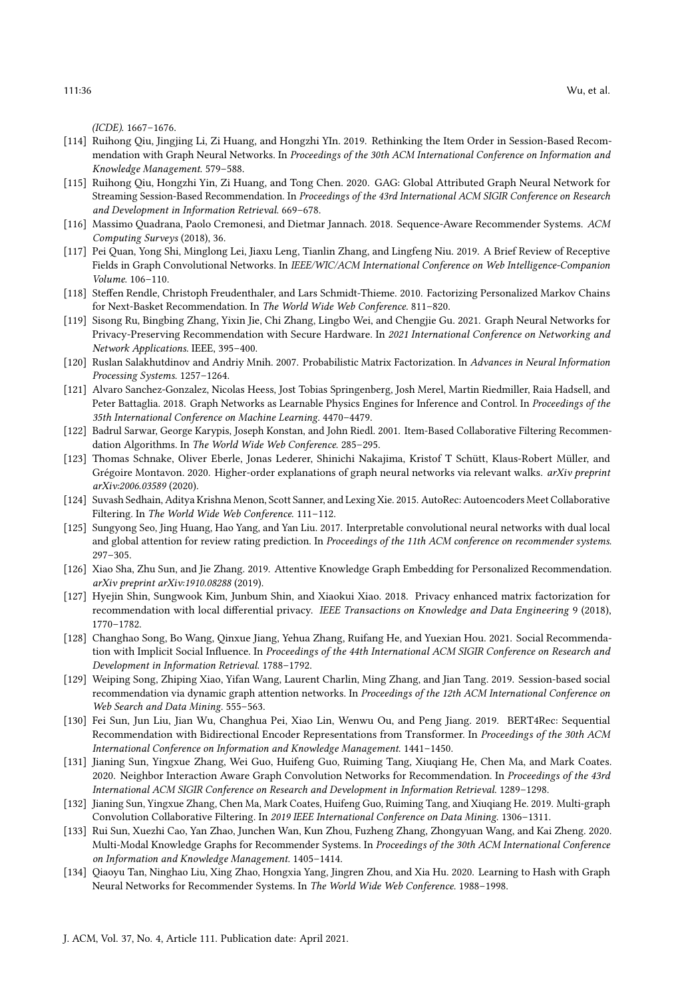(ICDE). 1667–1676.

- <span id="page-35-2"></span>[114] Ruihong Qiu, Jingjing Li, Zi Huang, and Hongzhi YIn. 2019. Rethinking the Item Order in Session-Based Recommendation with Graph Neural Networks. In Proceedings of the 30th ACM International Conference on Information and Knowledge Management. 579–588.
- <span id="page-35-11"></span>[115] Ruihong Qiu, Hongzhi Yin, Zi Huang, and Tong Chen. 2020. GAG: Global Attributed Graph Neural Network for Streaming Session-Based Recommendation. In Proceedings of the 43rd International ACM SIGIR Conference on Research and Development in Information Retrieval. 669–678.
- <span id="page-35-3"></span>[116] Massimo Quadrana, Paolo Cremonesi, and Dietmar Jannach. 2018. Sequence-Aware Recommender Systems. ACM Computing Surveys (2018), 36.
- <span id="page-35-16"></span>[117] Pei Quan, Yong Shi, Minglong Lei, Jiaxu Leng, Tianlin Zhang, and Lingfeng Niu. 2019. A Brief Review of Receptive Fields in Graph Convolutional Networks. In IEEE/WIC/ACM International Conference on Web Intelligence-Companion Volume. 106–110.
- <span id="page-35-5"></span>[118] Steffen Rendle, Christoph Freudenthaler, and Lars Schmidt-Thieme. 2010. Factorizing Personalized Markov Chains for Next-Basket Recommendation. In The World Wide Web Conference. 811–820.
- <span id="page-35-18"></span>[119] Sisong Ru, Bingbing Zhang, Yixin Jie, Chi Zhang, Lingbo Wei, and Chengjie Gu. 2021. Graph Neural Networks for Privacy-Preserving Recommendation with Secure Hardware. In 2021 International Conference on Networking and Network Applications. IEEE, 395–400.
- <span id="page-35-4"></span>[120] Ruslan Salakhutdinov and Andriy Mnih. 2007. Probabilistic Matrix Factorization. In Advances in Neural Information Processing Systems. 1257–1264.
- <span id="page-35-7"></span>[121] Alvaro Sanchez-Gonzalez, Nicolas Heess, Jost Tobias Springenberg, Josh Merel, Martin Riedmiller, Raia Hadsell, and Peter Battaglia. 2018. Graph Networks as Learnable Physics Engines for Inference and Control. In Proceedings of the 35th International Conference on Machine Learning. 4470–4479.
- <span id="page-35-0"></span>[122] Badrul Sarwar, George Karypis, Joseph Konstan, and John Riedl. 2001. Item-Based Collaborative Filtering Recommendation Algorithms. In The World Wide Web Conference. 285–295.
- <span id="page-35-20"></span>[123] Thomas Schnake, Oliver Eberle, Jonas Lederer, Shinichi Nakajima, Kristof T Schütt, Klaus-Robert Müller, and Grégoire Montavon. 2020. Higher-order explanations of graph neural networks via relevant walks. arXiv preprint arXiv:2006.03589 (2020).
- <span id="page-35-1"></span>[124] Suvash Sedhain, Aditya Krishna Menon, Scott Sanner, and Lexing Xie. 2015. AutoRec: Autoencoders Meet Collaborative Filtering. In The World Wide Web Conference. 111–112.
- <span id="page-35-19"></span>[125] Sungyong Seo, Jing Huang, Hao Yang, and Yan Liu. 2017. Interpretable convolutional neural networks with dual local and global attention for review rating prediction. In Proceedings of the 11th ACM conference on recommender systems. 297–305.
- <span id="page-35-15"></span>[126] Xiao Sha, Zhu Sun, and Jie Zhang. 2019. Attentive Knowledge Graph Embedding for Personalized Recommendation. arXiv preprint arXiv:1910.08288 (2019).
- <span id="page-35-17"></span>[127] Hyejin Shin, Sungwook Kim, Junbum Shin, and Xiaokui Xiao. 2018. Privacy enhanced matrix factorization for recommendation with local differential privacy. IEEE Transactions on Knowledge and Data Engineering 9 (2018), 1770–1782.
- <span id="page-35-13"></span>[128] Changhao Song, Bo Wang, Qinxue Jiang, Yehua Zhang, Ruifang He, and Yuexian Hou. 2021. Social Recommendation with Implicit Social Influence. In Proceedings of the 44th International ACM SIGIR Conference on Research and Development in Information Retrieval. 1788–1792.
- <span id="page-35-12"></span>[129] Weiping Song, Zhiping Xiao, Yifan Wang, Laurent Charlin, Ming Zhang, and Jian Tang. 2019. Session-based social recommendation via dynamic graph attention networks. In Proceedings of the 12th ACM International Conference on Web Search and Data Mining. 555–563.
- <span id="page-35-6"></span>[130] Fei Sun, Jun Liu, Jian Wu, Changhua Pei, Xiao Lin, Wenwu Ou, and Peng Jiang. 2019. BERT4Rec: Sequential Recommendation with Bidirectional Encoder Representations from Transformer. In Proceedings of the 30th ACM International Conference on Information and Knowledge Management. 1441–1450.
- <span id="page-35-8"></span>[131] Jianing Sun, Yingxue Zhang, Wei Guo, Huifeng Guo, Ruiming Tang, Xiuqiang He, Chen Ma, and Mark Coates. 2020. Neighbor Interaction Aware Graph Convolution Networks for Recommendation. In Proceedings of the 43rd International ACM SIGIR Conference on Research and Development in Information Retrieval. 1289–1298.
- <span id="page-35-10"></span>[132] Jianing Sun, Yingxue Zhang, Chen Ma, Mark Coates, Huifeng Guo, Ruiming Tang, and Xiuqiang He. 2019. Multi-graph Convolution Collaborative Filtering. In 2019 IEEE International Conference on Data Mining. 1306–1311.
- <span id="page-35-14"></span>[133] Rui Sun, Xuezhi Cao, Yan Zhao, Junchen Wan, Kun Zhou, Fuzheng Zhang, Zhongyuan Wang, and Kai Zheng. 2020. Multi-Modal Knowledge Graphs for Recommender Systems. In Proceedings of the 30th ACM International Conference on Information and Knowledge Management. 1405–1414.
- <span id="page-35-9"></span>[134] Qiaoyu Tan, Ninghao Liu, Xing Zhao, Hongxia Yang, Jingren Zhou, and Xia Hu. 2020. Learning to Hash with Graph Neural Networks for Recommender Systems. In The World Wide Web Conference. 1988–1998.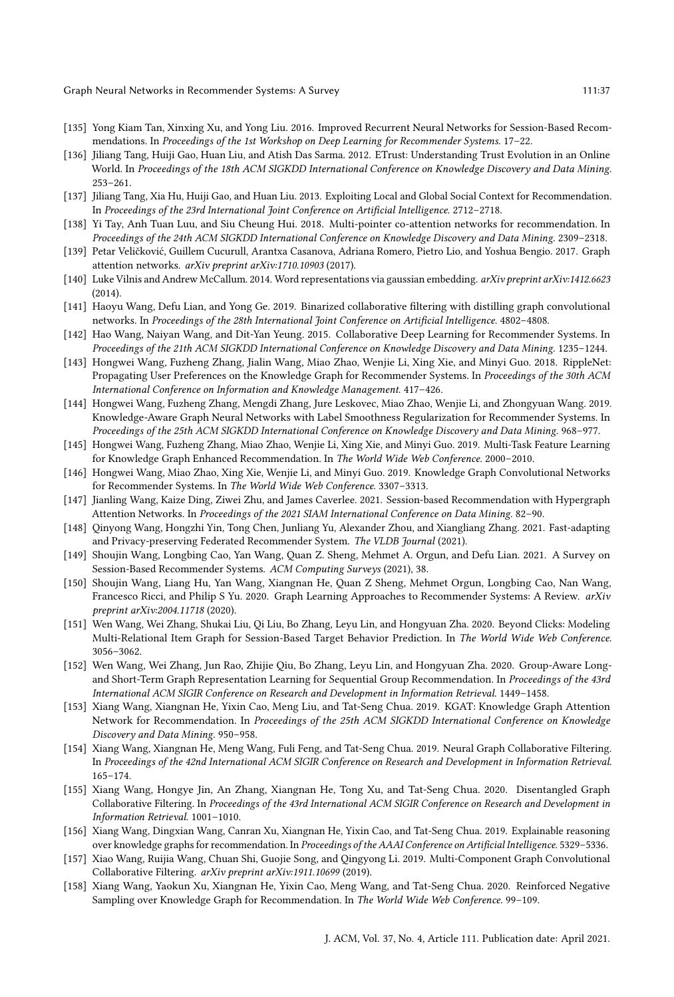- <span id="page-36-6"></span>[135] Yong Kiam Tan, Xinxing Xu, and Yong Liu. 2016. Improved Recurrent Neural Networks for Session-Based Recommendations. In Proceedings of the 1st Workshop on Deep Learning for Recommender Systems. 17-22.
- <span id="page-36-19"></span>[136] Jiliang Tang, Huiji Gao, Huan Liu, and Atish Das Sarma. 2012. ETrust: Understanding Trust Evolution in an Online World. In Proceedings of the 18th ACM SIGKDD International Conference on Knowledge Discovery and Data Mining. 253–261.
- <span id="page-36-7"></span>[137] Jiliang Tang, Xia Hu, Huiji Gao, and Huan Liu. 2013. Exploiting Local and Global Social Context for Recommendation. In Proceedings of the 23rd International Joint Conference on Artificial Intelligence. 2712–2718.
- <span id="page-36-22"></span>[138] Yi Tay, Anh Tuan Luu, and Siu Cheung Hui. 2018. Multi-pointer co-attention networks for recommendation. In Proceedings of the 24th ACM SIGKDD International Conference on Knowledge Discovery and Data Mining. 2309–2318.
- <span id="page-36-8"></span>[139] Petar Veličković, Guillem Cucurull, Arantxa Casanova, Adriana Romero, Pietro Lio, and Yoshua Bengio. 2017. Graph attention networks. arXiv preprint arXiv:1710.10903 (2017).
- <span id="page-36-20"></span>[140] Luke Vilnis and Andrew McCallum. 2014. Word representations via gaussian embedding. arXiv preprint arXiv:1412.6623 (2014).
- <span id="page-36-9"></span>[141] Haoyu Wang, Defu Lian, and Yong Ge. 2019. Binarized collaborative filtering with distilling graph convolutional networks. In Proceedings of the 28th International Joint Conference on Artificial Intelligence. 4802–4808.
- <span id="page-36-0"></span>[142] Hao Wang, Naiyan Wang, and Dit-Yan Yeung. 2015. Collaborative Deep Learning for Recommender Systems. In Proceedings of the 21th ACM SIGKDD International Conference on Knowledge Discovery and Data Mining. 1235–1244.
- <span id="page-36-14"></span>[143] Hongwei Wang, Fuzheng Zhang, Jialin Wang, Miao Zhao, Wenjie Li, Xing Xie, and Minyi Guo. 2018. RippleNet: Propagating User Preferences on the Knowledge Graph for Recommender Systems. In Proceedings of the 30th ACM International Conference on Information and Knowledge Management. 417–426.
- <span id="page-36-15"></span>[144] Hongwei Wang, Fuzheng Zhang, Mengdi Zhang, Jure Leskovec, Miao Zhao, Wenjie Li, and Zhongyuan Wang. 2019. Knowledge-Aware Graph Neural Networks with Label Smoothness Regularization for Recommender Systems. In Proceedings of the 25th ACM SIGKDD International Conference on Knowledge Discovery and Data Mining. 968–977.
- <span id="page-36-2"></span>[145] Hongwei Wang, Fuzheng Zhang, Miao Zhao, Wenjie Li, Xing Xie, and Minyi Guo. 2019. Multi-Task Feature Learning for Knowledge Graph Enhanced Recommendation. In The World Wide Web Conference. 2000–2010.
- <span id="page-36-16"></span>[146] Hongwei Wang, Miao Zhao, Xing Xie, Wenjie Li, and Minyi Guo. 2019. Knowledge Graph Convolutional Networks for Recommender Systems. In The World Wide Web Conference. 3307–3313.
- <span id="page-36-13"></span>[147] Jianling Wang, Kaize Ding, Ziwei Zhu, and James Caverlee. 2021. Session-based Recommendation with Hypergraph Attention Networks. In Proceedings of the 2021 SIAM International Conference on Data Mining. 82–90.
- <span id="page-36-21"></span>[148] Qinyong Wang, Hongzhi Yin, Tong Chen, Junliang Yu, Alexander Zhou, and Xiangliang Zhang. 2021. Fast-adapting and Privacy-preserving Federated Recommender System. The VLDB Journal (2021).
- <span id="page-36-5"></span>[149] Shoujin Wang, Longbing Cao, Yan Wang, Quan Z. Sheng, Mehmet A. Orgun, and Defu Lian. 2021. A Survey on Session-Based Recommender Systems. ACM Computing Surveys (2021), 38.
- <span id="page-36-1"></span>[150] Shoujin Wang, Liang Hu, Yan Wang, Xiangnan He, Quan Z Sheng, Mehmet Orgun, Longbing Cao, Nan Wang, Francesco Ricci, and Philip S Yu. 2020. Graph Learning Approaches to Recommender Systems: A Review. arXiv preprint arXiv:2004.11718 (2020).
- <span id="page-36-12"></span>[151] Wen Wang, Wei Zhang, Shukai Liu, Qi Liu, Bo Zhang, Leyu Lin, and Hongyuan Zha. 2020. Beyond Clicks: Modeling Multi-Relational Item Graph for Session-Based Target Behavior Prediction. In The World Wide Web Conference. 3056–3062.
- <span id="page-36-4"></span>[152] Wen Wang, Wei Zhang, Jun Rao, Zhijie Qiu, Bo Zhang, Leyu Lin, and Hongyuan Zha. 2020. Group-Aware Longand Short-Term Graph Representation Learning for Sequential Group Recommendation. In Proceedings of the 43rd International ACM SIGIR Conference on Research and Development in Information Retrieval. 1449–1458.
- <span id="page-36-17"></span>[153] Xiang Wang, Xiangnan He, Yixin Cao, Meng Liu, and Tat-Seng Chua. 2019. KGAT: Knowledge Graph Attention Network for Recommendation. In Proceedings of the 25th ACM SIGKDD International Conference on Knowledge Discovery and Data Mining. 950–958.
- <span id="page-36-3"></span>[154] Xiang Wang, Xiangnan He, Meng Wang, Fuli Feng, and Tat-Seng Chua. 2019. Neural Graph Collaborative Filtering. In Proceedings of the 42nd International ACM SIGIR Conference on Research and Development in Information Retrieval. 165–174.
- <span id="page-36-10"></span>[155] Xiang Wang, Hongye Jin, An Zhang, Xiangnan He, Tong Xu, and Tat-Seng Chua. 2020. Disentangled Graph Collaborative Filtering. In Proceedings of the 43rd International ACM SIGIR Conference on Research and Development in Information Retrieval. 1001–1010.
- <span id="page-36-23"></span>[156] Xiang Wang, Dingxian Wang, Canran Xu, Xiangnan He, Yixin Cao, and Tat-Seng Chua. 2019. Explainable reasoning over knowledge graphs for recommendation. In Proceedings of the AAAI Conference on Artificial Intelligence. 5329–5336.
- <span id="page-36-11"></span>[157] Xiao Wang, Ruijia Wang, Chuan Shi, Guojie Song, and Qingyong Li. 2019. Multi-Component Graph Convolutional Collaborative Filtering. arXiv preprint arXiv:1911.10699 (2019).
- <span id="page-36-18"></span>[158] Xiang Wang, Yaokun Xu, Xiangnan He, Yixin Cao, Meng Wang, and Tat-Seng Chua. 2020. Reinforced Negative Sampling over Knowledge Graph for Recommendation. In The World Wide Web Conference. 99-109.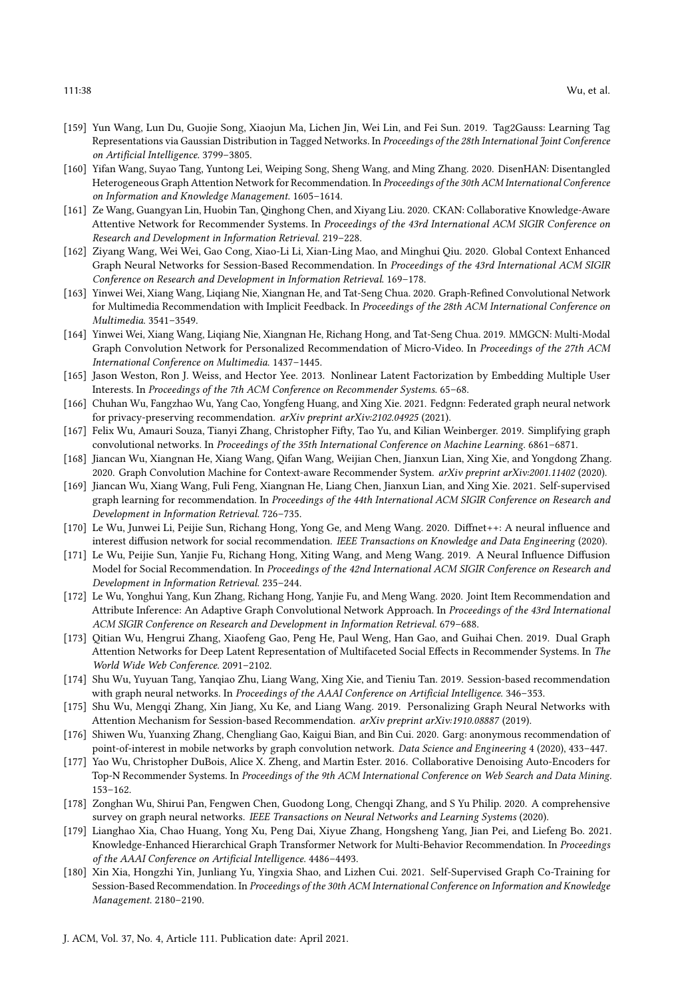- <span id="page-37-18"></span>[159] Yun Wang, Lun Du, Guojie Song, Xiaojun Ma, Lichen Jin, Wei Lin, and Fei Sun. 2019. Tag2Gauss: Learning Tag Representations via Gaussian Distribution in Tagged Networks. In Proceedings of the 28th International Joint Conference on Artificial Intelligence. 3799–3805.
- <span id="page-37-8"></span>[160] Yifan Wang, Suyao Tang, Yuntong Lei, Weiping Song, Sheng Wang, and Ming Zhang. 2020. DisenHAN: Disentangled Heterogeneous Graph Attention Network for Recommendation. In Proceedings of the 30th ACM International Conference on Information and Knowledge Management. 1605–1614.
- <span id="page-37-15"></span>[161] Ze Wang, Guangyan Lin, Huobin Tan, Qinghong Chen, and Xiyang Liu. 2020. CKAN: Collaborative Knowledge-Aware Attentive Network for Recommender Systems. In Proceedings of the 43rd International ACM SIGIR Conference on Research and Development in Information Retrieval. 219–228.
- <span id="page-37-11"></span>[162] Ziyang Wang, Wei Wei, Gao Cong, Xiao-Li Li, Xian-Ling Mao, and Minghui Qiu. 2020. Global Context Enhanced Graph Neural Networks for Session-Based Recommendation. In Proceedings of the 43rd International ACM SIGIR Conference on Research and Development in Information Retrieval. 169–178.
- <span id="page-37-3"></span>[163] Yinwei Wei, Xiang Wang, Liqiang Nie, Xiangnan He, and Tat-Seng Chua. 2020. Graph-Refined Convolutional Network for Multimedia Recommendation with Implicit Feedback. In Proceedings of the 28th ACM International Conference on Multimedia. 3541–3549.
- <span id="page-37-4"></span>[164] Yinwei Wei, Xiang Wang, Liqiang Nie, Xiangnan He, Richang Hong, and Tat-Seng Chua. 2019. MMGCN: Multi-Modal Graph Convolution Network for Personalized Recommendation of Micro-Video. In Proceedings of the 27th ACM International Conference on Multimedia. 1437–1445.
- <span id="page-37-17"></span>[165] Jason Weston, Ron J. Weiss, and Hector Yee. 2013. Nonlinear Latent Factorization by Embedding Multiple User Interests. In Proceedings of the 7th ACM Conference on Recommender Systems. 65–68.
- <span id="page-37-21"></span>[166] Chuhan Wu, Fangzhao Wu, Yang Cao, Yongfeng Huang, and Xing Xie. 2021. Fedgnn: Federated graph neural network for privacy-preserving recommendation. arXiv preprint arXiv:2102.04925 (2021).
- <span id="page-37-19"></span>[167] Felix Wu, Amauri Souza, Tianyi Zhang, Christopher Fifty, Tao Yu, and Kilian Weinberger. 2019. Simplifying graph convolutional networks. In Proceedings of the 35th International Conference on Machine Learning. 6861–6871.
- <span id="page-37-9"></span>[168] Jiancan Wu, Xiangnan He, Xiang Wang, Qifan Wang, Weijian Chen, Jianxun Lian, Xing Xie, and Yongdong Zhang. 2020. Graph Convolution Machine for Context-aware Recommender System. arXiv preprint arXiv:2001.11402 (2020).
- <span id="page-37-20"></span>[169] Jiancan Wu, Xiang Wang, Fuli Feng, Xiangnan He, Liang Chen, Jianxun Lian, and Xing Xie. 2021. Self-supervised graph learning for recommendation. In Proceedings of the 44th International ACM SIGIR Conference on Research and Development in Information Retrieval. 726–735.
- <span id="page-37-13"></span>[170] Le Wu, Junwei Li, Peijie Sun, Richang Hong, Yong Ge, and Meng Wang. 2020. Diffnet++: A neural influence and interest diffusion network for social recommendation. IEEE Transactions on Knowledge and Data Engineering (2020).
- <span id="page-37-0"></span>[171] Le Wu, Peijie Sun, Yanjie Fu, Richang Hong, Xiting Wang, and Meng Wang. 2019. A Neural Influence Diffusion Model for Social Recommendation. In Proceedings of the 42nd International ACM SIGIR Conference on Research and Development in Information Retrieval. 235–244.
- <span id="page-37-7"></span>[172] Le Wu, Yonghui Yang, Kun Zhang, Richang Hong, Yanjie Fu, and Meng Wang. 2020. Joint Item Recommendation and Attribute Inference: An Adaptive Graph Convolutional Network Approach. In Proceedings of the 43rd International ACM SIGIR Conference on Research and Development in Information Retrieval. 679–688.
- <span id="page-37-14"></span>[173] Qitian Wu, Hengrui Zhang, Xiaofeng Gao, Peng He, Paul Weng, Han Gao, and Guihai Chen. 2019. Dual Graph Attention Networks for Deep Latent Representation of Multifaceted Social Effects in Recommender Systems. In The World Wide Web Conference. 2091–2102.
- <span id="page-37-1"></span>[174] Shu Wu, Yuyuan Tang, Yanqiao Zhu, Liang Wang, Xing Xie, and Tieniu Tan. 2019. Session-based recommendation with graph neural networks. In Proceedings of the AAAI Conference on Artificial Intelligence. 346-353.
- <span id="page-37-10"></span>[175] Shu Wu, Mengqi Zhang, Xin Jiang, Xu Ke, and Liang Wang. 2019. Personalizing Graph Neural Networks with Attention Mechanism for Session-based Recommendation. arXiv preprint arXiv:1910.08887 (2019).
- <span id="page-37-2"></span>[176] Shiwen Wu, Yuanxing Zhang, Chengliang Gao, Kaigui Bian, and Bin Cui. 2020. Garg: anonymous recommendation of point-of-interest in mobile networks by graph convolution network. Data Science and Engineering 4 (2020), 433–447.
- <span id="page-37-6"></span>[177] Yao Wu, Christopher DuBois, Alice X. Zheng, and Martin Ester. 2016. Collaborative Denoising Auto-Encoders for Top-N Recommender Systems. In Proceedings of the 9th ACM International Conference on Web Search and Data Mining. 153–162.
- <span id="page-37-5"></span>[178] Zonghan Wu, Shirui Pan, Fengwen Chen, Guodong Long, Chengqi Zhang, and S Yu Philip. 2020. A comprehensive survey on graph neural networks. IEEE Transactions on Neural Networks and Learning Systems (2020).
- <span id="page-37-16"></span>[179] Lianghao Xia, Chao Huang, Yong Xu, Peng Dai, Xiyue Zhang, Hongsheng Yang, Jian Pei, and Liefeng Bo. 2021. Knowledge-Enhanced Hierarchical Graph Transformer Network for Multi-Behavior Recommendation. In Proceedings of the AAAI Conference on Artificial Intelligence. 4486–4493.
- <span id="page-37-12"></span>[180] Xin Xia, Hongzhi Yin, Junliang Yu, Yingxia Shao, and Lizhen Cui. 2021. Self-Supervised Graph Co-Training for Session-Based Recommendation. In Proceedings of the 30th ACM International Conference on Information and Knowledge Management. 2180–2190.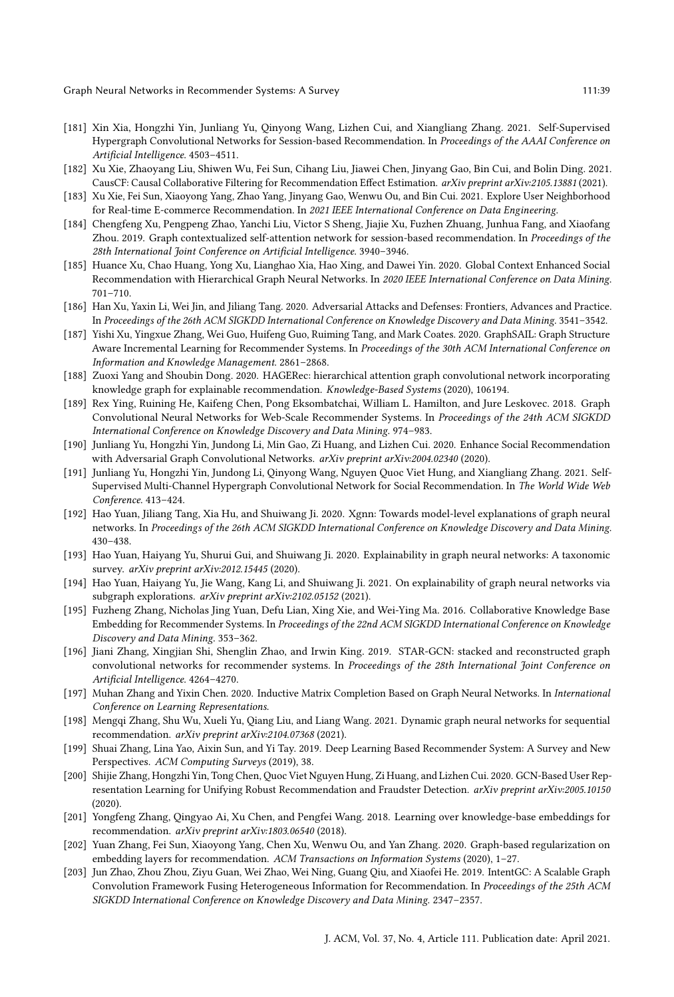- <span id="page-38-10"></span>[181] Xin Xia, Hongzhi Yin, Junliang Yu, Qinyong Wang, Lizhen Cui, and Xiangliang Zhang. 2021. Self-Supervised Hypergraph Convolutional Networks for Session-based Recommendation. In Proceedings of the AAAI Conference on Artificial Intelligence. 4503–4511.
- <span id="page-38-0"></span>[182] Xu Xie, Zhaoyang Liu, Shiwen Wu, Fei Sun, Cihang Liu, Jiawei Chen, Jinyang Gao, Bin Cui, and Bolin Ding. 2021. CausCF: Causal Collaborative Filtering for Recommendation Effect Estimation. arXiv preprint arXiv:2105.13881 (2021).
- <span id="page-38-4"></span>[183] Xu Xie, Fei Sun, Xiaoyong Yang, Zhao Yang, Jinyang Gao, Wenwu Ou, and Bin Cui. 2021. Explore User Neighborhood for Real-time E-commerce Recommendation. In 2021 IEEE International Conference on Data Engineering.
- <span id="page-38-9"></span>[184] Chengfeng Xu, Pengpeng Zhao, Yanchi Liu, Victor S Sheng, Jiajie Xu, Fuzhen Zhuang, Junhua Fang, and Xiaofang Zhou. 2019. Graph contextualized self-attention network for session-based recommendation. In Proceedings of the 28th International Joint Conference on Artificial Intelligence. 3940–3946.
- <span id="page-38-12"></span>[185] Huance Xu, Chao Huang, Yong Xu, Lianghao Xia, Hao Xing, and Dawei Yin. 2020. Global Context Enhanced Social Recommendation with Hierarchical Graph Neural Networks. In 2020 IEEE International Conference on Data Mining. 701–710.
- <span id="page-38-18"></span>[186] Han Xu, Yaxin Li, Wei Jin, and Jiliang Tang. 2020. Adversarial Attacks and Defenses: Frontiers, Advances and Practice. In Proceedings of the 26th ACM SIGKDD International Conference on Knowledge Discovery and Data Mining. 3541–3542.
- <span id="page-38-8"></span>[187] Yishi Xu, Yingxue Zhang, Wei Guo, Huifeng Guo, Ruiming Tang, and Mark Coates. 2020. GraphSAIL: Graph Structure Aware Incremental Learning for Recommender Systems. In Proceedings of the 30th ACM International Conference on Information and Knowledge Management. 2861–2868.
- <span id="page-38-13"></span>[188] Zuoxi Yang and Shoubin Dong. 2020. HAGERec: hierarchical attention graph convolutional network incorporating knowledge graph for explainable recommendation. Knowledge-Based Systems (2020), 106194.
- <span id="page-38-1"></span>[189] Rex Ying, Ruining He, Kaifeng Chen, Pong Eksombatchai, William L. Hamilton, and Jure Leskovec. 2018. Graph Convolutional Neural Networks for Web-Scale Recommender Systems. In Proceedings of the 24th ACM SIGKDD International Conference on Knowledge Discovery and Data Mining. 974–983.
- <span id="page-38-11"></span>[190] Junliang Yu, Hongzhi Yin, Jundong Li, Min Gao, Zi Huang, and Lizhen Cui. 2020. Enhance Social Recommendation with Adversarial Graph Convolutional Networks. arXiv preprint arXiv:2004.02340 (2020).
- <span id="page-38-16"></span>[191] Junliang Yu, Hongzhi Yin, Jundong Li, Qinyong Wang, Nguyen Quoc Viet Hung, and Xiangliang Zhang. 2021. Self-Supervised Multi-Channel Hypergraph Convolutional Network for Social Recommendation. In The World Wide Web Conference. 413–424.
- <span id="page-38-22"></span>[192] Hao Yuan, Jiliang Tang, Xia Hu, and Shuiwang Ji. 2020. Xgnn: Towards model-level explanations of graph neural networks. In Proceedings of the 26th ACM SIGKDD International Conference on Knowledge Discovery and Data Mining. 430–438.
- <span id="page-38-20"></span>[193] Hao Yuan, Haiyang Yu, Shurui Gui, and Shuiwang Ji. 2020. Explainability in graph neural networks: A taxonomic survey. arXiv preprint arXiv:2012.15445 (2020).
- <span id="page-38-21"></span>[194] Hao Yuan, Haiyang Yu, Jie Wang, Kang Li, and Shuiwang Ji. 2021. On explainability of graph neural networks via subgraph explorations. arXiv preprint arXiv:2102.05152 (2021).
- <span id="page-38-3"></span>[195] Fuzheng Zhang, Nicholas Jing Yuan, Defu Lian, Xing Xie, and Wei-Ying Ma. 2016. Collaborative Knowledge Base Embedding for Recommender Systems. In Proceedings of the 22nd ACM SIGKDD International Conference on Knowledge Discovery and Data Mining. 353–362.
- <span id="page-38-6"></span>[196] Jiani Zhang, Xingjian Shi, Shenglin Zhao, and Irwin King. 2019. STAR-GCN: stacked and reconstructed graph convolutional networks for recommender systems. In Proceedings of the 28th International Joint Conference on Artificial Intelligence. 4264–4270.
- <span id="page-38-7"></span>[197] Muhan Zhang and Yixin Chen. 2020. Inductive Matrix Completion Based on Graph Neural Networks. In International Conference on Learning Representations.
- <span id="page-38-15"></span>[198] Mengqi Zhang, Shu Wu, Xueli Yu, Qiang Liu, and Liang Wang. 2021. Dynamic graph neural networks for sequential recommendation. arXiv preprint arXiv:2104.07368 (2021).
- <span id="page-38-2"></span>[199] Shuai Zhang, Lina Yao, Aixin Sun, and Yi Tay. 2019. Deep Learning Based Recommender System: A Survey and New Perspectives. ACM Computing Surveys (2019), 38.
- <span id="page-38-19"></span>[200] Shijie Zhang, Hongzhi Yin, Tong Chen, Quoc Viet Nguyen Hung, Zi Huang, and Lizhen Cui. 2020. GCN-Based User Representation Learning for Unifying Robust Recommendation and Fraudster Detection. arXiv preprint arXiv:2005.10150 (2020).
- <span id="page-38-14"></span>[201] Yongfeng Zhang, Qingyao Ai, Xu Chen, and Pengfei Wang. 2018. Learning over knowledge-base embeddings for recommendation. arXiv preprint arXiv:1803.06540 (2018).
- <span id="page-38-5"></span>[202] Yuan Zhang, Fei Sun, Xiaoyong Yang, Chen Xu, Wenwu Ou, and Yan Zhang. 2020. Graph-based regularization on embedding layers for recommendation. ACM Transactions on Information Systems (2020), 1–27.
- <span id="page-38-17"></span>[203] Jun Zhao, Zhou Zhou, Ziyu Guan, Wei Zhao, Wei Ning, Guang Qiu, and Xiaofei He. 2019. IntentGC: A Scalable Graph Convolution Framework Fusing Heterogeneous Information for Recommendation. In Proceedings of the 25th ACM SIGKDD International Conference on Knowledge Discovery and Data Mining. 2347–2357.